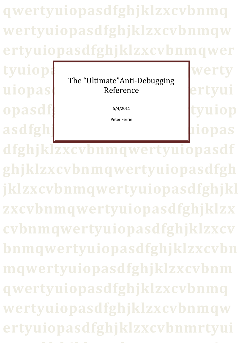**qwertyuiopasdfghjklzxcvbnmq wertyuiopasdfghjklzxcvbnmqw ertyuiopasdfghjklzxcvbnmqwer**

> The "Ultimate"Anti-Debugging Reference

**uiopas** 

**opasd** 

**asdfgh** 

5/4/2011

Peter Ferrie

tyuiop: werty

**dfghjklzxcvbnmqwertyuiopasdf ghjklzxcvbnmqwertyuiopasdfgh jklzxcvbnmqwertyuiopasdfghjkl zxcvbnmqwertyuiopasdfghjklzx cvbnmqwertyuiopasdfghjklzxcv bnmqwertyuiopasdfghjklzxcvbn mqwertyuiopasdfghjklzxcvbnm qwertyuiopasdfghjklzxcvbnmq wertyuiopasdfghjklzxcvbnmqw** ertyuiopasdfghjklzxcvbnmrty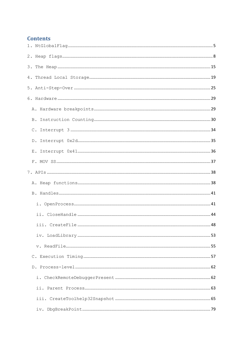# **Contents**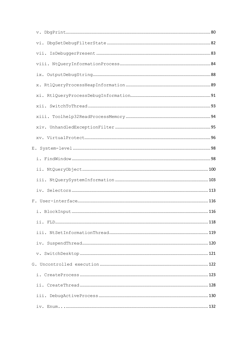| .116 |  |
|------|--|
|      |  |
|      |  |
|      |  |
|      |  |
|      |  |
|      |  |
|      |  |
|      |  |
|      |  |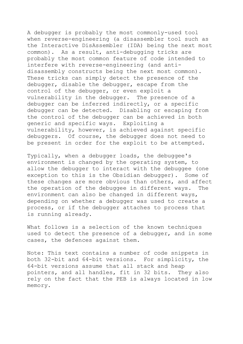A debugger is probably the most commonly-used tool when reverse-engineering (a disassembler tool such as the Interactive DisAssembler (IDA) being the next most common). As a result, anti-debugging tricks are probably the most common feature of code intended to interfere with reverse-engineering (and antidisassembly constructs being the next most common). These tricks can simply detect the presence of the debugger, disable the debugger, escape from the control of the debugger, or even exploit a vulnerability in the debugger. The presence of a debugger can be inferred indirectly, or a specific debugger can be detected. Disabling or escaping from the control of the debugger can be achieved in both generic and specific ways. Exploiting a vulnerability, however, is achieved against specific debuggers. Of course, the debugger does not need to be present in order for the exploit to be attempted.

Typically, when a debugger loads, the debuggee's environment is changed by the operating system, to allow the debugger to interact with the debuggee (one exception to this is the Obsidian debugger). Some of these changes are more obvious than others, and affect the operation of the debuggee in different ways. The environment can also be changed in different ways, depending on whether a debugger was used to create a process, or if the debugger attaches to process that is running already.

What follows is a selection of the known techniques used to detect the presence of a debugger, and in some cases, the defences against them.

Note: This text contains a number of code snippets in both 32-bit and 64-bit versions. For simplicity, the 64-bit versions assume that all stack and heap pointers, and all handles, fit in 32 bits. They also rely on the fact that the PEB is always located in low memory.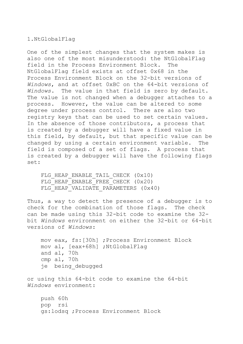## <span id="page-5-0"></span>1.NtGlobalFlag

One of the simplest changes that the system makes is also one of the most misunderstood: the NtGlobalFlag field in the Process Environment Block. The NtGlobalFlag field exists at offset 0x68 in the Process Environment Block on the 32-bit versions of *Windows*, and at offset 0xBC on the 64-bit versions of *Windows*. The value in that field is zero by default. The value is not changed when a debugger attaches to a process. However, the value can be altered to some degree under process control. There are also two registry keys that can be used to set certain values. In the absence of those contributors, a process that is created by a debugger will have a fixed value in this field, by default, but that specific value can be changed by using a certain environment variable. The field is composed of a set of flags. A process that is created by a debugger will have the following flags set:

FLG HEAP ENABLE TAIL CHECK (0x10) FLG HEAP ENABLE FREE CHECK (0x20) FLG HEAP VALIDATE PARAMETERS (0x40)

Thus, a way to detect the presence of a debugger is to check for the combination of those flags. The check can be made using this 32-bit code to examine the 32 bit *Windows* environment on either the 32-bit or 64-bit versions of *Windows*:

 mov eax, fs:[30h] ;Process Environment Block mov al, [eax+68h] ;NtGlobalFlag and al, 70h cmp al, 70h je being\_debugged

or using this 64-bit code to examine the 64-bit *Windows* environment:

 push 60h pop rsi gs:lodsq ;Process Environment Block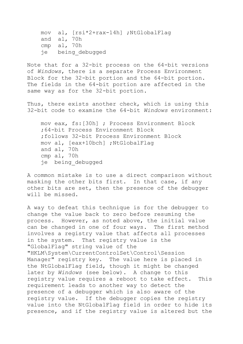mov al, [rsi\*2+rax-14h] ;NtGlobalFlag and al, 70h cmp al, 70h je being\_debugged

Note that for a 32-bit process on the 64-bit versions of *Windows*, there is a separate Process Environment Block for the 32-bit portion and the 64-bit portion. The fields in the 64-bit portion are affected in the same way as for the 32-bit portion.

Thus, there exists another check, which is using this 32-bit code to examine the 64-bit *Windows* environment:

 mov eax, fs:[30h] ; Process Environment Block ;64-bit Process Environment Block ;follows 32-bit Process Environment Block mov al, [eax+10bch] ;NtGlobalFlag and al, 70h cmp al, 70h je being\_debugged

A common mistake is to use a direct comparison without masking the other bits first. In that case, if any other bits are set, then the presence of the debugger will be missed.

A way to defeat this technique is for the debugger to change the value back to zero before resuming the process. However, as noted above, the initial value can be changed in one of four ways. The first method involves a registry value that affects all processes in the system. That registry value is the "GlobalFlag" string value of the "HKLM\System\CurrentControlSet\Control\Session Manager" registry key. The value here is placed in the NtGlobalFlag field, though it might be changed later by *Windows* (see below). A change to this registry value requires a reboot to take effect. This requirement leads to another way to detect the presence of a debugger which is also aware of the registry value. If the debugger copies the registry value into the NtGlobalFlag field in order to hide its presence, and if the registry value is altered but the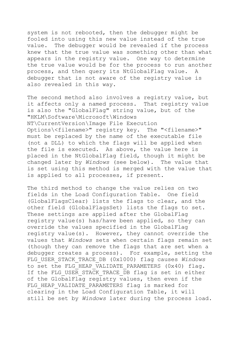system is not rebooted, then the debugger might be fooled into using this new value instead of the true value. The debugger would be revealed if the process knew that the true value was something other than what appears in the registry value. One way to determine the true value would be for the process to run another process, and then query its NtGlobalFlag value. A debugger that is not aware of the registry value is also revealed in this way.

The second method also involves a registry value, but it affects only a named process. That registry value is also the "GlobalFlag" string value, but of the "HKLM\Software\Microsoft\Windows NT\CurrentVersion\Image File Execution Options\<filename>" registry key. The "<filename>" must be replaced by the name of the executable file (not a DLL) to which the flags will be applied when the file is executed. As above, the value here is placed in the NtGlobalFlag field, though it might be changed later by *Windows* (see below). The value that is set using this method is merged with the value that is applied to all processes, if present.

The third method to change the value relies on two fields in the Load Configuration Table. One field (GlobalFlagsClear) lists the flags to clear, and the other field (GlobalFlagsSet) lists the flags to set. These settings are applied after the GlobalFlag registry value(s) has/have been applied, so they can override the values specified in the GlobalFlag registry value(s). However, they cannot override the values that *Windows* sets when certain flags remain set (though they can remove the flags that are set when a debugger creates a process). For example, setting the FLG\_USER\_STACK\_TRACE\_DB (0x1000) flag causes *Windows* to set the FLG HEAP VALIDATE PARAMETERS (0x40) flag. If the FLG USER STACK TRACE DB flag is set in either of the GlobalFlag registry values, then even if the FLG HEAP VALIDATE PARAMETERS flag is marked for clearing in the Load Configuration Table, it will still be set by *Windows* later during the process load.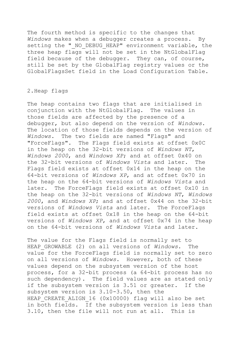The fourth method is specific to the changes that *Windows* makes when a debugger creates a process. By setting the " NO DEBUG HEAP" environment variable, the three heap flags will not be set in the NtGlobalFlag field because of the debugger. They can, of course, still be set by the GlobalFlag registry values or the GlobalFlagsSet field in the Load Configuration Table.

## <span id="page-8-0"></span>2.Heap flags

The heap contains two flags that are initialised in conjunction with the NtGlobalFlag. The values in those fields are affected by the presence of a debugger, but also depend on the version of *Windows*. The location of those fields depends on the version of *Windows*. The two fields are named "Flags" and "ForceFlags". The Flags field exists at offset 0x0C in the heap on the 32-bit versions of *Windows NT*, *Windows 2000*, and *Windows XP*; and at offset 0x40 on the 32-bit versions of *Windows Vista* and later. The Flags field exists at offset 0x14 in the heap on the 64-bit versions of *Windows XP*, and at offset 0x70 in the heap on the 64-bit versions of *Windows Vista* and later. The ForceFlags field exists at offset 0x10 in the heap on the 32-bit versions of *Windows NT*, *Windows 2000*, and *Windows XP*; and at offset 0x44 on the 32-bit versions of *Windows Vista* and later. The ForceFlags field exists at offset 0x18 in the heap on the 64-bit versions of *Windows XP*, and at offset 0x74 in the heap on the 64-bit versions of *Windows Vista* and later.

The value for the Flags field is normally set to HEAP\_GROWABLE (2) on all versions of *Windows*. The value for the ForceFlags field is normally set to zero on all versions of *Windows*. However, both of these values depend on the subsystem version of the host process, for a 32-bit process (a 64-bit process has no such dependency). The field values are as stated only if the subsystem version is 3.51 or greater. If the subsystem version is 3.10-3.50, then the HEAP CREATE ALIGN 16 (0x10000) flag will also be set in both fields. If the subsystem version is less than 3.10, then the file will not run at all. This is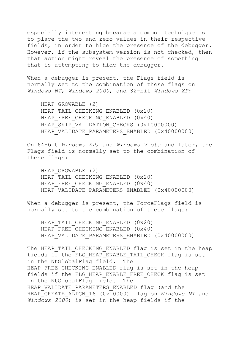especially interesting because a common technique is to place the two and zero values in their respective fields, in order to hide the presence of the debugger. However, if the subsystem version is not checked, then that action might reveal the presence of something that is attempting to hide the debugger.

When a debugger is present, the Flags field is normally set to the combination of these flags on *Windows NT*, *Windows 2000*, and 32-bit *Windows XP*:

HEAP GROWABLE (2) HEAP TAIL CHECKING ENABLED (0x20) HEAP FREE CHECKING ENABLED (0x40) HEAP SKIP VALIDATION CHECKS (0x10000000) HEAP VALIDATE PARAMETERS ENABLED (0x40000000)

On 64-bit *Windows XP*, and *Windows Vista* and later, the Flags field is normally set to the combination of these flags:

HEAP GROWABLE (2) HEAP\_TAIL\_CHECKING\_ENABLED (0x20) HEAP FREE CHECKING ENABLED (0x40) HEAP\_VALIDATE\_PARAMETERS\_ENABLED (0x40000000)

When a debugger is present, the ForceFlags field is normally set to the combination of these flags:

HEAP TAIL CHECKING ENABLED (0x20) HEAP FREE CHECKING ENABLED (0x40) HEAP\_VALIDATE\_PARAMETERS\_ENABLED (0x40000000)

The HEAP TAIL CHECKING ENABLED flag is set in the heap fields if the FLG\_HEAP\_ENABLE\_TAIL\_CHECK flag is set in the NtGlobalFlag field. The HEAP FREE CHECKING ENABLED flag is set in the heap fields if the FLG\_HEAP\_ENABLE\_FREE\_CHECK flag is set in the NtGlobalFlag field. The HEAP VALIDATE PARAMETERS ENABLED flag (and the HEAP<sup>-</sup>CREATE ALIGN 16 (0x10000) flag on *Windows NT* and *Windows 2000*) is set in the heap fields if the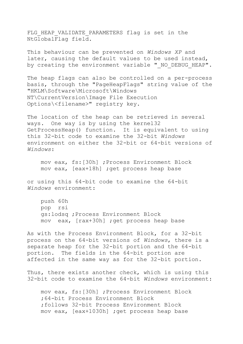FLG HEAP VALIDATE PARAMETERS flag is set in the NtGlobalFlag field.

This behaviour can be prevented on *Windows XP* and later, causing the default values to be used instead, by creating the environment variable " NO DEBUG HEAP".

The heap flags can also be controlled on a per-process basis, through the "PageHeapFlags" string value of the "HKLM\Software\Microsoft\Windows NT\CurrentVersion\Image File Execution Options\<filename>" registry key.

The location of the heap can be retrieved in several ways. One way is by using the kernel32 GetProcessHeap() function. It is equivalent to using this 32-bit code to examine the 32-bit *Windows* environment on either the 32-bit or 64-bit versions of *Windows*:

 mov eax, fs:[30h] ;Process Environment Block mov eax, [eax+18h] ;get process heap base

or using this 64-bit code to examine the 64-bit *Windows* environment:

 push 60h pop rsi gs:lodsq ;Process Environment Block mov eax, [rax+30h] ;get process heap base

As with the Process Environment Block, for a 32-bit process on the 64-bit versions of *Windows*, there is a separate heap for the 32-bit portion and the 64-bit portion. The fields in the 64-bit portion are affected in the same way as for the 32-bit portion.

Thus, there exists another check, which is using this 32-bit code to examine the 64-bit *Windows* environment:

 mov eax, fs:[30h] ;Process Environment Block ;64-bit Process Environment Block ;follows 32-bit Process Environment Block mov eax, [eax+1030h] ;get process heap base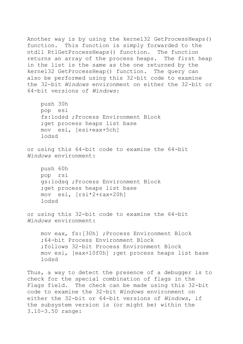Another way is by using the kernel32 GetProcessHeaps() function. This function is simply forwarded to the ntdll RtlGetProcessHeaps() function. The function returns an array of the process heaps. The first heap in the list is the same as the one returned by the kernel32 GetProcessHeap() function. The query can also be performed using this 32-bit code to examine the 32-bit *Windows* environment on either the 32-bit or 64-bit versions of *Windows*:

 push 30h pop esi fs:lodsd ;Process Environment Block ; get process heaps list base mov esi, [esi+eax+5ch] lodsd

or using this 64-bit code to examine the 64-bit *Windows* environment:

```
 push 60h
 pop rsi
 gs:lodsq ;Process Environment Block
; get process heaps list base
 mov esi, [rsi*2+rax+20h]
 lodsd
```
or using this 32-bit code to examine the 64-bit *Windows* environment:

 mov eax, fs:[30h] ;Process Environment Block ;64-bit Process Environment Block ;follows 32-bit Process Environment Block mov esi, [eax+10f0h] ;get process heaps list base lodsd

Thus, a way to detect the presence of a debugger is to check for the special combination of flags in the Flags field. The check can be made using this 32-bit code to examine the 32-bit *Windows* environment on either the 32-bit or 64-bit versions of *Windows*, if the subsystem version is (or might be) within the 3.10-3.50 range: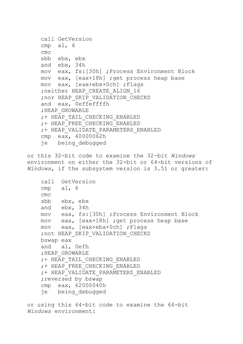```
 call GetVersion
 cmp al, 6
 cmc
 sbb ebx, ebx
 and ebx, 34h
 mov eax, fs:[30h] ;Process Environment Block
 mov eax, [eax+18h] ;get process heap base
 mov eax, [eax+ebx+0ch] ;Flags
; neither HEAP CREATE ALIGN 16
 ;nor HEAP_SKIP_VALIDATION_CHECKS
 and eax, 0effeffffh
 ;HEAP_GROWABLE
 ;+ HEAP_TAIL_CHECKING_ENABLED
 ;+ HEAP_FREE_CHECKING_ENABLED
 ;+ HEAP_VALIDATE_PARAMETERS_ENABLED
 cmp eax, 40000062h
 je being_debugged
```
or this 32-bit code to examine the 32-bit *Windows* environment on either the 32-bit or 64-bit versions of *Windows*, if the subsystem version is 3.51 or greater:

```
 call GetVersion
 cmp al, 6
 cmc
 sbb ebx, ebx
 and ebx, 34h
 mov eax, fs:[30h] ;Process Environment Block
 mov eax, [eax+18h] ;get process heap base
 mov eax, [eax+ebx+0ch] ;Flags
; not HEAP SKIP VALIDATION CHECKS
 bswap eax
 and al, 0efh
 ;HEAP_GROWABLE
 ;+ HEAP_TAIL_CHECKING_ENABLED
 ;+ HEAP_FREE_CHECKING_ENABLED
 ;+ HEAP_VALIDATE_PARAMETERS_ENABLED
; reversed by bswap
 cmp eax, 62000040h
 je being_debugged
```
or using this 64-bit code to examine the 64-bit *Windows* environment: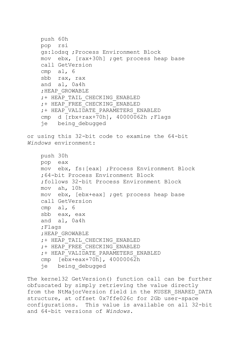```
 push 60h
     pop rsi
     gs:lodsq ;Process Environment Block
     mov ebx, [rax+30h] ;get process heap base
     call GetVersion
     cmp al, 6
     sbb rax, rax
     and al, 0a4h
     ;HEAP_GROWABLE
     ;+ HEAP_TAIL_CHECKING_ENABLED
     ;+ HEAP_FREE_CHECKING_ENABLED
     ;+ HEAP_VALIDATE_PARAMETERS_ENABLED
     cmp d [rbx+rax+70h], 40000062h ;Flags
     je being_debugged
or using this 32-bit code to examine the 64-bit 
Windows environment:
     push 30h
     pop eax
     mov ebx, fs:[eax] ;Process Environment Block
     ;64-bit Process Environment Block
     ;follows 32-bit Process Environment Block
     mov ah, 10h
     mov ebx, [ebx+eax] ;get process heap base
     call GetVersion
     cmp al, 6
     sbb eax, eax
     and al, 0a4h
     ;Flags
     ;HEAP_GROWABLE
     ;+ HEAP_TAIL_CHECKING_ENABLED
     ;+ HEAP_FREE_CHECKING_ENABLED
     ;+ HEAP_VALIDATE_PARAMETERS_ENABLED
     cmp [ebx+eax+70h], 40000062h
     je being_debugged
```
The kernel32 GetVersion() function call can be further obfuscated by simply retrieving the value directly from the NtMajorVersion field in the KUSER\_SHARED\_DATA structure, at offset 0x7ffe026c for 2Gb user-space configurations. This value is available on all 32-bit and 64-bit versions of *Windows*.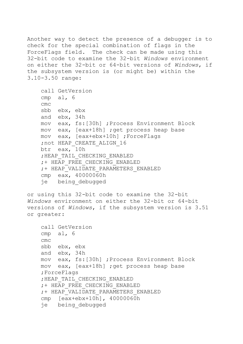Another way to detect the presence of a debugger is to check for the special combination of flags in the ForceFlags field. The check can be made using this 32-bit code to examine the 32-bit *Windows* environment on either the 32-bit or 64-bit versions of *Windows*, if the subsystem version is (or might be) within the 3.10-3.50 range:

```
 call GetVersion
 cmp al, 6
 cmc
 sbb ebx, ebx
 and ebx, 34h
 mov eax, fs:[30h] ;Process Environment Block
 mov eax, [eax+18h] ;get process heap base
 mov eax, [eax+ebx+10h] ;ForceFlags
;not HEAP CREATE ALIGN 16
 btr eax, 10h
 ;HEAP_TAIL_CHECKING_ENABLED
 ;+ HEAP_FREE_CHECKING_ENABLED
 ;+ HEAP_VALIDATE_PARAMETERS_ENABLED
 cmp eax, 40000060h
 je being_debugged
```

```
or using this 32-bit code to examine the 32-bit 
Windows environment on either the 32-bit or 64-bit 
versions of Windows, if the subsystem version is 3.51 
or greater:
```

```
 call GetVersion
 cmp al, 6
 cmc
 sbb ebx, ebx
 and ebx, 34h
 mov eax, fs:[30h] ;Process Environment Block
 mov eax, [eax+18h] ;get process heap base
 ;ForceFlags
 ;HEAP_TAIL_CHECKING_ENABLED
 ;+ HEAP_FREE_CHECKING_ENABLED
 ;+ HEAP_VALIDATE_PARAMETERS_ENABLED
 cmp [eax+ebx+10h], 40000060h
 je being_debugged
```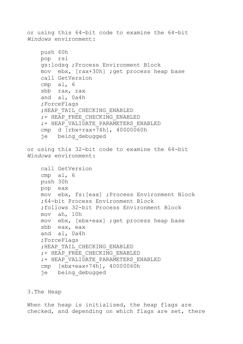or using this 64-bit code to examine the 64-bit *Windows* environment: push 60h pop rsi gs:lodsq ;Process Environment Block mov ebx, [rax+30h] ;get process heap base call GetVersion cmp al, 6 sbb rax, rax and al, 0a4h ;ForceFlags ;HEAP\_TAIL\_CHECKING\_ENABLED ;+ HEAP\_FREE\_CHECKING\_ENABLED ;+ HEAP\_VALIDATE\_PARAMETERS\_ENABLED cmp d [rbx+rax+74h], 40000060h je being\_debugged or using this 32-bit code to examine the 64-bit *Windows* environment: call GetVersion cmp al, 6 push 30h pop eax mov ebx, fs:[eax] ;Process Environment Block ;64-bit Process Environment Block ;follows 32-bit Process Environment Block mov ah, 10h mov ebx, [ebx+eax] ;get process heap base sbb eax, eax and al, 0a4h ;ForceFlags ;HEAP\_TAIL\_CHECKING\_ENABLED ;+ HEAP\_FREE\_CHECKING\_ENABLED ;+ HEAP\_VALIDATE\_PARAMETERS\_ENABLED cmp [ebx+eax+74h], 40000060h je being\_debugged

## <span id="page-15-0"></span>3.The Heap

When the heap is initialised, the heap flags are checked, and depending on which flags are set, there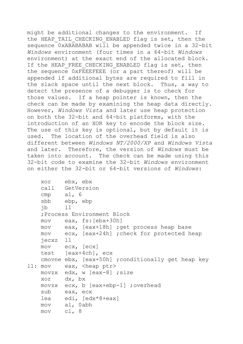might be additional changes to the environment. If the HEAP TAIL CHECKING ENABLED flag is set, then the sequence 0xABABABAB will be appended twice in a 32-bit *Windows* environment (four times in a 64-bit *Windows* environment) at the exact end of the allocated block. If the HEAP FREE CHECKING ENABLED flag is set, then the sequence 0xFEEEFEEE (or a part thereof) will be appended if additional bytes are required to fill in the slack space until the next block. Thus, a way to detect the presence of a debugger is to check for those values. If a heap pointer is known, then the check can be made by examining the heap data directly. However, *Windows Vista* and later use heap protection on both the 32-bit and 64-bit platforms, with the introduction of an XOR key to encode the block size. The use of this key is optional, but by default it is used. The location of the overhead field is also different between *Windows NT/2000/XP* and *Windows Vista* and later. Therefore, the version of *Windows* must be taken into account. The check can be made using this 32-bit code to examine the 32-bit *Windows* environment on either the 32-bit or 64-bit versions of *Windows*:

```
 xor ebx, ebx
    call GetVersion
    cmp al, 6
    sbb ebp, ebp
    jb l1
    ;Process Environment Block
    mov eax, fs:[ebx+30h]
    mov eax, [eax+18h] ;get process heap base
    mov ecx, [eax+24h] ;check for protected heap
    jecxz l1
    mov ecx, [ecx]
    test [eax+4ch], ecx
    cmovne ebx, [eax+50h] ;conditionally get heap key
11: mov eax, <heap ptr>
    movzx edx, w [eax-8] ;size
    xor dx, bx
    movzx ecx, b [eax+ebp-1] ;overhead
    sub eax, ecx
    lea edi, [edx*8+eax]
    mov al, 0abh
    mov cl, 8
```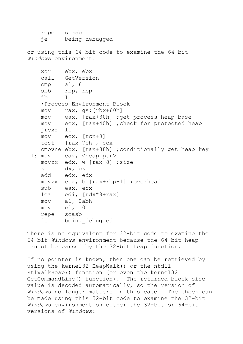```
 repe scasb
    je being_debugged
or using this 64-bit code to examine the 64-bit 
Windows environment:
    xor ebx, ebx
    call GetVersion
    cmp al, 6
    sbb rbp, rbp
    jb l1
    ;Process Environment Block
    mov rax, gs:[rbx+60h]
    mov eax, [rax+30h] ;get process heap base
    mov ecx, [rax+40h] ;check for protected heap
    jrcxz l1
    mov ecx, [rcx+8]
    test [rax+7ch], ecx
    cmovne ebx, [rax+88h] ;conditionally get heap key
11: mov eax, <heap ptr>
    movzx edx, w [rax-8] ;size
    xor dx, bx
    add edx, edx
    movzx ecx, b [rax+rbp-1] ;overhead
    sub eax, ecx
    lea edi, [rdx*8+rax]
    mov al, 0abh
    mov cl, 10h
    repe scasb
    je being_debugged
```
There is no equivalent for 32-bit code to examine the 64-bit *Windows* environment because the 64-bit heap cannot be parsed by the 32-bit heap function.

If no pointer is known, then one can be retrieved by using the kernel32 HeapWalk() or the ntdll RtlWalkHeap() function (or even the kernel32 GetCommandLine() function). The returned block size value is decoded automatically, so the version of *Windows* no longer matters in this case. The check can be made using this 32-bit code to examine the 32-bit *Windows* environment on either the 32-bit or 64-bit versions of *Windows*: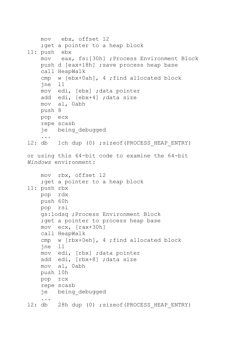```
 mov ebx, offset l2
    ; get a pointer to a heap block
l1: push ebx
     mov eax, fs:[30h] ;Process Environment Block
    push d [eax+18h] ; save process heap base
     call HeapWalk
     cmp w [ebx+0ah], 4 ;find allocated block
     jne l1
     mov edi, [ebx] ;data pointer
     add edi, [ebx+4] ;data size
     mov al, 0abh
     push 8
     pop ecx
     repe scasb
     je being_debugged
     ...
12: db 1ch dup (0) ; sizeof(PROCESS HEAP ENTRY)
or using this 64-bit code to examine the 64-bit 
Windows environment:
     mov rbx, offset l2
    ; get a pointer to a heap block
l1: push rbx
     pop rdx
     push 60h
     pop rsi
     gs:lodsq ;Process Environment Block
    ; get a pointer to process heap base
     mov ecx, [rax+30h]
     call HeapWalk
     cmp w [rbx+0eh], 4 ;find allocated block
     jne l1
     mov edi, [rbx] ;data pointer
     add edi, [rbx+8] ;data size
     mov al, 0abh
     push 10h
     pop rcx
     repe scasb
     je being_debugged
     ...
12: db 28h dup (0) ; sizeof(PROCESS HEAP ENTRY)
```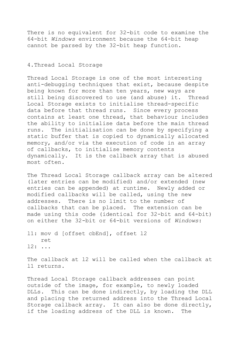There is no equivalent for 32-bit code to examine the 64-bit *Windows* environment because the 64-bit heap cannot be parsed by the 32-bit heap function.

# <span id="page-19-0"></span>4.Thread Local Storage

Thread Local Storage is one of the most interesting anti-debugging techniques that exist, because despite being known for more than ten years, new ways are still being discovered to use (and abuse) it. Thread Local Storage exists to initialise thread-specific data before that thread runs. Since every process contains at least one thread, that behaviour includes the ability to initialise data before the main thread runs. The initialisation can be done by specifying a static buffer that is copied to dynamically allocated memory, and/or via the execution of code in an array of callbacks, to initialise memory contents dynamically. It is the callback array that is abused most often.

The Thread Local Storage callback array can be altered (later entries can be modified) and/or extended (new entries can be appended) at runtime. Newly added or modified callbacks will be called, using the new addresses. There is no limit to the number of callbacks that can be placed. The extension can be made using this code (identical for 32-bit and 64-bit) on either the 32-bit or 64-bit versions of *Windows*:

l1: mov d [offset cbEnd], offset l2 ret l2: ...

The callback at l2 will be called when the callback at l1 returns.

Thread Local Storage callback addresses can point outside of the image, for example, to newly loaded DLLs. This can be done indirectly, by loading the DLL and placing the returned address into the Thread Local Storage callback array. It can also be done directly, if the loading address of the DLL is known. The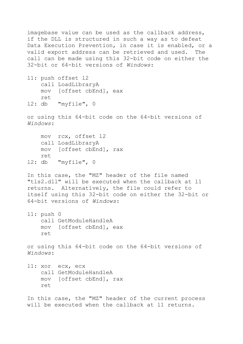imagebase value can be used as the callback address, if the DLL is structured in such a way as to defeat Data Execution Prevention, in case it is enabled, or a valid export address can be retrieved and used. The call can be made using this 32-bit code on either the 32-bit or 64-bit versions of *Windows*:

l1: push offset l2 call LoadLibraryA mov [offset cbEnd], eax ret l2: db "myfile", 0

or using this 64-bit code on the 64-bit versions of *Windows*:

 mov rcx, offset l2 call LoadLibraryA mov [offset cbEnd], rax ret l2: db "myfile", 0

In this case, the "MZ" header of the file named "tls2.dll" will be executed when the callback at l1 returns. Alternatively, the file could refer to itself using this 32-bit code on either the 32-bit or 64-bit versions of *Windows*:

l1: push 0 call GetModuleHandleA mov [offset cbEnd], eax ret

or using this 64-bit code on the 64-bit versions of *Windows*:

l1: xor ecx, ecx call GetModuleHandleA mov [offset cbEnd], rax ret

In this case, the "MZ" header of the current process will be executed when the callback at l1 returns.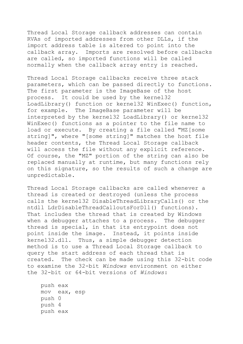Thread Local Storage callback addresses can contain RVAs of imported addresses from other DLLs, if the import address table is altered to point into the callback array. Imports are resolved before callbacks are called, so imported functions will be called normally when the callback array entry is reached.

Thread Local Storage callbacks receive three stack parameters, which can be passed directly to functions. The first parameter is the ImageBase of the host process. It could be used by the kernel32 LoadLibrary() function or kernel32 WinExec() function, for example. The ImageBase parameter will be interpreted by the kernel32 LoadLibrary() or kernel32 WinExec() functions as a pointer to the file name to load or execute. By creating a file called "MZ[some string]", where "[some string]" matches the host file header contents, the Thread Local Storage callback will access the file without any explicit reference. Of course, the "MZ" portion of the string can also be replaced manually at runtime, but many functions rely on this signature, so the results of such a change are unpredictable.

Thread Local Storage callbacks are called whenever a thread is created or destroyed (unless the process calls the kernel32 DisableThreadLibraryCalls() or the ntdll LdrDisableThreadCalloutsForDll() functions). That includes the thread that is created by Windows when a debugger attaches to a process. The debugger thread is special, in that its entrypoint does not point inside the image. Instead, it points inside kernel32.dll. Thus, a simple debugger detection method is to use a Thread Local Storage callback to query the start address of each thread that is created. The check can be made using this 32-bit code to examine the 32-bit *Windows* environment on either the 32-bit or 64-bit versions of *Windows*:

 push eax mov eax, esp push 0 push 4 push eax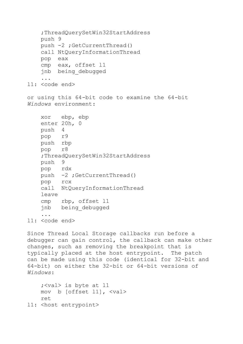```
 ;ThreadQuerySetWin32StartAddress
     push 9
     push -2 ;GetCurrentThread()
     call NtQueryInformationThread
     pop eax
     cmp eax, offset l1
     jnb being_debugged
     ...
l1: <code end>
or using this 64-bit code to examine the 64-bit 
Windows environment:
     xor ebp, ebp
     enter 20h, 0
     push 4
     pop r9
     push rbp
     pop r8
     ;ThreadQuerySetWin32StartAddress
     push 9
     pop rdx
     push -2 ;GetCurrentThread()
     pop rcx
     call NtQueryInformationThread
     leave
     cmp rbp, offset l1
     jnb being_debugged
```

```
 ...
l1: <code end>
```
Since Thread Local Storage callbacks run before a debugger can gain control, the callback can make other changes, such as removing the breakpoint that is typically placed at the host entrypoint. The patch can be made using this code (identical for 32-bit and 64-bit) on either the 32-bit or 64-bit versions of *Windows*:

```
 ;<val> is byte at l1
    mov b [offset l1], <val>
    ret
l1: <host entrypoint>
```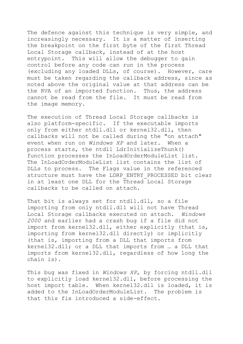The defence against this technique is very simple, and increasingly necessary. It is a matter of inserting the breakpoint on the first byte of the first Thread Local Storage callback, instead of at the host entrypoint. This will allow the debugger to gain control before any code can run in the process (excluding any loaded DLLs, of course). However, care must be taken regarding the callback address, since as noted above the original value at that address can be the RVA of an imported function. Thus, the address cannot be read from the file. It must be read from the image memory.

The execution of Thread Local Storage callbacks is also platform-specific. If the executable imports only from either ntdll.dll or kernel32.dll, then callbacks will not be called during the "on attach" event when run on *Windows XP* and later. When a process starts, the ntdll LdrInitializeThunk() function processes the InLoadOrderModuleList list. The InLoadOrderModuleList list contains the list of DLLs to process. The Flags value in the referenced structure must have the LDRP ENTRY PROCESSED bit clear in at least one DLL for the Thread Local Storage callbacks to be called on attach.

That bit is always set for ntdll.dll, so a file importing from only ntdll.dll will not have Thread Local Storage callbacks executed on attach. *Windows 2000* and earlier had a crash bug if a file did not import from kernel32.dll, either explicitly (that is, importing from kernel32.dll directly) or implicitly (that is, importing from a DLL that imports from kernel32.dll; or a DLL that imports from … a DLL that imports from kernel32.dll, regardless of how long the chain is).

This bug was fixed in *Windows XP*, by forcing ntdll.dll to explicitly load kernel32.dll, before processing the host import table. When kernel32.dll is loaded, it is added to the InLoadOrderModuleList. The problem is that this fix introduced a side-effect.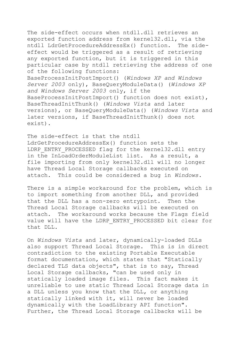The side-effect occurs when ntdll.dll retrieves an exported function address from kernel32.dll, via the ntdll LdrGetProcedureAddressEx() function. The sideeffect would be triggered as a result of retrieving any exported function, but it is triggered in this particular case by ntdll retrieving the address of one of the following functions: BaseProcessInitPostImport() (*Windows XP and Windows Server 2003* only), BaseQueryModuleData() (*Windows XP and Windows Server 2003* only, if the BaseProcessInitPostImport() function does not exist), BaseThreadInitThunk() (*Windows Vista* and later versions), or BaseQueryModuleData() (*Windows Vista* and later versions, if BaseThreadInitThunk() does not exist).

The side-effect is that the ntdll LdrGetProcedureAddressEx() function sets the LDRP ENTRY PROCESSED flag for the kernel32.dll entry in the InLoadOrderModuleList list. As a result, a file importing from only kernel32.dll will no longer have Thread Local Storage callbacks executed on attach. This could be considered a bug in *Windows*.

There is a simple workaround for the problem, which is to import something from another DLL, and provided that the DLL has a non-zero entrypoint. Then the Thread Local Storage callbacks will be executed on attach. The workaround works because the Flags field value will have the LDRP\_ENTRY\_PROCESSED bit clear for that DLL.

On *Windows Vista* and later, dynamically-loaded DLLs also support Thread Local Storage. This is in direct contradiction to the existing Portable Executable format documentation, which states that "Statically declared TLS data objects", that is to say, Thread Local Storage callbacks, "can be used only in statically loaded image files. This fact makes it unreliable to use static Thread Local Storage data in a DLL unless you know that the DLL, or anything statically linked with it, will never be loaded dynamically with the LoadLibrary API function". Further, the Thread Local Storage callbacks will be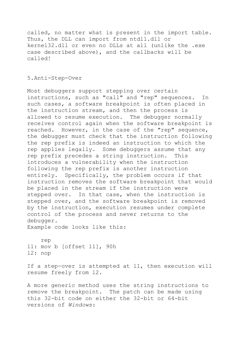called, no matter what is present in the import table. Thus, the DLL can import from ntdll.dll or kernel32.dll or even no DLLs at all (unlike the .exe case described above), and the callbacks will be called!

## <span id="page-25-0"></span>5.Anti-Step-Over

Most debuggers support stepping over certain instructions, such as "call" and "rep" sequences. In such cases, a software breakpoint is often placed in the instruction stream, and then the process is allowed to resume execution. The debugger normally receives control again when the software breakpoint is reached. However, in the case of the "rep" sequence, the debugger must check that the instruction following the rep prefix is indeed an instruction to which the rep applies legally. Some debuggers assume that any rep prefix precedes a string instruction. This introduces a vulnerability when the instruction following the rep prefix is another instruction entirely. Specifically, the problem occurs if that instruction removes the software breakpoint that would be placed in the stream if the instruction were stepped over. In that case, when the instruction is stepped over, and the software breakpoint is removed by the instruction, execution resumes under complete control of the process and never returns to the debugger.

Example code looks like this:

 rep l1: mov b [offset l1], 90h l2: nop

If a step-over is attempted at l1, then execution will resume freely from l2.

A more generic method uses the string instructions to remove the breakpoint. The patch can be made using this 32-bit code on either the 32-bit or 64-bit versions of *Windows*: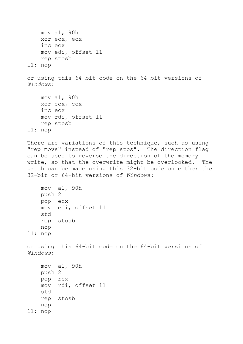mov al, 90h xor ecx, ecx inc ecx mov edi, offset l1 rep stosb l1: nop or using this 64-bit code on the 64-bit versions of *Windows*: mov al, 90h xor ecx, ecx inc ecx mov rdi, offset l1 rep stosb l1: nop There are variations of this technique, such as using "rep movs" instead of "rep stos". The direction flag can be used to reverse the direction of the memory write, so that the overwrite might be overlooked. The patch can be made using this 32-bit code on either the 32-bit or 64-bit versions of *Windows*: mov al, 90h push 2 pop ecx mov edi, offset l1 std rep stosb nop l1: nop or using this 64-bit code on the 64-bit versions of *Windows*: mov al, 90h push 2 pop rcx mov rdi, offset l1 std rep stosb nop l1: nop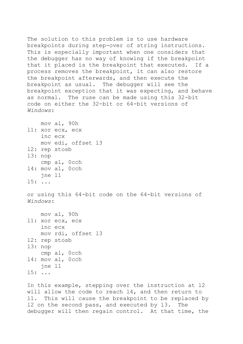The solution to this problem is to use hardware breakpoints during step-over of string instructions. This is especially important when one considers that the debugger has no way of knowing if the breakpoint that it placed is the breakpoint that executed. If a process removes the breakpoint, it can also restore the breakpoint afterwards, and then execute the breakpoint as usual. The debugger will see the breakpoint exception that it was expecting, and behave as normal. The ruse can be made using this 32-bit code on either the 32-bit or 64-bit versions of *Windows*:

 mov al, 90h l1: xor ecx, ecx inc ecx mov edi, offset l3 l2: rep stosb l3: nop cmp al, 0cch l4: mov al, 0cch jne l1 l5: ...

or using this 64-bit code on the 64-bit versions of *Windows*:

```
 mov al, 90h
l1: xor ecx, ecx
     inc ecx
     mov rdi, offset l3
l2: rep stosb
l3: nop
     cmp al, 0cch
l4: mov al, 0cch
     jne l1
l5: ...
```
In this example, stepping over the instruction at l2 will allow the code to reach l4, and then return to l1. This will cause the breakpoint to be replaced by l2 on the second pass, and executed by l3. The debugger will then regain control. At that time, the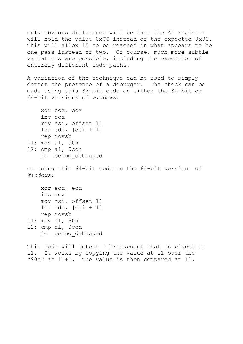only obvious difference will be that the AL register will hold the value 0xCC instead of the expected 0x90. This will allow l5 to be reached in what appears to be one pass instead of two. Of course, much more subtle variations are possible, including the execution of entirely different code-paths.

A variation of the technique can be used to simply detect the presence of a debugger. The check can be made using this 32-bit code on either the 32-bit or 64-bit versions of *Windows*:

```
 xor ecx, ecx
     inc ecx
     mov esi, offset l1
     lea edi, [esi + 1]
     rep movsb
l1: mov al, 90h
l2: cmp al, 0cch
     je being_debugged
```
or using this 64-bit code on the 64-bit versions of *Windows*:

 xor ecx, ecx inc ecx mov rsi, offset l1 lea rdi,  $[est + 1]$  rep movsb l1: mov al, 90h l2: cmp al, 0cch je being\_debugged

This code will detect a breakpoint that is placed at l1. It works by copying the value at l1 over the "90h" at l1+1. The value is then compared at l2.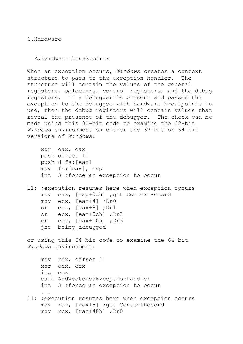<span id="page-29-0"></span>6.Hardware

<span id="page-29-1"></span>A.Hardware breakpoints

When an exception occurs, *Windows* creates a context structure to pass to the exception handler. The structure will contain the values of the general registers, selectors, control registers, and the debug registers. If a debugger is present and passes the exception to the debuggee with hardware breakpoints in use, then the debug registers will contain values that reveal the presence of the debugger. The check can be made using this 32-bit code to examine the 32-bit *Windows* environment on either the 32-bit or 64-bit versions of *Windows*:

```
 xor eax, eax
     push offset l1
     push d fs:[eax]
     mov fs:[eax], esp
     int 3 ;force an exception to occur
     ...
l1: ;execution resumes here when exception occurs
     mov eax, [esp+0ch] ;get ContextRecord
     mov ecx, [eax+4] ;Dr0
     or ecx, [eax+8] ;Dr1
     or ecx, [eax+0ch] ;Dr2
     or ecx, [eax+10h] ;Dr3
     jne being_debugged
or using this 64-bit code to examine the 64-bit 
Windows environment:
    mov rdx, offset l1
     xor ecx, ecx
     inc ecx
     call AddVectoredExceptionHandler
     int 3 ;force an exception to occur
 ...
l1: ;execution resumes here when exception occurs
```
 mov rax, [rcx+8] ;get ContextRecord mov rcx, [rax+48h] ;Dr0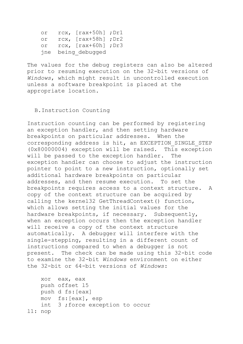or rcx, [rax+50h] ;Dr1 or rcx, [rax+58h] ;Dr2 or rcx, [rax+60h] ;Dr3 jne being\_debugged

The values for the debug registers can also be altered prior to resuming execution on the 32-bit versions of *Windows*, which might result in uncontrolled execution unless a software breakpoint is placed at the appropriate location.

## <span id="page-30-0"></span>B.Instruction Counting

Instruction counting can be performed by registering an exception handler, and then setting hardware breakpoints on particular addresses. When the corresponding address is hit, an EXCEPTION\_SINGLE\_STEP (0x80000004) exception will be raised. This exception will be passed to the exception handler. The exception handler can choose to adjust the instruction pointer to point to a new instruction, optionally set additional hardware breakpoints on particular addresses, and then resume execution. To set the breakpoints requires access to a context structure. A copy of the context structure can be acquired by calling the kernel32 GetThreadContext() function, which allows setting the initial values for the hardware breakpoints, if necessary. Subsequently, when an exception occurs then the exception handler will receive a copy of the context structure automatically. A debugger will interfere with the single-stepping, resulting in a different count of instructions compared to when a debugger is not present. The check can be made using this 32-bit code to examine the 32-bit *Windows* environment on either the 32-bit or 64-bit versions of *Windows*:

 xor eax, eax push offset l5 push d fs:[eax] mov fs:[eax], esp int 3 ;force exception to occur l1: nop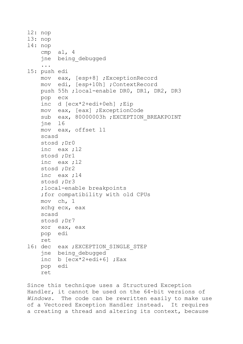```
l2: nop
l3: nop
l4: nop
    cmp al, 4
     jne being_debugged
     ...
l5: push edi
     mov eax, [esp+8] ;ExceptionRecord
     mov edi, [esp+10h] ;ContextRecord
     push 55h ;local-enable DR0, DR1, DR2, DR3
     pop ecx
     inc d [ecx*2+edi+0eh] ;Eip
     mov eax, [eax] ;ExceptionCode
    sub eax, 80000003h; EXCEPTION BREAKPOINT
     jne l6
     mov eax, offset l1
     scasd
     stosd ;Dr0
     inc eax ;l2
     stosd ;Dr1
     inc eax ;l2
     stosd ;Dr2
     inc eax ;l4
     stosd ;Dr3
     ;local-enable breakpoints
     ;for compatibility with old CPUs
     mov ch, 1
     xchg ecx, eax
     scasd
     stosd ;Dr7
     xor eax, eax
    pop edi
     ret
16: dec eax ; EXCEPTION SINGLE STEP
     jne being_debugged
     inc b [ecx*2+edi+6] ;Eax
    pop edi
     ret
```
Since this technique uses a Structured Exception Handler, it cannot be used on the 64-bit versions of *Windows*. The code can be rewritten easily to make use of a Vectored Exception Handler instead. It requires a creating a thread and altering its context, because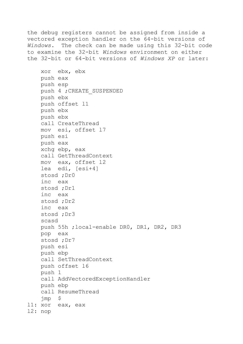the debug registers cannot be assigned from inside a vectored exception handler on the 64-bit versions of *Windows*. The check can be made using this 32-bit code to examine the 32-bit *Windows* environment on either the 32-bit or 64-bit versions of *Windows XP* or later:

 xor ebx, ebx push eax push esp push 4 ;CREATE\_SUSPENDED push ebx push offset l1 push ebx push ebx call CreateThread mov esi, offset l7 push esi push eax xchg ebp, eax call GetThreadContext mov eax, offset l2 lea edi, [esi+4] stosd ;Dr0 inc eax stosd ;Dr1 inc eax stosd ;Dr2 inc eax stosd ;Dr3 scasd push 55h ;local-enable DR0, DR1, DR2, DR3 pop eax stosd ;Dr7 push esi push ebp call SetThreadContext push offset l6 push 1 call AddVectoredExceptionHandler push ebp call ResumeThread jmp \$ l1: xor eax, eax l2: nop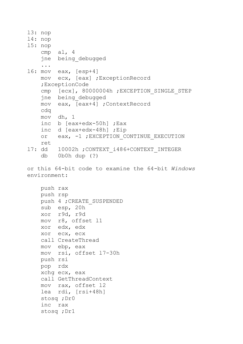```
l3: nop
l4: nop
l5: nop
     cmp al, 4
     jne being_debugged
     ...
l6: mov eax, [esp+4]
     mov ecx, [eax] ;ExceptionRecord
     ;ExceptionCode
    cmp [ecx], 80000004h ; EXCEPTION SINGLE STEP
     jne being_debugged
     mov eax, [eax+4] ;ContextRecord
     cdq
     mov dh, 1
     inc b [eax+edx-50h] ;Eax
     inc d [eax+edx-48h] ;Eip
    or eax, -1 ; EXCEPTION CONTINUE EXECUTION
     ret
l7: dd 10002h ;CONTEXT_i486+CONTEXT_INTEGER
     db 0b0h dup (?)
or this 64-bit code to examine the 64-bit Windows
environment:
     push rax
     push rsp
     push 4 ;CREATE_SUSPENDED
     sub esp, 20h
     xor r9d, r9d
     mov r8, offset l1
     xor edx, edx
     xor ecx, ecx
     call CreateThread
     mov ebp, eax
     mov rsi, offset l7-30h
     push rsi
     pop rdx
     xchg ecx, eax
     call GetThreadContext
     mov rax, offset l2
     lea rdi, [rsi+48h]
     stosq ;Dr0
     inc rax
     stosq ;Dr1
```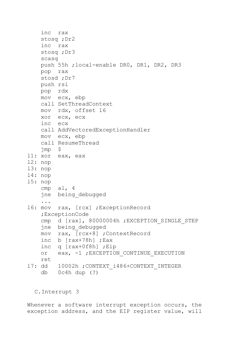```
 inc rax
     stosq ;Dr2
     inc rax
     stosq ;Dr3
     scasq
     push 55h ;local-enable DR0, DR1, DR2, DR3
     pop rax
     stosd ;Dr7
     push rsi
     pop rdx
     mov ecx, ebp
     call SetThreadContext
     mov rdx, offset l6
     xor ecx, ecx
     inc ecx
     call AddVectoredExceptionHandler
     mov ecx, ebp
     call ResumeThread
     jmp $
l1: xor eax, eax
l2: nop
l3: nop
l4: nop
l5: nop
     cmp al, 4
     jne being_debugged
     ...
16: mov rax, [rcx] ; Exception Record
     ;ExceptionCode
    cmp d [rax], 80000004h ; EXCEPTION SINGLE STEP
     jne being_debugged
     mov rax, [rcx+8] ;ContextRecord
     inc b [rax+78h] ;Eax
     inc q [rax+0f8h] ;Eip
    or eax, -1 ; EXCEPTION CONTINUE EXECUTION
     ret
17: dd 10002h ; CONTEXT i486+CONTEXT INTEGER
     db 0c4h dup (?)
```
<span id="page-34-0"></span>C.Interrupt 3

Whenever a software interrupt exception occurs, the exception address, and the EIP register value, will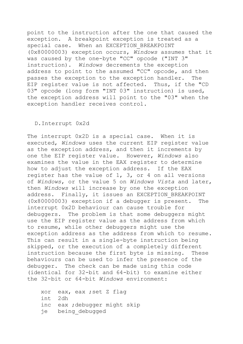point to the instruction after the one that caused the exception. A breakpoint exception is treated as a special case. When an EXCEPTION\_BREAKPOINT (0x80000003) exception occurs, *Windows* assumes that it was caused by the one-byte "CC" opcode ("INT 3" instruction). *Windows* decrements the exception address to point to the assumed "CC" opcode, and then passes the exception to the exception handler. The EIP register value is not affected. Thus, if the "CD 03" opcode (long form "INT 03" instruction) is used, the exception address will point to the "03" when the exception handler receives control.

## <span id="page-35-0"></span>D.Interrupt 0x2d

The interrupt 0x2D is a special case. When it is executed, *Windows* uses the current EIP register value as the exception address, and then it increments by one the EIP register value. However, *Windows* also examines the value in the EAX register to determine how to adjust the exception address. If the EAX register has the value of 1, 3, or 4 on all versions of *Windows*, or the value 5 on *Windows Vista* and later, then *Windows* will increase by one the exception address. Finally, it issues an EXCEPTION BREAKPOINT (0x80000003) exception if a debugger is present. The interrupt 0x2D behaviour can cause trouble for debuggers. The problem is that some debuggers might use the EIP register value as the address from which to resume, while other debuggers might use the exception address as the address from which to resume. This can result in a single-byte instruction being skipped, or the execution of a completely different instruction because the first byte is missing. These behaviours can be used to infer the presence of the debugger. The check can be made using this code (identical for 32-bit and 64-bit) to examine either the 32-bit or 64-bit *Windows* environment:

 xor eax, eax ;set Z flag int 2dh inc eax ;debugger might skip je being\_debugged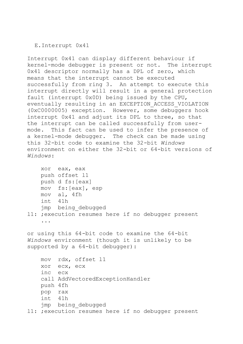### E.Interrupt 0x41

Interrupt 0x41 can display different behaviour if kernel-mode debugger is present or not. The interrupt 0x41 descriptor normally has a DPL of zero, which means that the interrupt cannot be executed successfully from ring 3. An attempt to execute this interrupt directly will result in a general protection fault (interrupt 0x0D) being issued by the CPU, eventually resulting in an EXCEPTION\_ACCESS\_VIOLATION (0xC0000005) exception. However, some debuggers hook interrupt 0x41 and adjust its DPL to three, so that the interrupt can be called successfully from usermode. This fact can be used to infer the presence of a kernel-mode debugger. The check can be made using this 32-bit code to examine the 32-bit *Windows* environment on either the 32-bit or 64-bit versions of *Windows*:

```
 xor eax, eax
     push offset l1
     push d fs:[eax]
     mov fs:[eax], esp
    mov al, 4fh
     int 41h
     jmp being_debugged
l1: ;execution resumes here if no debugger present
     ...
or using this 64-bit code to examine the 64-bit 
Windows environment (though it is unlikely to be 
supported by a 64-bit debugger):
     mov rdx, offset l1
     xor ecx, ecx
     inc ecx
     call AddVectoredExceptionHandler
     push 4fh
     pop rax
     int 41h
     jmp being_debugged
l1: ;execution resumes here if no debugger present
```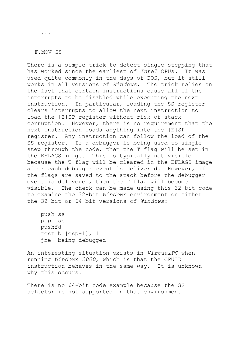...

#### F.MOV SS

There is a simple trick to detect single-stepping that has worked since the earliest of *Intel* CPUs. It was used quite commonly in the days of DOS, but it still works in all versions of *Windows*. The trick relies on the fact that certain instructions cause all of the interrupts to be disabled while executing the next instruction. In particular, loading the SS register clears interrupts to allow the next instruction to load the [E]SP register without risk of stack corruption. However, there is no requirement that the next instruction loads anything into the [E]SP register. Any instruction can follow the load of the SS register. If a debugger is being used to singlestep through the code, then the T flag will be set in the EFLAGS image. This is typically not visible because the T flag will be cleared in the EFLAGS image after each debugger event is delivered. However, if the flags are saved to the stack before the debugger event is delivered, then the T flag will become visible. The check can be made using this 32-bit code to examine the 32-bit *Windows* environment on either the 32-bit or 64-bit versions of *Windows*:

 push ss pop ss pushfd test b [esp+1], 1 jne being\_debugged

An interesting situation exists in *VirtualPC* when running *Windows 2000*, which is that the CPUID instruction behaves in the same way. It is unknown why this occurs.

There is no 64-bit code example because the SS selector is not supported in that environment.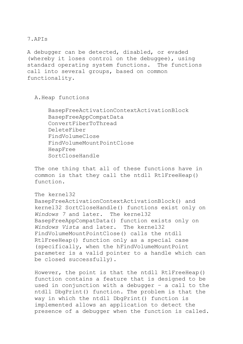A debugger can be detected, disabled, or evaded (whereby it loses control on the debuggee), using standard operating system functions. The functions call into several groups, based on common functionality.

```
A.Heap functions
```
 BasepFreeActivationContextActivationBlock BasepFreeAppCompatData ConvertFiberToThread DeleteFiber FindVolumeClose FindVolumeMountPointClose HeapFree SortCloseHandle

The one thing that all of these functions have in common is that they call the ntdll RtlFreeHeap() function.

```
The kernel32 
BasepFreeActivationContextActivationBlock() and 
kernel32 SortCloseHandle() functions exist only on 
Windows 7 and later. The kernel32 
BasepFreeAppCompatData() function exists only on 
Windows Vista and later. The kernel32 
FindVolumeMountPointClose() calls the ntdll 
RtlFreeHeap() function only as a special case
(specifically, when the hFindVolumeMountPoint 
parameter is a valid pointer to a handle which can 
be closed successfully).
```
However, the point is that the ntdll RtlFreeHeap() function contains a feature that is designed to be used in conjunction with a debugger – a call to the ntdll DbgPrint() function. The problem is that the way in which the ntdll DbgPrint() function is implemented allows an application to detect the presence of a debugger when the function is called.

# 7.APIs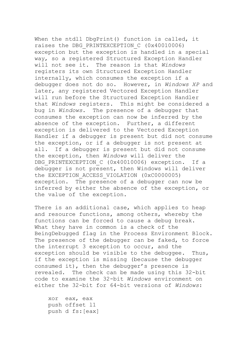When the ntdll DbgPrint() function is called, it raises the DBG PRINTEXCEPTION C (0x40010006) exception but the exception is handled in a special way, so a registered Structured Exception Handler will not see it. The reason is that *Windows* registers its own Structured Exception Handler internally, which consumes the exception if a debugger does not do so. However, in *Windows XP* and later, any registered Vectored Exception Handler will run before the Structured Exception Handler that *Windows* registers. This might be considered a bug in *Windows*. The presence of a debugger that consumes the exception can now be inferred by the absence of the exception. Further, a different exception is delivered to the Vectored Exception Handler if a debugger is present but did not consume the exception, or if a debugger is not present at all. If a debugger is present but did not consume the exception, then *Windows* will deliver the DBG PRINTEXCEPTION C (0x40010006) exception. If a debugger is not present, then Windows will deliver the EXCEPTION ACCESS VIOLATION (0xC0000005) exception. The presence of a debugger can now be inferred by either the absence of the exception, or the value of the exception.

There is an additional case, which applies to heap and resource functions, among others, whereby the functions can be forced to cause a debug break. What they have in common is a check of the BeingDebugged flag in the Process Environment Block. The presence of the debugger can be faked, to force the interrupt 3 exception to occur, and the exception should be visible to the debuggee. Thus, if the exception is missing (because the debugger consumed it), then the debugger's presence is revealed. The check can be made using this 32-bit code to examine the 32-bit *Windows* environment on either the 32-bit for 64-bit versions of *Windows*:

 xor eax, eax push offset l1 push d fs:[eax]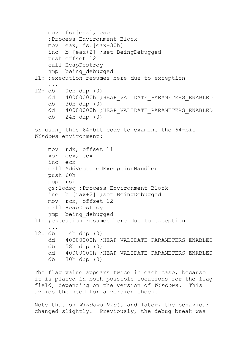```
 mov fs:[eax], esp
     ;Process Environment Block
     mov eax, fs:[eax+30h]
     inc b [eax+2] ;set BeingDebugged
    push offset l2
     call HeapDestroy
    jmp being_debugged
l1: ;execution resumes here due to exception
     ...
l2: db 0ch dup (0)
    dd 40000000h; HEAP_VALIDATE_PARAMETERS_ENABLED
     db 30h dup (0)
    dd 40000000h ; HEAP VALIDATE PARAMETERS ENABLED
     db 24h dup (0)
or using this 64-bit code to examine the 64-bit 
Windows environment:
     mov rdx, offset l1
     xor ecx, ecx
     inc ecx
     call AddVectoredExceptionHandler
    push 60h
    pop rsi
     gs:lodsq ;Process Environment Block
    inc b [rax+2] ;set BeingDebugged
    mov rcx, offset l2
    call HeapDestroy
    jmp being_debugged
l1: ;execution resumes here due to exception
     ...
l2: db 14h dup (0)
    dd 40000000h; HEAP_VALIDATE_PARAMETERS_ENABLED
     db 58h dup (0)
    dd 40000000h; HEAP_VALIDATE_PARAMETERS_ENABLED
     db 30h dup (0)
```
The flag value appears twice in each case, because it is placed in both possible locations for the flag field, depending on the version of *Windows.* This avoids the need for a version check.

Note that on *Windows Vista* and later, the behaviour changed slightly. Previously, the debug break was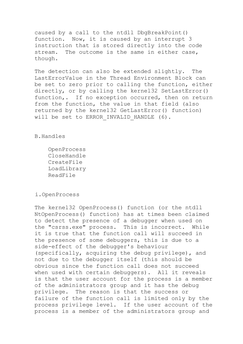caused by a call to the ntdll DbgBreakPoint() function. Now, it is caused by an interrupt 3 instruction that is stored directly into the code stream. The outcome is the same in either case, though.

The detection can also be extended slightly. The LastErrorValue in the Thread Environment Block can be set to zero prior to calling the function, either directly, or by calling the kernel32 SetLastError() function,. If no exception occurred, then on return from the function, the value in that field (also returned by the kernel32 GetLastError() function) will be set to ERROR INVALID HANDLE (6).

B.Handles

 OpenProcess CloseHandle CreateFile LoadLibrary ReadFile

i.OpenProcess

The kernel32 OpenProcess() function (or the ntdll NtOpenProcess() function) has at times been claimed to detect the presence of a debugger when used on the "csrss.exe" process. This is incorrect. While it is true that the function call will succeed in the presence of some debuggers, this is due to a side-effect of the debugger's behaviour (specifically, acquiring the debug privilege), and not due to the debugger itself (this should be obvious since the function call does not succeed when used with certain debuggers). All it reveals is that the user account for the process is a member of the administrators group and it has the debug privilege. The reason is that the success or failure of the function call is limited only by the process privilege level. If the user account of the process is a member of the administrators group and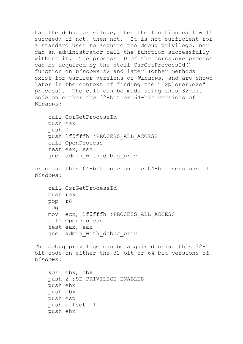has the debug privilege, then the function call will succeed; if not, then not. It is not sufficient for a standard user to acquire the debug privilege, nor can an administrator call the function successfully without it. The process ID of the csrss.exe process can be acquired by the ntdll CsrGetProcessId() function on *Windows XP* and later (other methods exist for earlier versions of *Windows*, and are shown later in the context of finding the "Explorer.exe" process). The call can be made using this 32-bit code on either the 32-bit or 64-bit versions of *Windows*:

```
 call CsrGetProcessId
 push eax
 push 0
 push 1f0fffh ;PROCESS_ALL_ACCESS
 call OpenProcess
 test eax, eax
 jne admin_with_debug_priv
```
or using this 64-bit code on the 64-bit versions of *Windows*:

```
 call CsrGetProcessId
 push rax
 pop r8
 cdq
 mov ecx, 1f0fffh ;PROCESS_ALL_ACCESS
 call OpenProcess
 test eax, eax
 jne admin_with_debug_priv
```

```
The debug privilege can be acquired using this 32-
bit code on either the 32-bit or 64-bit versions of 
Windows:
```

```
 xor ebx, ebx
push 2 ; SE_PRIVILEGE_ENABLED
 push ebx
 push ebx
 push esp
 push offset l1
 push ebx
```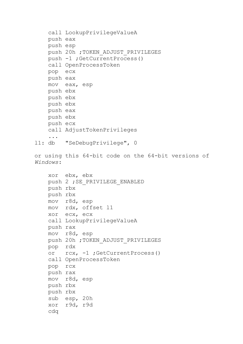```
 call LookupPrivilegeValueA
     push eax
     push esp
    push 20h ; TOKEN ADJUST PRIVILEGES
     push -1 ;GetCurrentProcess()
     call OpenProcessToken
     pop ecx
     push eax
     mov eax, esp
     push ebx
     push ebx
     push ebx
     push eax
     push ebx
     push ecx
     call AdjustTokenPrivileges
     ...
l1: db "SeDebugPrivilege", 0
or using this 64-bit code on the 64-bit versions of 
Windows:
     xor ebx, ebx
    push 2 ; SE_PRIVILEGE_ENABLED
     push rbx
     push rbx
     mov r8d, esp
     mov rdx, offset l1
     xor ecx, ecx
     call LookupPrivilegeValueA
     push rax
     mov r8d, esp
    push 20h ; TOKEN ADJUST PRIVILEGES
     pop rdx
     or rcx, -1 ;GetCurrentProcess()
     call OpenProcessToken
     pop rcx
     push rax
     mov r8d, esp
     push rbx
     push rbx
     sub esp, 20h
     xor r9d, r9d
     cdq
```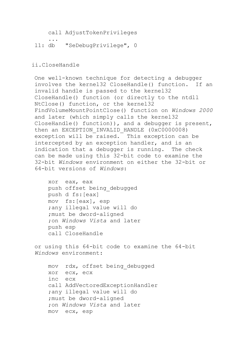call AdjustTokenPrivileges

 ... l1: db "SeDebugPrivilege", 0

### ii.CloseHandle

One well-known technique for detecting a debugger involves the kernel32 CloseHandle() function. If an invalid handle is passed to the kernel32 CloseHandle() function (or directly to the ntdll NtClose() function, or the kernel32 FindVolumeMountPointClose() function on *Windows 2000* and later (which simply calls the kernel32 CloseHandle() function)), and a debugger is present, then an EXCEPTION INVALID HANDLE (0xC0000008) exception will be raised. This exception can be intercepted by an exception handler, and is an indication that a debugger is running. The check can be made using this 32-bit code to examine the 32-bit *Windows* environment on either the 32-bit or 64-bit versions of *Windows*:

 xor eax, eax push offset being\_debugged push d fs:[eax] mov fs:[eax], esp ;any illegal value will do ;must be dword-aligned ;on *Windows Vista* and later push esp call CloseHandle

or using this 64-bit code to examine the 64-bit *Windows* environment:

 mov rdx, offset being\_debugged xor ecx, ecx inc ecx call AddVectoredExceptionHandler ;any illegal value will do ;must be dword-aligned ;on *Windows Vista* and later mov ecx, esp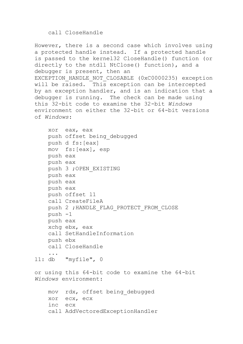### call CloseHandle

```
However, there is a second case which involves using 
a protected handle instead. If a protected handle 
is passed to the kernel32 CloseHandle() function (or 
directly to the ntdll NtClose() function), and a 
debugger is present, then an 
EXCEPTION_HANDLE_NOT_CLOSABLE (0xC0000235) exception 
will be raised. This exception can be intercepted 
by an exception handler, and is an indication that a 
debugger is running. The check can be made using 
this 32-bit code to examine the 32-bit Windows
environment on either the 32-bit or 64-bit versions 
of Windows:
     xor eax, eax
     push offset being_debugged
     push d fs:[eax]
     mov fs:[eax], esp
     push eax
     push eax
     push 3 ;OPEN_EXISTING
     push eax
     push eax
     push eax
     push offset l1
     call CreateFileA
    push 2 ; HANDLE FLAG PROTECT FROM CLOSE
     push -1
     push eax
     xchg ebx, eax
     call SetHandleInformation
     push ebx
     call CloseHandle
     ...
l1: db "myfile", 0
or using this 64-bit code to examine the 64-bit 
Windows environment:
     mov rdx, offset being_debugged
```

```
 xor ecx, ecx
 inc ecx
 call AddVectoredExceptionHandler
```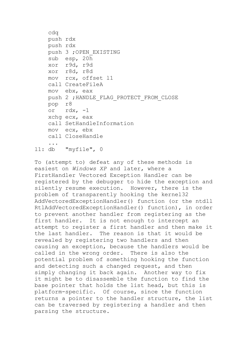```
 cdq
     push rdx
     push rdx
     push 3 ;OPEN_EXISTING
     sub esp, 20h
     xor r9d, r9d
     xor r8d, r8d
     mov rcx, offset l1
     call CreateFileA
     mov ebx, eax
     push 2 ;HANDLE_FLAG_PROTECT_FROM_CLOSE
     pop r8
     or rdx, -1
     xchg ecx, eax
     call SetHandleInformation
     mov ecx, ebx
     call CloseHandle
     ...
l1: db "myfile", 0
```
To (attempt to) defeat any of these methods is easiest on *Windows XP* and later, where a FirstHandler Vectored Exception Handler can be registered by the debugger to hide the exception and silently resume execution. However, there is the problem of transparently hooking the kernel32 AddVectoredExceptionHandler() function (or the ntdll RtlAddVectoredExceptionHandler() function), in order to prevent another handler from registering as the first handler. It is not enough to intercept an attempt to register a first handler and then make it the last handler. The reason is that it would be revealed by registering two handlers and then causing an exception, because the handlers would be called in the wrong order. There is also the potential problem of something hooking the function and detecting such a changed request, and then simply changing it back again. Another way to fix it might be to disassemble the function to find the base pointer that holds the list head, but this is platform-specific. Of course, since the function returns a pointer to the handler structure, the list can be traversed by registering a handler and then parsing the structure.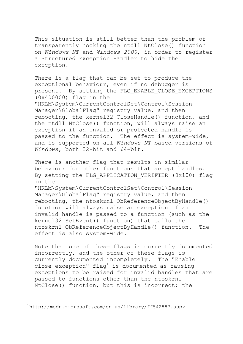This situation is still better than the problem of transparently hooking the ntdll NtClose() function on *Windows NT* and *Windows 2000*, in order to register a Structured Exception Handler to hide the exception.

There is a flag that can be set to produce the exceptional behaviour, even if no debugger is present. By setting the FLG ENABLE CLOSE EXCEPTIONS (0x400000) flag in the "HKLM\System\CurrentControlSet\Control\Session Manager\GlobalFlag" registry value, and then rebooting, the kernel32 CloseHandle() function, and the ntdll NtClose() function, will always raise an exception if an invalid or protected handle is passed to the function. The effect is system-wide, and is supported on all *Windows NT*-based versions of *Windows*, both 32-bit and 64-bit.

There is another flag that results in similar behaviour for other functions that accept handles. By setting the FLG APPLICATION VERIFIER (0x100) flag in the "HKLM\System\CurrentControlSet\Control\Session Manager\GlobalFlag" registry value, and then rebooting, the ntoskrnl ObReferenceObjectByHandle() function will always raise an exception if an invalid handle is passed to a function (such as the kernel32 SetEvent() function) that calls the ntoskrnl ObReferenceObjectByHandle() function. The effect is also system-wide.

Note that one of these flags is currently documented incorrectly, and the other of these flags is currently documented incompletely. The "Enable close exception"  $flag<sup>1</sup>$  is documented as causing exceptions to be raised for invalid handles that are passed to functions other than the ntoskrnl NtClose() function, but this is incorrect; the

 $\ddot{\phantom{a}}$ 

<sup>1</sup> http://msdn.microsoft.com/en-us/library/ff542887.aspx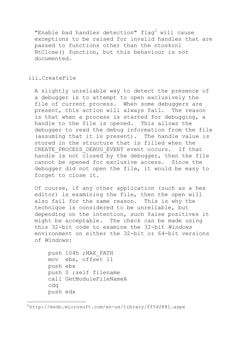"Enable bad handles detection"  $flag<sup>2</sup>$  will cause exceptions to be raised for invalid handles that are passed to functions other than the ntoskrnl NtClose() function, but this behaviour is not documented.

# iii.CreateFile

A slightly unreliable way to detect the presence of a debugger is to attempt to open exclusively the file of current process. When some debuggers are present, this action will always fail. The reason is that when a process is started for debugging, a handle to the file is opened. This allows the debugger to read the debug information from the file (assuming that it is present). The handle value is stored in the structure that is filled when the CREATE PROCESS DEBUG EVENT event occurs. If that handle is not closed by the debugger, then the file cannot be opened for exclusive access. Since the debugger did not open the file, it would be easy to forget to close it.

Of course, if any other application (such as a hex editor) is examining the file, then the open will also fail for the same reason. This is why the technique is considered to be unreliable, but depending on the intention, such false positives it might be acceptable. The check can be made using this 32-bit code to examine the 32-bit *Windows* environment on either the 32-bit or 64-bit versions of *Windows*:

```
 push 104h ;MAX_PATH
 mov ebx, offset l1
 push ebx
 push 0 ;self filename
 call GetModuleFileNameA
 cdq
 push edx
```
 $\ddot{\phantom{a}}$ <sup>2</sup> http://msdn.microsoft.com/en-us/library/ff542881.aspx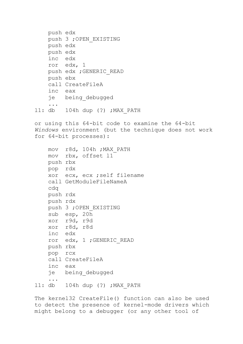```
 push edx
     push 3 ;OPEN_EXISTING
     push edx
     push edx
     inc edx
     ror edx, 1
     push edx ;GENERIC_READ
     push ebx
     call CreateFileA
     inc eax
     je being_debugged
     ...
l1: db 104h dup (?) ;MAX_PATH
or using this 64-bit code to examine the 64-bit 
Windows environment (but the technique does not work 
for 64-bit processes):
     mov r8d, 104h ;MAX_PATH
     mov rbx, offset l1
     push rbx
     pop rdx
     xor ecx, ecx ;self filename
     call GetModuleFileNameA
     cdq
     push rdx
     push rdx
     push 3 ;OPEN_EXISTING
     sub esp, 20h
     xor r9d, r9d
     xor r8d, r8d
     inc edx
     ror edx, 1 ;GENERIC_READ
     push rbx
     pop rcx
     call CreateFileA
     inc eax
     je being_debugged
     ...
l1: db 104h dup (?) ;MAX_PATH
```
The kernel32 CreateFile() function can also be used to detect the presence of kernel-mode drivers which might belong to a debugger (or any other tool of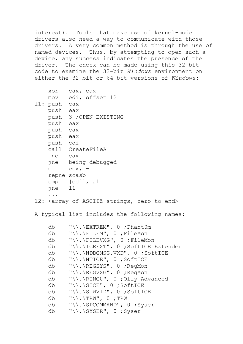interest). Tools that make use of kernel-mode drivers also need a way to communicate with those drivers. A very common method is through the use of named devices. Thus, by attempting to open such a device, any success indicates the presence of the driver. The check can be made using this 32-bit code to examine the 32-bit *Windows* environment on either the 32-bit or 64-bit versions of *Windows*:

| XOY          | eax, eax               |
|--------------|------------------------|
|              | mov edi, offset 12     |
| 11: push eax |                        |
| push eax     |                        |
|              | push 3 ; OPEN EXISTING |
| push eax     |                        |
| push eax     |                        |
| push eax     |                        |
| push edi     |                        |
|              | call CreateFileA       |
| inc eax      |                        |
|              | jne being debugged     |
|              | or $ex, -1$            |
|              | repne scasb            |
|              | cmp [edi], al          |
| $ine$ 11     |                        |
|              |                        |

12: < array of ASCIIZ strings, zero to end>

A typical list includes the following names:

| db | $"\wedge\ldots\wedge$ EXTREM", 0 ; Phant0m                |
|----|-----------------------------------------------------------|
| db | $"\wedge\wedge\wedge$ FILEM", 0 ; FileMon                 |
| db | $"\wedge\wedge\wedge$ FILEVXG", 0 ; FileMon               |
| db | "\\.\ICEEXT", 0; SoftICE Extender                         |
| db | $"\w$ . NDBGMSG. VXD", 0 ; SoftICE                        |
| db |                                                           |
| db | $"\wedge\wedge\wedge\wedge$ REGSYS", 0 ; RegMon           |
| db | $"\wedge\wedge\wedge$ REGVXG", 0 ; RegMon                 |
| db | $"\wedge\ldots\wedge\mathbb{R}$ INGO", 0 ; Olly Advanced  |
| db | $"\backslash\backslash$ . \SICE", 0; SoftICE              |
| db | $"\wedge\ldots\wedge\mathbb{S}IWD", 0 ;\mathsf{SoftICE}$  |
| db | $"\setminus\setminus\ldots\setminus\text{TRW}"$ , 0 ; TRW |
| db | $"\wedge\ldots\wedge\text{SPCOMMAND", 0 }$ ; Syser        |
| db | $"\backslash\backslash$ . \SYSER", 0; Syser               |
|    |                                                           |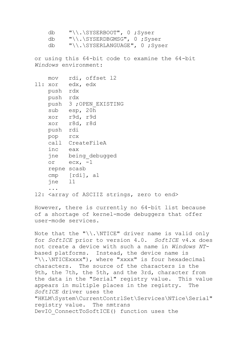```
 db "\\.\SYSERBOOT", 0 ;Syser
 db "\\.\SYSERDBGMSG", 0 ;Syser
 db "\\.\SYSERLANGUAGE", 0 ;Syser
```
or using this 64-bit code to examine the 64-bit *Windows* environment:

```
 mov rdi, offset l2
l1: xor edx, edx
    push rdx
    push rdx
    push 3 ;OPEN_EXISTING
    sub esp, 20h
    xor r9d, r9d
    xor r8d, r8d
    push rdi
    pop rcx
    call CreateFileA
    inc eax
    jne being_debugged
    or ecx, -1
    repne scasb
    cmp [rdi], al
    jne l1
     ...
12: <array of ASCIIZ strings, zero to end>
```
However, there is currently no 64-bit list because of a shortage of kernel-mode debuggers that offer user-mode services.

Note that the "\\.\NTICE" driver name is valid only for *SoftICE* prior to version 4.0. *SoftICE* v4.x does not create a device with such a name in *Windows NT*based platforms. Instead, the device name is "\\.\NTICExxxx"), where "xxxx" is four hexadecimal characters. The source of the characters is the 9th, the 7th, the 5th, and the 3rd, character from the data in the "Serial" registry value. This value appears in multiple places in the registry. The *SoftICE* driver uses the "HKLM\System\CurrentContrlSet\Services\NTice\Serial" registry value. The nmtrans DevIO ConnectToSoftICE() function uses the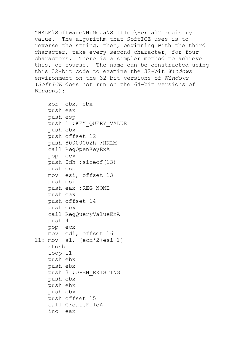"HKLM\Software\NuMega\SoftIce\Serial" registry value. The algorithm that SoftICE uses is to reverse the string, then, beginning with the third character, take every second character, for four characters. There is a simpler method to achieve this, of course. The name can be constructed using this 32-bit code to examine the 32-bit *Windows* environment on the 32-bit versions of *Windows* (*SoftICE* does not run on the 64-bit versions of *Windows*):

 xor ebx, ebx push eax push esp push 1 ; KEY QUERY VALUE push ebx push offset l2 push 80000002h ;HKLM call RegOpenKeyExA pop ecx push 0dh ;sizeof(l3) push esp mov esi, offset l3 push esi push eax ; REG\_NONE push eax push offset l4 push ecx call RegQueryValueExA push 4 pop ecx mov edi, offset l6 l1: mov al, [ecx\*2+esi+1] stosb loop l1 push ebx push ebx push 3 ;OPEN\_EXISTING push ebx push ebx push ebx push offset l5 call CreateFileA inc eax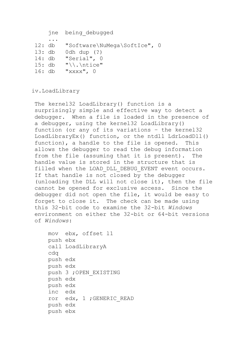jne being\_debugged

```
 ...
l2: db "Software\NuMega\SoftIce", 0
l3: db 0dh dup (?)
l4: db "Serial", 0
l5: db "\\.\ntice"
l6: db "xxxx", 0
```
iv.LoadLibrary

The kernel32 LoadLibrary() function is a surprisingly simple and effective way to detect a debugger. When a file is loaded in the presence of a debugger, using the kernel32 LoadLibrary() function (or any of its variations – the kernel32 LoadLibraryEx() function, or the ntdll LdrLoadDll() function), a handle to the file is opened. This allows the debugger to read the debug information from the file (assuming that it is present). The handle value is stored in the structure that is filled when the LOAD DLL DEBUG EVENT event occurs. If that handle is not closed by the debugger (unloading the DLL will not close it), then the file cannot be opened for exclusive access. Since the debugger did not open the file, it would be easy to forget to close it. The check can be made using this 32-bit code to examine the 32-bit *Windows* environment on either the 32-bit or 64-bit versions of *Windows*:

```
 mov ebx, offset l1
 push ebx
 call LoadLibraryA
 cdq
 push edx
 push edx
 push 3 ;OPEN_EXISTING
 push edx
 push edx
 inc edx
 ror edx, 1 ;GENERIC_READ
 push edx
 push ebx
```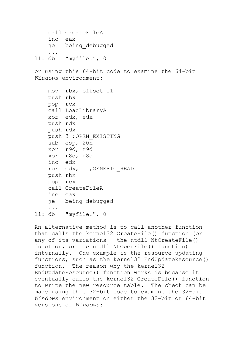```
 call CreateFileA
     inc eax
     je being_debugged
     ...
l1: db "myfile.", 0
```
or using this 64-bit code to examine the 64-bit *Windows* environment:

```
 mov rbx, offset l1
    push rbx
    pop rcx
     call LoadLibraryA
     xor edx, edx
    push rdx
    push rdx
    push 3 ;OPEN_EXISTING
     sub esp, 20h
    xor r9d, r9d
     xor r8d, r8d
    inc edx
     ror edx, 1 ;GENERIC_READ
    push rbx
    pop rcx
     call CreateFileA
     inc eax
     je being_debugged
     ...
l1: db "myfile.", 0
```
An alternative method is to call another function that calls the kernel32 CreateFile() function (or any of its variations – the ntdll NtCreateFile() function, or the ntdll NtOpenFile() function) internally. One example is the resource-updating functions, such as the kernel32 EndUpdateResource() function. The reason why the kernel32 EndUpdateResource() function works is because it eventually calls the kernel32 CreateFile() function to write the new resource table. The check can be made using this 32-bit code to examine the 32-bit *Windows* environment on either the 32-bit or 64-bit versions of *Windows*: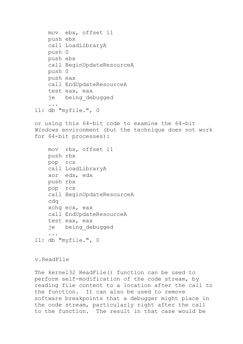```
 mov ebx, offset l1
     push ebx
     call LoadLibraryA
     push 0
     push ebx
     call BeginUpdateResourceA
     push 0
     push eax
     call EndUpdateResourceA
     test eax, eax
     je being_debugged
 ...
l1: db "myfile.", 0
or using this 64-bit code to examine the 64-bit 
Windows environment (but the technique does not work 
for 64-bit processes):
     mov rbx, offset l1
     push rbx
     pop rcx
     call LoadLibraryA
     xor edx, edx
     push rbx
     pop rcx
     call BeginUpdateResourceA
     cdq
     xchg ecx, eax
     call EndUpdateResourceA
     test eax, eax
     je being_debugged
 ...
l1: db "myfile.", 0
```
v.ReadFile

The kernel32 ReadFile() function can be used to perform self-modification of the code stream, by reading file content to a location after the call to the function. It can also be used to remove software breakpoints that a debugger might place in the code stream, particularly right after the call to the function. The result in that case would be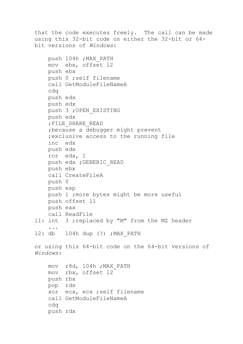that the code executes freely. The call can be made using this 32-bit code on either the 32-bit or 64 bit versions of *Windows*: push 104h ;MAX\_PATH mov ebx, offset l2 push ebx push 0 ;self filename call GetModuleFileNameA cdq push edx push edx push 3 ;OPEN\_EXISTING push edx ;FILE\_SHARE\_READ ;because a debugger might prevent ;exclusive access to the running file inc edx push edx ror edx, 1 push edx ;GENERIC\_READ push ebx call CreateFileA push 0 push esp push 1 ;more bytes might be more useful push offset l1 push eax call ReadFile l1: int 3 ;replaced by "M" from the MZ header ... l2: db 104h dup (?) ;MAX\_PATH or using this 64-bit code on the 64-bit versions of *Windows*: mov r8d, 104h ;MAX\_PATH mov rbx, offset l2 push rbx pop rdx xor ecx, ecx ;self filename call GetModuleFileNameA cdq push rdx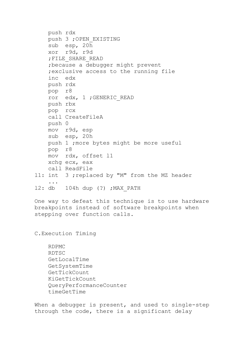```
 push rdx
     push 3 ;OPEN_EXISTING
     sub esp, 20h
     xor r9d, r9d
     ;FILE_SHARE_READ
     ;because a debugger might prevent
     ;exclusive access to the running file
     inc edx
     push rdx
     pop r8
     ror edx, 1 ;GENERIC_READ
     push rbx
     pop rcx
     call CreateFileA
     push 0
     mov r9d, esp
     sub esp, 20h
     push 1 ;more bytes might be more useful
     pop r8
     mov rdx, offset l1
     xchg ecx, eax
     call ReadFile
l1: int 3 ;replaced by "M" from the MZ header
     ...
l2: db 104h dup (?) ;MAX_PATH
One way to defeat this technique is to use hardware
```
breakpoints instead of software breakpoints when stepping over function calls.

C.Execution Timing

```
 RDPMC
 RDTSC
 GetLocalTime
 GetSystemTime
 GetTickCount
 KiGetTickCount
 QueryPerformanceCounter
 timeGetTime
```
When a debugger is present, and used to single-step through the code, there is a significant delay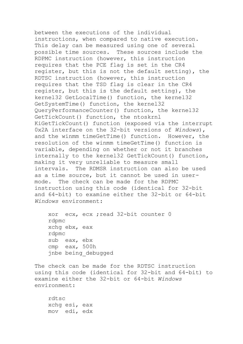between the executions of the individual instructions, when compared to native execution. This delay can be measured using one of several possible time sources. These sources include the RDPMC instruction (however, this instruction requires that the PCE flag is set in the CR4 register, but this is not the default setting), the RDTSC instruction (however, this instruction requires that the TSD flag is clear in the CR4 register, but this is the default setting), the kernel32 GetLocalTime() function, the kernel32 GetSystemTime() function, the kernel32 QueryPerformanceCounter() function, the kernel32 GetTickCount() function, the ntoskrnl KiGetTickCount() function (exposed via the interrupt 0x2A interface on the 32-bit versions of *Windows*), and the winmm timeGetTime() function. However, the resolution of the winmm timeGetTime() function is variable, depending on whether or not it branches internally to the kernel32 GetTickCount() function, making it very unreliable to measure small intervals. The RDMSR instruction can also be used as a time source, but it cannot be used in usermode. The check can be made for the RDPMC instruction using this code (identical for 32-bit and 64-bit) to examine either the 32-bit or 64-bit *Windows* environment:

 xor ecx, ecx ;read 32-bit counter 0 rdpmc xchg ebx, eax rdpmc sub eax, ebx cmp eax, 500h jnbe being\_debugged

The check can be made for the RDTSC instruction using this code (identical for 32-bit and 64-bit) to examine either the 32-bit or 64-bit *Windows* environment:

 rdtsc xchg esi, eax mov edi, edx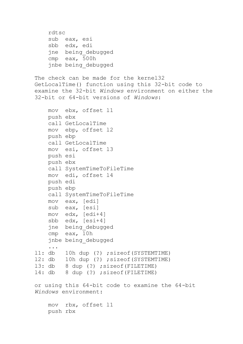```
 rdtsc
     sub eax, esi
     sbb edx, edi
     jne being_debugged
     cmp eax, 500h
     jnbe being_debugged
The check can be made for the kernel32 
GetLocalTime() function using this 32-bit code to 
examine the 32-bit Windows environment on either the 
32-bit or 64-bit versions of Windows:
     mov ebx, offset l1
     push ebx
     call GetLocalTime
     mov ebp, offset l2
     push ebp
     call GetLocalTime
     mov esi, offset l3
     push esi
     push ebx
     call SystemTimeToFileTime
     mov edi, offset l4
     push edi
     push ebp
     call SystemTimeToFileTime
     mov eax, [edi]
     sub eax, [esi]
     mov edx, [edi+4]
     sbb edx, [esi+4]
     jne being_debugged
     cmp eax, 10h
     jnbe being_debugged
     ...
l1: db 10h dup (?) ;sizeof(SYSTEMTIME)
l2: db 10h dup (?) ;sizeof(SYSTEMTIME)
l3: db 8 dup (?) ;sizeof(FILETIME)
l4: db 8 dup (?) ;sizeof(FILETIME)
or using this 64-bit code to examine the 64-bit 
Windows environment:
     mov rbx, offset l1
     push rbx
```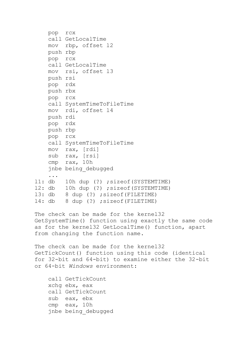```
 pop rcx
     call GetLocalTime
     mov rbp, offset l2
     push rbp
     pop rcx
     call GetLocalTime
     mov rsi, offset l3
     push rsi
     pop rdx
     push rbx
     pop rcx
     call SystemTimeToFileTime
     mov rdi, offset l4
     push rdi
     pop rdx
     push rbp
     pop rcx
     call SystemTimeToFileTime
     mov rax, [rdi]
     sub rax, [rsi]
     cmp rax, 10h
     jnbe being_debugged
     ...
l1: db 10h dup (?) ;sizeof(SYSTEMTIME)
l2: db 10h dup (?) ;sizeof(SYSTEMTIME)
l3: db 8 dup (?) ;sizeof(FILETIME)
l4: db 8 dup (?) ;sizeof(FILETIME)
```
The check can be made for the kernel32 GetSystemTime() function using exactly the same code as for the kernel32 GetLocalTime() function, apart from changing the function name.

```
The check can be made for the kernel32 
GetTickCount() function using this code (identical 
for 32-bit and 64-bit) to examine either the 32-bit 
or 64-bit Windows environment:
```

```
 call GetTickCount
 xchg ebx, eax
 call GetTickCount
 sub eax, ebx
 cmp eax, 10h
 jnbe being_debugged
```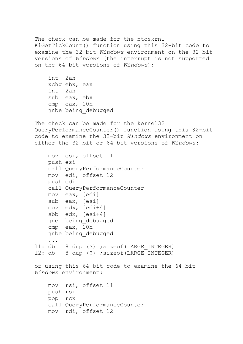The check can be made for the ntoskrnl KiGetTickCount() function using this 32-bit code to examine the 32-bit *Windows* environment on the 32-bit versions of *Windows* (the interrupt is not supported on the 64-bit versions of *Windows*):

 int 2ah xchg ebx, eax int 2ah sub eax, ebx cmp eax, 10h jnbe being\_debugged

The check can be made for the kernel32 QueryPerformanceCounter() function using this 32-bit code to examine the 32-bit *Windows* environment on either the 32-bit or 64-bit versions of *Windows*:

```
 mov esi, offset l1
     push esi
     call QueryPerformanceCounter
     mov edi, offset l2
     push edi
     call QueryPerformanceCounter
     mov eax, [edi]
     sub eax, [esi]
     mov edx, [edi+4]
     sbb edx, [esi+4]
     jne being_debugged
     cmp eax, 10h
     jnbe being_debugged
     ...
l1: db 8 dup (?) ;sizeof(LARGE_INTEGER)
12: db 8 dup (?) ; sizeof(LARGE INTEGER)
or using this 64-bit code to examine the 64-bit 
Windows environment:
     mov rsi, offset l1
     push rsi
     pop rcx
     call QueryPerformanceCounter
     mov rdi, offset l2
```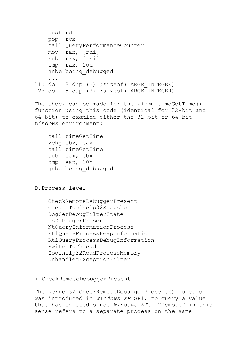```
 push rdi
    pop rcx
     call QueryPerformanceCounter
    mov rax, [rdi]
     sub rax, [rsi]
     cmp rax, 10h
     jnbe being_debugged
     ...
11: db 8 dup (?) ; sizeof(LARGE INTEGER)
12: db 8 dup (?) ; sizeof(LARGE INTEGER)
```
The check can be made for the winmm timeGetTime() function using this code (identical for 32-bit and 64-bit) to examine either the 32-bit or 64-bit *Windows* environment:

 call timeGetTime xchg ebx, eax call timeGetTime sub eax, ebx cmp eax, 10h jnbe being\_debugged

## D.Process-level

 CheckRemoteDebuggerPresent CreateToolhelp32Snapshot DbgSetDebugFilterState IsDebuggerPresent NtQueryInformationProcess RtlQueryProcessHeapInformation RtlQueryProcessDebugInformation SwitchToThread Toolhelp32ReadProcessMemory UnhandledExceptionFilter

### i.CheckRemoteDebuggerPresent

The kernel32 CheckRemoteDebuggerPresent() function was introduced in *Windows XP* SP1, to query a value that has existed since *Windows NT*. "Remote" in this sense refers to a separate process on the same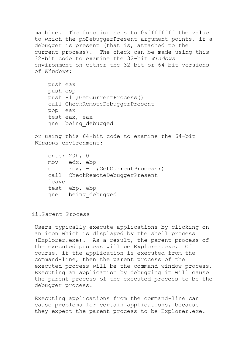machine. The function sets to 0xffffffff the value to which the pbDebuggerPresent argument points, if a debugger is present (that is, attached to the current process). The check can be made using this 32-bit code to examine the 32-bit *Windows* environment on either the 32-bit or 64-bit versions of *Windows*: push eax push esp push -1 ;GetCurrentProcess() call CheckRemoteDebuggerPresent pop eax test eax, eax jne being\_debugged or using this 64-bit code to examine the 64-bit *Windows* environment: enter 20h, 0 mov edx, ebp or rcx, -1 ;GetCurrentProcess() call CheckRemoteDebuggerPresent

- leave
- test ebp, ebp jne being\_debugged

ii.Parent Process

Users typically execute applications by clicking on an icon which is displayed by the shell process (Explorer.exe). As a result, the parent process of the executed process will be Explorer.exe. Of course, if the application is executed from the command-line, then the parent process of the executed process will be the command window process. Executing an application by debugging it will cause the parent process of the executed process to be the debugger process.

Executing applications from the command-line can cause problems for certain applications, because they expect the parent process to be Explorer.exe.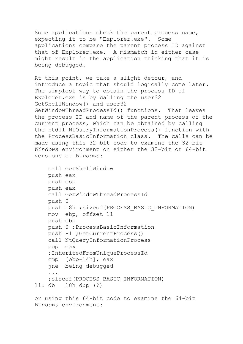Some applications check the parent process name, expecting it to be "Explorer.exe". Some applications compare the parent process ID against that of Explorer.exe. A mismatch in either case might result in the application thinking that it is being debugged.

At this point, we take a slight detour, and introduce a topic that should logically come later. The simplest way to obtain the process ID of Explorer.exe is by calling the user32 GetShellWindow() and user32 GetWindowThreadProcessId() functions. That leaves the process ID and name of the parent process of the current process, which can be obtained by calling the ntdll NtQueryInformationProcess() function with the ProcessBasicInformation class. The calls can be made using this 32-bit code to examine the 32-bit *Windows* environment on either the 32-bit or 64-bit versions of *Windows*:

```
 call GetShellWindow
     push eax
    push esp
     push eax
     call GetWindowThreadProcessId
     push 0
   push 18h ; sizeof(PROCESS BASIC INFORMATION)
    mov ebp, offset l1
    push ebp
    push 0 ;ProcessBasicInformation
     push -1 ;GetCurrentProcess()
     call NtQueryInformationProcess
     pop eax
     ;InheritedFromUniqueProcessId
     cmp [ebp+14h], eax
     jne being_debugged
 ...
     ;sizeof(PROCESS_BASIC_INFORMATION)
l1: db 18h dup (?)
```
or using this 64-bit code to examine the 64-bit *Windows* environment: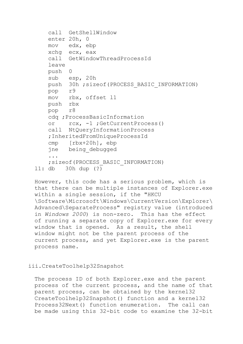```
 call GetShellWindow
     enter 20h, 0
     mov edx, ebp
     xchg ecx, eax
     call GetWindowThreadProcessId
     leave
     push 0
     sub esp, 20h
    push 30h ; sizeof(PROCESS BASIC INFORMATION)
     pop r9
    mov rbx, offset l1
    push rbx
    pop r8
     cdq ;ProcessBasicInformation
     or rcx, -1 ;GetCurrentProcess()
     call NtQueryInformationProcess
     ;InheritedFromUniqueProcessId
     cmp [rbx+20h], ebp
     jne being_debugged
     ...
     ;sizeof(PROCESS_BASIC_INFORMATION)
l1: db 30h dup (?)
```
However, this code has a serious problem, which is that there can be multiple instances of Explorer.exe within a single session, if the "HKCU \Software\Microsoft\Windows\CurrentVersion\Explorer\ Advanced\SeparateProcess" registry value (introduced in *Windows 2000*) is non-zero. This has the effect of running a separate copy of Explorer.exe for every window that is opened. As a result, the shell window might not be the parent process of the current process, and yet Explorer.exe is the parent process name.

#### iii.CreateToolhelp32Snapshot

The process ID of both Explorer.exe and the parent process of the current process, and the name of that parent process, can be obtained by the kernel32 CreateToolhelp32Snapshot() function and a kernel32 Process32Next() function enumeration. The call can be made using this 32-bit code to examine the 32-bit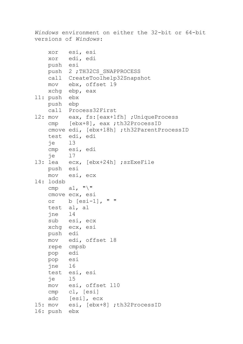```
Windows environment on either the 32-bit or 64-bit 
versions of Windows:
    xor esi, esi
    xor edi, edi
    push esi
   push 2 ; TH32CS SNAPPROCESS
    call CreateToolhelp32Snapshot
    mov ebx, offset l9
    xchg ebp, eax
l1: push ebx
    push ebp
    call Process32First
12: mov eax, fs: [eax+1fh] ; UniqueProcess
    cmp [ebx+8], eax ;th32ProcessID
    cmove edi, [ebx+18h] ;th32ParentProcessID
    test edi, edi
    je l3
    cmp esi, edi
    je l7
l3: lea ecx, [ebx+24h] ;szExeFile
    push esi
    mov esi, ecx
l4: lodsb
   cmp al, "\\' cmove ecx, esi
    or b [esi-1], " "
    test al, al
    jne l4
    sub esi, ecx
    xchg ecx, esi
    push edi
    mov edi, offset l8
    repe cmpsb
    pop edi
    pop esi
    jne l6
    test esi, esi
    je l5
    mov esi, offset l10
    cmp cl, [esi]
    adc [esi], ecx
l5: mov esi, [ebx+8] ;th32ProcessID
l6: push ebx
```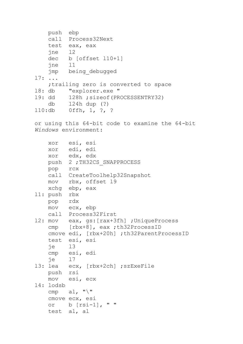```
 push ebp
    call Process32Next
    test eax, eax
    jne l2
    dec b [offset l10+1]
    jne l1
    jmp being_debugged
l7: ...
     ;trailing zero is converted to space 
l8: db "explorer.exe "
l9: dd 128h ;sizeof(PROCESSENTRY32)
    db 124h dup (?)
l10:db 0ffh, 1, ?, ?
```
or using this 64-bit code to examine the 64-bit *Windows* environment:

```
 xor esi, esi
    xor edi, edi
    xor edx, edx
    push 2 ;TH32CS_SNAPPROCESS
    pop rcx
    call CreateToolhelp32Snapshot
    mov rbx, offset l9
    xchg ebp, eax
l1: push rbx
    pop rdx
    mov ecx, ebp
    call Process32First
l2: mov eax, gs:[rax+3fh] ;UniqueProcess
    cmp [rbx+8], eax ;th32ProcessID
    cmove edi, [rbx+20h] ;th32ParentProcessID
    test esi, esi
    je l3
    cmp esi, edi
    je l7
l3: lea ecx, [rbx+2ch] ;szExeFile
    push rsi
    mov esi, ecx
l4: lodsb
   cmp al, "\\" cmove ecx, esi
    or b [rsi-1], " "
    test al, al
```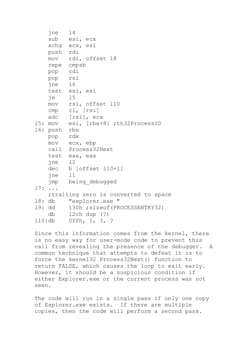```
 jne l4
    sub esi, ecx
    xchg ecx, esi
    push rdi
    mov rdi, offset l8
    repe cmpsb
    pop rdi
    pop rsi
    jne l6
    test esi, esi
    je l5
    mov rsi, offset l10
    cmp cl, [rsi]
    adc [rsi], ecx
l5: mov esi, [rbx+8] ;th32ProcessID
l6: push rbx
    pop rdx
    mov ecx, ebp
    call Process32Next
    test eax, eax
    jne l2
    dec b [offset l10+1]
    jne l1
    jmp being_debugged
l7: ...
     ;trailing zero is converted to space 
l8: db "explorer.exe "
l9: dd 130h ;sizeof(PROCESSENTRY32)
    db 12ch dup (?)
l10:db 0ffh, 1, ?, ?
```
Since this information comes from the kernel, there is no easy way for user-mode code to prevent this call from revealing the presence of the debugger. A common technique that attempts to defeat it is to force the kernel32 Process32Next() function to return FALSE, which causes the loop to exit early. However, it should be a suspicious condition if either Explorer.exe or the current process was not seen.

The code will run in a single pass if only one copy of Explorer.exe exists. If there are multiple copies, then the code will perform a second pass.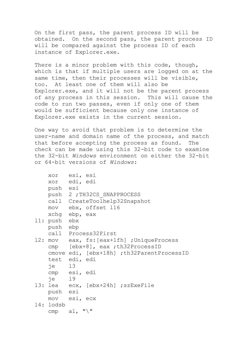On the first pass, the parent process ID will be obtained. On the second pass, the parent process ID will be compared against the process ID of each instance of Explorer.exe.

There is a minor problem with this code, though, which is that if multiple users are logged on at the same time, then their processes will be visible, too. At least one of them will also be Explorer.exe, and it will not be the parent process of any process in this session. This will cause the code to run two passes, even if only one of them would be sufficient because only one instance of Explorer.exe exists in the current session.

One way to avoid that problem is to determine the user-name and domain name of the process, and match that before accepting the process as found. The check can be made using this 32-bit code to examine the 32-bit *Windows* environment on either the 32-bit or 64-bit versions of *Windows*:

```
 xor esi, esi
    xor edi, edi
    push esi
   push 2 ; TH32CS SNAPPROCESS
    call CreateToolhelp32Snapshot
    mov ebx, offset l16
    xchg ebp, eax
l1: push ebx
    push ebp
    call Process32First
l2: mov eax, fs:[eax+1fh] ;UniqueProcess
    cmp [ebx+8], eax ;th32ProcessID
    cmove edi, [ebx+18h] ;th32ParentProcessID
    test edi, edi
    je l3
    cmp esi, edi
    je l9
l3: lea ecx, [ebx+24h] ;szExeFile
    push esi
    mov esi, ecx
l4: lodsb
   cmp al, "\\'
```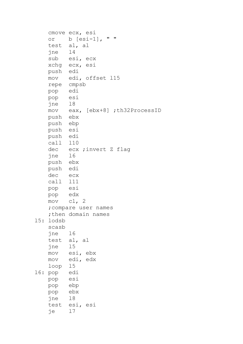```
 cmove ecx, esi
    or b [esi-1], " "
     test al, al
     jne l4
    sub esi, ecx
    xchg ecx, esi
    push edi
    mov edi, offset l15
    repe cmpsb
    pop edi
    pop esi
    jne l8
    mov eax, [ebx+8] ;th32ProcessID
    push ebx
    push ebp
    push esi
    push edi
    call l10
    dec ecx ;invert Z flag
    jne l6
    push ebx
    push edi
    dec ecx
    call l11
    pop esi
    pop edx
    mov cl, 2
     ;compare user names
    ;then domain names
l5: lodsb
    scasb
    jne l6
    test al, al
    jne l5
    mov esi, ebx
    mov edi, edx
    loop l5
l6: pop edi
    pop esi
    pop ebp
    pop ebx
    jne l8
    test esi, esi
     je l7
```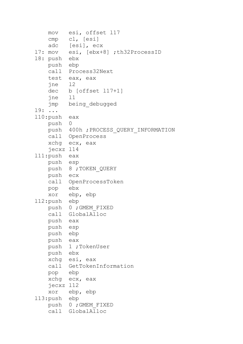```
 mov esi, offset l17
    cmp cl, [esi]
    adc [esi], ecx
l7: mov esi, [ebx+8] ;th32ProcessID
l8: push ebx
    push ebp
    call Process32Next
    test eax, eax
    jne l2
    dec b [offset l17+1]
    jne l1
    jmp being_debugged
l9: ...
l10:push eax
    push 0
    push 400h ;PROCESS_QUERY_INFORMATION
    call OpenProcess
    xchg ecx, eax
    jecxz l14
l11:push eax
    push esp
    push 8 ;TOKEN_QUERY
    push ecx
    call OpenProcessToken
    pop ebx
    xor ebp, ebp
l12:push ebp
    push 0 ;GMEM_FIXED
    call GlobalAlloc
    push eax
    push esp
    push ebp
    push eax
    push 1 ;TokenUser
    push ebx
    xchg esi, eax
    call GetTokenInformation
    pop ebp
    xchg ecx, eax
    jecxz l12
    xor ebp, ebp
l13:push ebp
    push 0 ;GMEM_FIXED
    call GlobalAlloc
```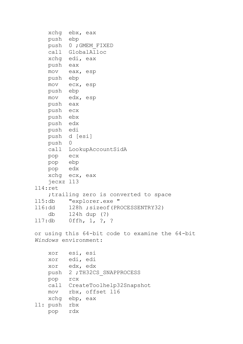```
 xchg ebx, eax
    push ebp
    push 0 ;GMEM_FIXED
    call GlobalAlloc
    xchg edi, eax
    push eax
    mov eax, esp
    push ebp
    mov ecx, esp
    push ebp
    mov edx, esp
    push eax
    push ecx
    push ebx
    push edx
    push edi
    push d [esi]
    push 0
    call LookupAccountSidA
    pop ecx
    pop ebp
    pop edx
    xchg ecx, eax
    jecxz l13
l14:ret
     ;trailing zero is converted to space 
l15:db "explorer.exe "
l16:dd 128h ;sizeof(PROCESSENTRY32)
     db 124h dup (?)
l17:db 0ffh, 1, ?, ?
or using this 64-bit code to examine the 64-bit 
Windows environment:
    xor esi, esi
    xor edi, edi
    xor edx, edx
   push 2 ; TH32CS SNAPPROCESS
    pop rcx
    call CreateToolhelp32Snapshot
    mov rbx, offset l16
    xchg ebp, eax
l1: push rbx
    pop rdx
```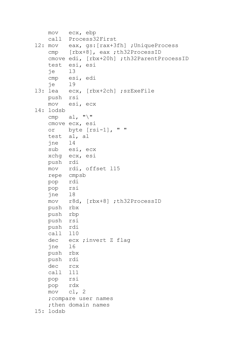```
 mov ecx, ebp
    call Process32First
l2: mov eax, gs:[rax+3fh] ;UniqueProcess
    cmp [rbx+8], eax ;th32ProcessID
    cmove edi, [rbx+20h] ;th32ParentProcessID
    test esi, esi
     je l3
     cmp esi, edi
     je l9
l3: lea ecx, [rbx+2ch] ;szExeFile
    push rsi
    mov esi, ecx
l4: lodsb
   cmp a\bot, "\\' cmove ecx, esi
    or byte [rsi-1], " "
    test al, al
    jne l4
    sub esi, ecx
    xchg ecx, esi
    push rdi
    mov rdi, offset l15
    repe cmpsb
    pop rdi
    pop rsi
    jne l8
    mov r8d, [rbx+8] ;th32ProcessID
    push rbx
    push rbp
    push rsi
    push rdi
    call l10
    dec ecx ;invert Z flag
    jne l6
    push rbx
    push rdi
    dec rcx
    call l11
    pop rsi
    pop rdx
    mov cl, 2
     ;compare user names
    ; then domain names
l5: lodsb
```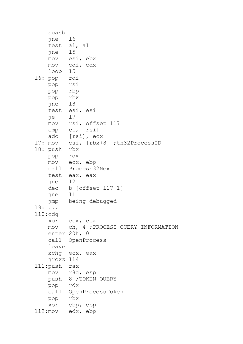```
 scasb
    jne l6
    test al, al
    jne l5
    mov esi, ebx
    mov edi, edx
    loop l5
l6: pop rdi
    pop rsi
    pop rbp
    pop rbx
    jne l8
    test esi, esi
    je l7
    mov rsi, offset l17
    cmp cl, [rsi]
    adc [rsi], ecx
l7: mov esi, [rbx+8] ;th32ProcessID
l8: push rbx
    pop rdx
    mov ecx, ebp
    call Process32Next
    test eax, eax
    jne l2
    dec b [offset l17+1]
    jne l1
    jmp being_debugged
l9: ...
l10:cdq
    xor ecx, ecx
    mov ch, 4 ;PROCESS_QUERY_INFORMATION
    enter 20h, 0
    call OpenProcess
    leave
    xchg ecx, eax
    jrcxz l14
l11:push rax
    mov r8d, esp
    push 8 ;TOKEN_QUERY
    pop rdx
    call OpenProcessToken
    pop rbx
    xor ebp, ebp
l12:mov edx, ebp
```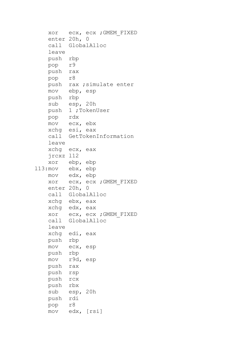```
 xor ecx, ecx ;GMEM_FIXED
    enter 20h, 0
    call GlobalAlloc
    leave
    push rbp
    pop r9
    push rax
    pop r8
   push rax ; simulate enter
    mov ebp, esp
    push rbp
    sub esp, 20h
    push 1 ;TokenUser
    pop rdx
    mov ecx, ebx
    xchg esi, eax
    call GetTokenInformation
    leave
    xchg ecx, eax
    jrcxz l12
    xor ebp, ebp
l13:mov ebx, ebp
    mov edx, ebp
    xor ecx, ecx ;GMEM_FIXED
    enter 20h, 0
    call GlobalAlloc
    xchg ebx, eax
    xchg edx, eax
    xor ecx, ecx ;GMEM_FIXED
    call GlobalAlloc
    leave
    xchg edi, eax
    push rbp
    mov ecx, esp
    push rbp
    mov r9d, esp
    push rax
    push rsp
    push rcx
    push rbx
    sub esp, 20h
    push rdi
    pop r8
    mov edx, [rsi]
```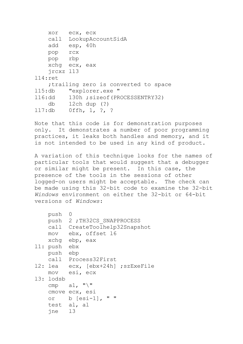```
 xor ecx, ecx
    call LookupAccountSidA
    add esp, 40h
    pop rcx
    pop rbp
    xchg ecx, eax
    jrcxz l13
l14:ret
     ;trailing zero is converted to space 
l15:db "explorer.exe "
l16:dd 130h ;sizeof(PROCESSENTRY32)
    db 12ch dup (?)
l17:db 0ffh, 1, ?, ?
```
Note that this code is for demonstration purposes only. It demonstrates a number of poor programming practices, it leaks both handles and memory, and it is not intended to be used in any kind of product.

A variation of this technique looks for the names of particular tools that would suggest that a debugger or similar might be present. In this case, the presence of the tools in the sessions of other logged-on users might be acceptable. The check can be made using this 32-bit code to examine the 32-bit *Windows* environment on either the 32-bit or 64-bit versions of *Windows*:

```
 push 0
    push 2 ;TH32CS_SNAPPROCESS
    call CreateToolhelp32Snapshot
    mov ebx, offset l6
    xchg ebp, eax
l1: push ebx
    push ebp
    call Process32First
l2: lea ecx, [ebx+24h] ;szExeFile
    mov esi, ecx
l3: lodsb
   cmp al, "\\' cmove ecx, esi
    or b [esi-1], " "
    test al, al
    jne l3
```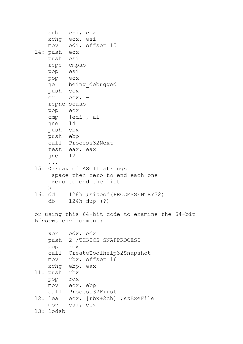```
 sub esi, ecx
    xchg ecx, esi
    mov edi, offset l5
l4: push ecx
    push esi
    repe cmpsb
    pop esi
    pop ecx
    je being_debugged
    push ecx
    or ecx, -1
    repne scasb
    pop ecx
    cmp [edi], al
    jne l4
    push ebx
    push ebp
    call Process32Next
    test eax, eax
    jne l2
     ...
l5: <array of ASCII strings
     space then zero to end each one
     zero to end the list
   \geq16: dd 128h ; sizeof(PROCESSENTRY32)
    db 124h dup (?)
```
or using this 64-bit code to examine the 64-bit *Windows* environment:

| xor       | edx, edx                   |
|-----------|----------------------------|
|           | push 2; TH32CS SNAPPROCESS |
| pop       | <b>rcx</b>                 |
| call      | CreateToolhelp32Snapshot   |
| MOV       | rbx, offset 16             |
|           | xchq ebp, eax              |
| l1: push  | rbx                        |
| pop       | rdx                        |
| mov       | ecx, ebp                   |
| call      | Process32First             |
| l2: lea   | ecx, [rbx+2ch] ; szExeFile |
| MOV       | esi, ecx                   |
| 13: lodsb |                            |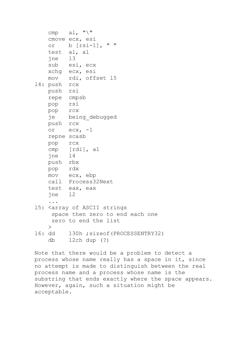```
cmp al, "\\" cmove ecx, esi
    or b [rsi-1], " "
    test al, al
    jne l3
    sub esi, ecx
    xchg ecx, esi
    mov rdi, offset l5
l4: push rcx
    push rsi
    repe cmpsb
    pop rsi
    pop rcx
    je being_debugged
    push rcx
   or ex, -1 repne scasb
    pop rcx
    cmp [rdi], al
    jne l4
    push rbx
    pop rdx
    mov ecx, ebp
    call Process32Next
    test eax, eax
    jne l2
     ...
l5: <array of ASCII strings
     space then zero to end each one
     zero to end the list
   \geq16: dd 130h ; sizeof(PROCESSENTRY32)
    db 12ch dup (?)
```
Note that there would be a problem to detect a process whose name really has a space in it, since no attempt is made to distinguish between the real process name and a process whose name is the substring that ends exactly where the space appears. However, again, such a situation might be acceptable.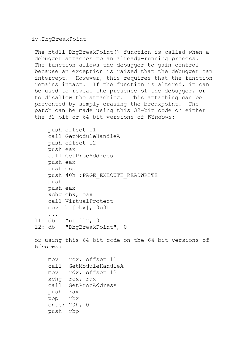iv.DbgBreakPoint

The ntdll DbgBreakPoint() function is called when a debugger attaches to an already-running process. The function allows the debugger to gain control because an exception is raised that the debugger can intercept. However, this requires that the function remains intact. If the function is altered, it can be used to reveal the presence of the debugger, or to disallow the attaching. This attaching can be prevented by simply erasing the breakpoint. The patch can be made using this 32-bit code on either the 32-bit or 64-bit versions of *Windows*:

```
 push offset l1
     call GetModuleHandleA
     push offset l2
     push eax
     call GetProcAddress
     push eax
     push esp
    push 40h ; PAGE_EXECUTE_READWRITE
     push 1
     push eax
     xchg ebx, eax
     call VirtualProtect
     mov b [ebx], 0c3h
     ...
l1: db "ntdll", 0
l2: db "DbgBreakPoint", 0
or using this 64-bit code on the 64-bit versions of 
Windows:
     mov rcx, offset l1
     call GetModuleHandleA
     mov rdx, offset l2
     xchg rcx, rax
     call GetProcAddress
     push rax
     pop rbx
     enter 20h, 0
     push rbp
```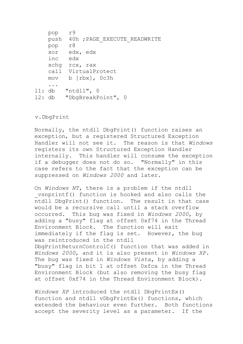```
 pop r9
   push 40h ; PAGE_EXECUTE_READWRITE
    pop r8
    xor edx, edx
    inc edx
    xchg rcx, rax
    call VirtualProtect
    mov b [rbx], 0c3h
     ...
l1: db "ntdll", 0
l2: db "DbgBreakPoint", 0
```
v.DbgPrint

Normally, the ntdll DbgPrint() function raises an exception, but a registered Structured Exception Handler will not see it. The reason is that *Windows* registers its own Structured Exception Handler internally. This handler will consume the exception if a debugger does not do so. "Normally" in this case refers to the fact that the exception can be suppressed on *Windows 2000* and later.

On *Windows NT*, there is a problem if the ntdll \_vsnprintf() function is hooked and also calls the ntdll DbgPrint() function. The result in that case would be a recursive call until a stack overflow occurred. This bug was fixed in *Windows 2000*, by adding a "busy" flag at offset 0xf74 in the Thread Environment Block. The function will exit immediately if the flag is set. However, the bug was reintroduced in the ntdll DbgPrintReturnControlC() function that was added in *Windows 2000*, and it is also present in *Windows XP*. The bug was fixed in *Windows Vista*, by adding a "busy" flag in bit 1 at offset 0xfca in the Thread Environment Block (but also removing the busy flag at offset 0xf74 in the Thread Environment Block).

*Windows XP* introduced the ntdll DbgPrintEx() function and ntdll vDbgPrintEx() functions, which extended the behaviour even further. Both functions accept the severity level as a parameter. If the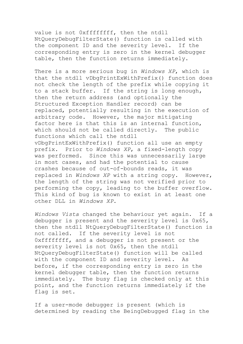value is not 0xffffffff, then the ntdll NtQueryDebugFilterState() function is called with the component ID and the severity level. If the corresponding entry is zero in the kernel debugger table, then the function returns immediately.

There is a more serious bug in *Windows XP*, which is that the ntdll vDbgPrintExWithPrefix() function does not check the length of the prefix while copying it to a stack buffer. If the string is long enough, then the return address (and optionally the Structured Exception Handler record) can be replaced, potentially resulting in the execution of arbitrary code. However, the major mitigating factor here is that this is an internal function, which should not be called directly. The public functions which call the ntdll vDbgPrintExWithPrefix() function all use an empty prefix. Prior to *Windows XP*, a fixed-length copy was performed. Since this was unnecessarily large in most cases, and had the potential to cause crashes because of out-of-bounds reads, it was replaced in *Windows XP* with a string copy. However, the length of the string was not verified prior to performing the copy, leading to the buffer overflow. This kind of bug is known to exist in at least one other DLL in *Windows XP*.

*Windows Vista* changed the behaviour yet again. If a debugger is present and the severity level is 0x65, then the ntdll NtQueryDebugFilterState() function is not called. If the severity level is not 0xffffffff, and a debugger is not present or the severity level is not 0x65, then the ntdll NtQueryDebugFilterState() function will be called with the component ID and severity level. As before, if the corresponding entry is zero in the kernel debugger table, then the function returns immediately. The busy flag is checked only at this point, and the function returns immediately if the flag is set.

If a user-mode debugger is present (which is determined by reading the BeingDebugged flag in the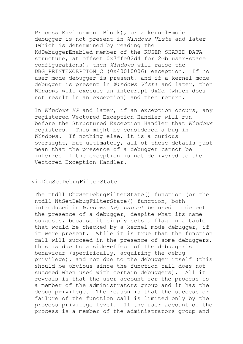Process Environment Block), or a kernel-mode debugger is not present in *Windows Vista* and later (which is determined by reading the KdDebuggerEnabled member of the KUSER\_SHARED\_DATA structure, at offset 0x7ffe02d4 for 2Gb user-space configurations), then *Windows* will raise the DBG PRINTEXCEPTION C (0x40010006) exception. If no user-mode debugger is present, and if a kernel-mode debugger is present in *Windows Vista* and later, then *Windows* will execute an interrupt 0x2d (which does not result in an exception) and then return.

In *Windows XP* and later, if an exception occurs, any registered Vectored Exception Handler will run before the Structured Exception Handler that *Windows* registers. This might be considered a bug in *Windows*. If nothing else, it is a curious oversight, but ultimately, all of these details just mean that the presence of a debugger cannot be inferred if the exception is not delivered to the Vectored Exception Handler.

## vi.DbgSetDebugFilterState

The ntdll DbgSetDebugFilterState() function (or the ntdll NtSetDebugFilterState() function, both introduced in *Windows XP*) *cannot* be used to detect the presence of a debugger, despite what its name suggests, because it simply sets a flag in a table that would be checked by a kernel-mode debugger, if it were present. While it is true that the function call will succeed in the presence of some debuggers, this is due to a side-effect of the debugger's behaviour (specifically, acquiring the debug privilege), and not due to the debugger itself (this should be obvious since the function call does not succeed when used with certain debuggers). All it reveals is that the user account for the process is a member of the administrators group and it has the debug privilege. The reason is that the success or failure of the function call is limited only by the process privilege level. If the user account of the process is a member of the administrators group and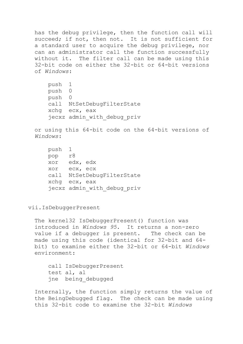has the debug privilege, then the function call will succeed; if not, then not. It is not sufficient for a standard user to acquire the debug privilege, nor can an administrator call the function successfully without it. The filter call can be made using this 32-bit code on either the 32-bit or 64-bit versions of *Windows*:

 push 1 push 0 push 0 call NtSetDebugFilterState xchg ecx, eax jecxz admin\_with\_debug\_priv

or using this 64-bit code on the 64-bit versions of *Windows*:

```
 push 1
 pop r8
 xor edx, edx
 xor ecx, ecx
 call NtSetDebugFilterState
 xchg ecx, eax
 jecxz admin_with_debug_priv
```
vii.IsDebuggerPresent

The kernel32 IsDebuggerPresent() function was introduced in *Windows 95*. It returns a non-zero value if a debugger is present. The check can be made using this code (identical for 32-bit and 64 bit) to examine either the 32-bit or 64-bit *Windows* environment:

 call IsDebuggerPresent test al, al jne being\_debugged

Internally, the function simply returns the value of the BeingDebugged flag. The check can be made using this 32-bit code to examine the 32-bit *Windows*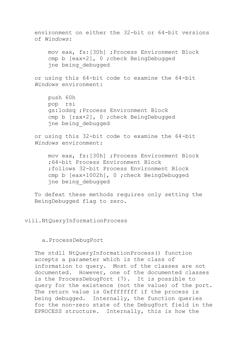environment on either the 32-bit or 64-bit versions of *Windows*: mov eax, fs:[30h] ;Process Environment Block cmp b [eax+2], 0 ;check BeingDebugged jne being\_debugged or using this 64-bit code to examine the 64-bit *Windows* environment: push 60h pop rsi gs:lodsq ;Process Environment Block cmp b [rax+2], 0 ;check BeingDebugged jne being\_debugged or using this 32-bit code to examine the 64-bit *Windows* environment: mov eax, fs:[30h] ;Process Environment Block ;64-bit Process Environment Block ;follows 32-bit Process Environment Block cmp b [eax+1002h], 0 ;check BeingDebugged jne being\_debugged To defeat these methods requires only setting the

viii.NtQueryInformationProcess

BeingDebugged flag to zero.

## a.ProcessDebugPort

The ntdll NtQueryInformationProcess() function accepts a parameter which is the class of information to query. Most of the classes are not documented. However, one of the documented classes is the ProcessDebugPort (7). It is possible to query for the existence (not the value) of the port. The return value is 0xffffffff if the process is being debugged. Internally, the function queries for the non-zero state of the DebugPort field in the EPROCESS structure. Internally, this is how the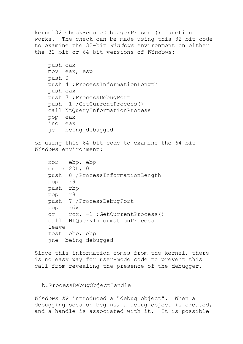```
kernel32 CheckRemoteDebuggerPresent() function 
works. The check can be made using this 32-bit code 
to examine the 32-bit Windows environment on either 
the 32-bit or 64-bit versions of Windows:
    push eax
     mov eax, esp
    push 0
    push 4 ;ProcessInformationLength
    push eax
    push 7 ;ProcessDebugPort
    push -1 ;GetCurrentProcess()
     call NtQueryInformationProcess
    pop eax
     inc eax
     je being_debugged
or using this 64-bit code to examine the 64-bit 
Windows environment:
     xor ebp, ebp
     enter 20h, 0
     push 8 ;ProcessInformationLength
    pop r9
    push rbp
    pop r8
    push 7 ;ProcessDebugPort
    pop rdx
     or rcx, -1 ;GetCurrentProcess()
     call NtQueryInformationProcess
     leave
     test ebp, ebp
     jne being_debugged
Since this information comes from the kernel, there 
is no easy way for user-mode code to prevent this
```
call from revealing the presence of the debugger.

b.ProcessDebugObjectHandle

*Windows XP* introduced a "debug object". When a debugging session begins, a debug object is created, and a handle is associated with it. It is possible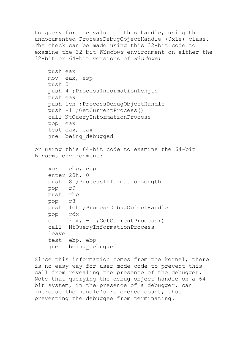to query for the value of this handle, using the undocumented ProcessDebugObjectHandle (0x1e) class. The check can be made using this 32-bit code to examine the 32-bit *Windows* environment on either the 32-bit or 64-bit versions of *Windows*:

```
 push eax
 mov eax, esp
 push 0
 push 4 ;ProcessInformationLength
 push eax
 push 1eh ;ProcessDebugObjectHandle
 push -1 ;GetCurrentProcess()
 call NtQueryInformationProcess
 pop eax
 test eax, eax
 jne being_debugged
```
or using this 64-bit code to examine the 64-bit *Windows* environment:

```
 xor ebp, ebp
 enter 20h, 0
 push 8 ;ProcessInformationLength
 pop r9
 push rbp
 pop r8
 push 1eh ;ProcessDebugObjectHandle
 pop rdx
 or rcx, -1 ;GetCurrentProcess()
 call NtQueryInformationProcess
 leave
 test ebp, ebp
 jne being_debugged
```
Since this information comes from the kernel, there is no easy way for user-mode code to prevent this call from revealing the presence of the debugger. Note that querying the debug object handle on a 64 bit system, in the presence of a debugger, can increase the handle's reference count, thus preventing the debuggee from terminating.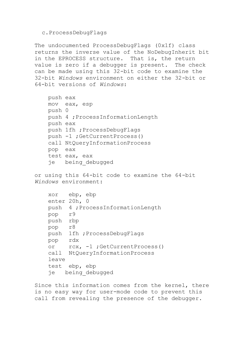#### c.ProcessDebugFlags

The undocumented ProcessDebugFlags (0x1f) class returns the inverse value of the NoDebugInherit bit in the EPROCESS structure. That is, the return value is zero if a debugger is present. The check can be made using this 32-bit code to examine the 32-bit *Windows* environment on either the 32-bit or 64-bit versions of *Windows*:

```
 push eax
 mov eax, esp
 push 0
 push 4 ;ProcessInformationLength
 push eax
 push 1fh ;ProcessDebugFlags
 push -1 ;GetCurrentProcess()
 call NtQueryInformationProcess
 pop eax
 test eax, eax
 je being_debugged
```
or using this 64-bit code to examine the 64-bit *Windows* environment:

```
 xor ebp, ebp
 enter 20h, 0
 push 4 ;ProcessInformationLength
 pop r9
 push rbp
 pop r8
 push 1fh ;ProcessDebugFlags
 pop rdx
 or rcx, -1 ;GetCurrentProcess()
 call NtQueryInformationProcess
 leave
 test ebp, ebp
 je being_debugged
```
Since this information comes from the kernel, there is no easy way for user-mode code to prevent this call from revealing the presence of the debugger.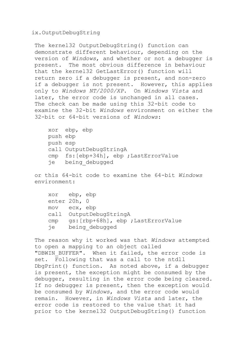ix.OutputDebugString

The kernel32 OutputDebugString() function can demonstrate different behaviour, depending on the version of *Windows*, and whether or not a debugger is present. The most obvious difference in behaviour that the kernel32 GetLastError() function will return zero if a debugger is present, and non-zero if a debugger is not present. However, this applies only to *Windows NT/2000/XP*. On *Windows Vista* and later, the error code is unchanged in all cases. The check can be made using this 32-bit code to examine the 32-bit *Windows* environment on either the 32-bit or 64-bit versions of *Windows*:

 xor ebp, ebp push ebp push esp call OutputDebugStringA cmp fs:[ebp+34h], ebp ;LastErrorValue je being\_debugged

or this 64-bit code to examine the 64-bit *Windows* environment:

 xor ebp, ebp enter 20h, 0 mov ecx, ebp call OutputDebugStringA cmp gs:[rbp+68h], ebp ;LastErrorValue je being\_debugged

The reason why it worked was that *Windows* attempted to open a mapping to an object called "DBWIN BUFFER". When it failed, the error code is set. Following that was a call to the ntdll DbgPrint() function. As noted above, if a debugger is present, the exception might be consumed by the debugger, resulting in the error code being cleared. If no debugger is present, then the exception would be consumed by *Windows*, and the error code would remain. However, in *Windows Vista* and later, the error code is restored to the value that it had prior to the kernel32 OutputDebugString() function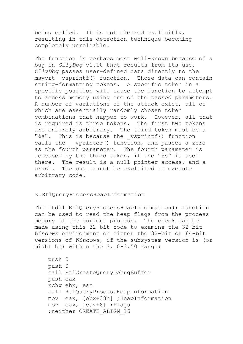being called. It is not cleared explicitly, resulting in this detection technique becoming completely unreliable.

The function is perhaps most well-known because of a bug in *OllyDbg* v1.10 that results from its use. *OllyDbg* passes user-defined data directly to the msvcrt vsprintf() function. Those data can contain string-formatting tokens. A specific token in a specific position will cause the function to attempt to access memory using one of the passed parameters. A number of variations of the attack exist, all of which are essentially randomly chosen token combinations that happen to work. However, all that is required is three tokens. The first two tokens are entirely arbitrary. The third token must be a "%s". This is because the vsprintf() function calls the vprinter() function, and passes a zero as the fourth parameter. The fourth parameter is accessed by the third token, if the "%s" is used there. The result is a null-pointer access, and a crash. The bug cannot be exploited to execute arbitrary code.

## x.RtlQueryProcessHeapInformation

The ntdll RtlQueryProcessHeapInformation() function can be used to read the heap flags from the process memory of the current process. The check can be made using this 32-bit code to examine the 32-bit *Windows* environment on either the 32-bit or 64-bit versions of *Windows*, if the subsystem version is (or might be) within the 3.10-3.50 range:

```
 push 0
 push 0
 call RtlCreateQueryDebugBuffer
 push eax
 xchg ebx, eax
 call RtlQueryProcessHeapInformation
 mov eax, [ebx+38h] ;HeapInformation
 mov eax, [eax+8] ;Flags
;neither CREATE ALIGN 16
```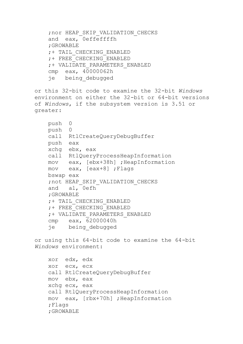```
 ;nor HEAP_SKIP_VALIDATION_CHECKS
     and eax, 0effeffffh
     ;GROWABLE
     ;+ TAIL_CHECKING_ENABLED
     ;+ FREE_CHECKING_ENABLED
     ;+ VALIDATE_PARAMETERS_ENABLED
     cmp eax, 40000062h
     je being_debugged
or this 32-bit code to examine the 32-bit Windows
environment on either the 32-bit or 64-bit versions 
of Windows, if the subsystem version is 3.51 or 
greater:
    push 0
    push 0
     call RtlCreateQueryDebugBuffer
    push eax
    xchg ebx, eax
     call RtlQueryProcessHeapInformation
    mov eax, [ebx+38h] ;HeapInformation
    mov eax, [eax+8] ;Flags
    bswap eax
     ;not HEAP_SKIP_VALIDATION_CHECKS
     and al, 0efh
     ;GROWABLE
     ;+ TAIL_CHECKING_ENABLED
     ;+ FREE_CHECKING_ENABLED
     ;+ VALIDATE_PARAMETERS_ENABLED
     cmp eax, 62000040h
     je being_debugged
or using this 64-bit code to examine the 64-bit
```
*Windows* environment:

```
 xor edx, edx
 xor ecx, ecx
 call RtlCreateQueryDebugBuffer
 mov ebx, eax
 xchg ecx, eax
 call RtlQueryProcessHeapInformation
 mov eax, [rbx+70h] ;HeapInformation
 ;Flags
 ;GROWABLE
```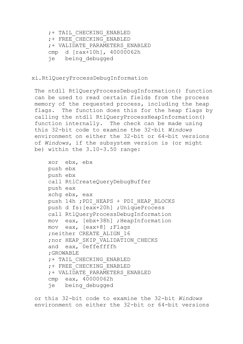;+ TAIL\_CHECKING\_ENABLED ;+ FREE\_CHECKING\_ENABLED ;+ VALIDATE\_PARAMETERS\_ENABLED cmp d [rax+10h], 40000062h je being\_debugged

## xi.RtlQueryProcessDebugInformation

The ntdll RtlQueryProcessDebugInformation() function can be used to read certain fields from the process memory of the requested process, including the heap flags. The function does this for the heap flags by calling the ntdll RtlQueryProcessHeapInformation() function internally. The check can be made using this 32-bit code to examine the 32-bit *Windows* environment on either the 32-bit or 64-bit versions of *Windows*, if the subsystem version is (or might be) within the 3.10-3.50 range:

```
 xor ebx, ebx
 push ebx
 push ebx
 call RtlCreateQueryDebugBuffer
 push eax
 xchg ebx, eax
 push 14h ;PDI_HEAPS + PDI_HEAP_BLOCKS
 push d fs:[eax+20h] ;UniqueProcess
 call RtlQueryProcessDebugInformation
 mov eax, [ebx+38h] ;HeapInformation
 mov eax, [eax+8] ;Flags
;neither CREATE ALIGN 16
 ;nor HEAP_SKIP_VALIDATION_CHECKS
 and eax, 0effeffffh
 ;GROWABLE
 ;+ TAIL_CHECKING_ENABLED
 ;+ FREE_CHECKING_ENABLED
 ;+ VALIDATE_PARAMETERS_ENABLED
 cmp eax, 40000062h
 je being_debugged
```
or this 32-bit code to examine the 32-bit *Windows* environment on either the 32-bit or 64-bit versions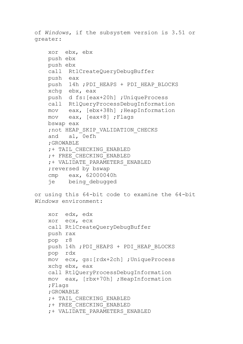of *Windows*, if the subsystem version is 3.51 or greater:

```
 xor ebx, ebx
 push ebx
 push ebx
 call RtlCreateQueryDebugBuffer
 push eax
 push 14h ;PDI_HEAPS + PDI_HEAP_BLOCKS
 xchg ebx, eax
 push d fs:[eax+20h] ;UniqueProcess
 call RtlQueryProcessDebugInformation
 mov eax, [ebx+38h] ;HeapInformation
 mov eax, [eax+8] ;Flags
 bswap eax
 ;not HEAP_SKIP_VALIDATION_CHECKS
 and al, 0efh
 ;GROWABLE
 ;+ TAIL_CHECKING_ENABLED
 ;+ FREE_CHECKING_ENABLED
 ;+ VALIDATE_PARAMETERS_ENABLED
; reversed by bswap
 cmp eax, 62000040h
 je being_debugged
```
or using this 64-bit code to examine the 64-bit *Windows* environment:

```
 xor edx, edx
 xor ecx, ecx
 call RtlCreateQueryDebugBuffer
 push rax
 pop r8
push 14h ; PDI HEAPS + PDI HEAP BLOCKS
 pop rdx
 mov ecx, gs:[rdx+2ch] ;UniqueProcess
 xchg ebx, eax
 call RtlQueryProcessDebugInformation
 mov eax, [rbx+70h] ;HeapInformation
 ;Flags
 ;GROWABLE
 ;+ TAIL_CHECKING_ENABLED
 ;+ FREE_CHECKING_ENABLED
 ;+ VALIDATE_PARAMETERS_ENABLED
```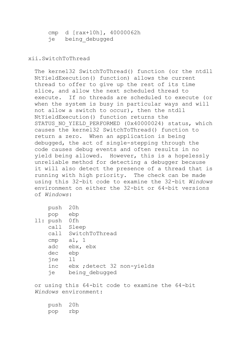cmp d [rax+10h], 40000062h je being\_debugged

## xii.SwitchToThread

The kernel32 SwitchToThread() function (or the ntdll NtYieldExecution() function) allows the current thread to offer to give up the rest of its time slice, and allow the next scheduled thread to execute. If no threads are scheduled to execute (or when the system is busy in particular ways and will not allow a switch to occur), then the ntdll NtYieldExecution() function returns the STATUS NO YIELD PERFORMED (0x40000024) status, which causes the kernel32 SwitchToThread() function to return a zero. When an application is being debugged, the act of single-stepping through the code causes debug events and often results in no yield being allowed. However, this is a hopelessly unreliable method for detecting a debugger because it will also detect the presence of a thread that is running with high priority. The check can be made using this 32-bit code to examine the 32-bit *Windows* environment on either the 32-bit or 64-bit versions of *Windows*:

| pusn     | ∠∪n                        |
|----------|----------------------------|
| pop      | ebp                        |
| l1: push | 0fh                        |
| call     | Sleep                      |
| call     | SwitchToThread             |
| cmp      | al, $1$                    |
| adc      | ebx, ebx                   |
| dec      | ebp                        |
| jne      | 11                         |
| inc      | ebx ; detect 32 non-yields |
| ñе       | being debugged             |

or using this 64-bit code to examine the 64-bit *Windows* environment:

| push | 20h |
|------|-----|
| pop  | rbp |

 $\rho$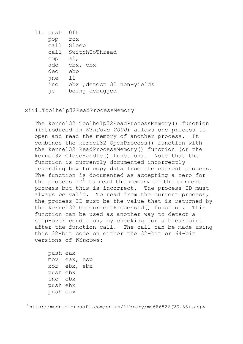|  | $11:$ push | 0fh                        |
|--|------------|----------------------------|
|  | pop        | <b>rcx</b>                 |
|  | cal1       | Sleep                      |
|  | call       | SwitchToThread             |
|  | cmp        | al, 1                      |
|  | adc        | ebx, ebx                   |
|  | dec        | ebp                        |
|  | jne        | 11                         |
|  | inc        | ebx ; detect 32 non-yields |
|  | ñе         | being debugged             |

#### xiii.Toolhelp32ReadProcessMemory

The kernel32 Toolhelp32ReadProcessMemory() function (introduced in *Windows 2000*) allows one process to open and read the memory of another process. It combines the kernel32 OpenProcess() function with the kernel32 ReadProcessMemory() function (or the kernel32 CloseHandle() function). Note that the function is currently documented incorrectly regarding how to copy data from the current process. The function is documented as accepting a zero for the process  $ID<sup>3</sup>$  to read the memory of the current process but this is incorrect. The process ID must always be valid. To read from the current process, the process ID must be the value that is returned by the kernel32 GetCurrentProcessId() function. This function can be used as another way to detect a step-over condition, by checking for a breakpoint after the function call. The call can be made using this 32-bit code on either the 32-bit or 64-bit versions of *Windows*:

```
 push eax
 mov eax, esp
 xor ebx, ebx
 push ebx
 inc ebx
 push ebx
 push eax
```
 $\ddot{\phantom{a}}$ 

<sup>3</sup> http://msdn.microsoft.com/en-us/library/ms686826(VS.85).aspx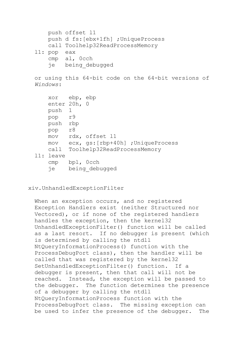```
 push offset l1
    push d fs:[ebx+1fh] ;UniqueProcess
    call Toolhelp32ReadProcessMemory
l1: pop eax
    cmp al, 0cch
     je being_debugged
```
or using this 64-bit code on the 64-bit versions of *Windows*:

```
 xor ebp, ebp
    enter 20h, 0
    push 1
    pop r9
    push rbp
    pop r8
    mov rdx, offset l1
    mov ecx, gs:[rbp+40h] ;UniqueProcess
    call Toolhelp32ReadProcessMemory
l1: leave
    cmp bpl, 0cch
    je being_debugged
```
xiv.UnhandledExceptionFilter

When an exception occurs, and no registered Exception Handlers exist (neither Structured nor Vectored), or if none of the registered handlers handles the exception, then the kernel32 UnhandledExceptionFilter() function will be called as a last resort. If no debugger is present (which is determined by calling the ntdll NtQueryInformationProcess() function with the ProcessDebugPort class), then the handler will be called that was registered by the kernel32 SetUnhandledExceptionFilter() function. If a debugger is present, then that call will not be reached. Instead, the exception will be passed to the debugger. The function determines the presence of a debugger by calling the ntdll NtQueryInformationProcess function with the ProcessDebugPort class. The missing exception can be used to infer the presence of the debugger. The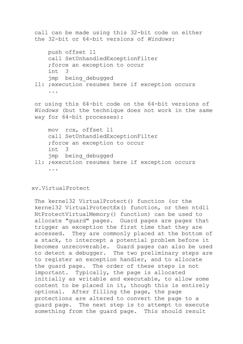```
call can be made using this 32-bit code on either 
the 32-bit or 64-bit versions of Windows:
     push offset l1
     call SetUnhandledExceptionFilter
     ;force an exception to occur
     int 3
     jmp being_debugged
l1: ;execution resumes here if exception occurs
     ...
or using this 64-bit code on the 64-bit versions of 
Windows (but the technique does not work in the same 
way for 64-bit processes):
     mov rcx, offset l1
     call SetUnhandledExceptionFilter
     ;force an exception to occur
     int 3
     jmp being_debugged
l1: ;execution resumes here if exception occurs
     ...
```
## xv.VirtualProtect

The kernel32 VirtualProtect() function (or the kernel32 VirtualProtectEx() function, or then ntdll NtProtectVirtualMemory() function) can be used to allocate "guard" pages. Guard pages are pages that trigger an exception the first time that they are accessed. They are commonly placed at the bottom of a stack, to intercept a potential problem before it becomes unrecoverable. Guard pages can also be used to detect a debugger. The two preliminary steps are to register an exception handler, and to allocate the guard page. The order of these steps is not important. Typically, the page is allocated initially as writable and executable, to allow some content to be placed in it, though this is entirely optional. After filling the page, the page protections are altered to convert the page to a guard page. The next step is to attempt to execute something from the guard page. This should result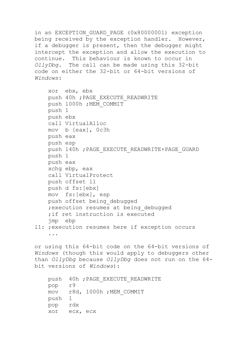in an EXCEPTION GUARD PAGE (0x80000001) exception being received by the exception handler. However, if a debugger is present, then the debugger might intercept the exception and allow the execution to continue. This behaviour is known to occur in *OllyDbg*. The call can be made using this 32-bit code on either the 32-bit or 64-bit versions of *Windows*:

```
 xor ebx, ebx
    push 40h ; PAGE EXECUTE READWRITE
    push 1000h ; MEM COMMIT
     push 1
     push ebx
     call VirtualAlloc
     mov b [eax], 0c3h
     push eax
     push esp
    push 140h ; PAGE_EXECUTE_READWRITE+PAGE_GUARD
     push 1
     push eax
     xchg ebp, eax
     call VirtualProtect
     push offset l1
     push d fs:[ebx]
     mov fs:[ebx], esp
     push offset being_debugged
    ; execution resumes at being debugged
     ;if ret instruction is executed
     jmp ebp
l1: ;execution resumes here if exception occurs
     ...
or using this 64-bit code on the 64-bit versions of 
Windows (though this would apply to debuggers other 
than OllyDbg because OllyDbg does not run on the 64-
bit versions of Windows):
    push 40h ; PAGE_EXECUTE_READWRITE
     pop r9
     mov r8d, 1000h ;MEM_COMMIT
     push 1
```
pop rdx

xor ecx, ecx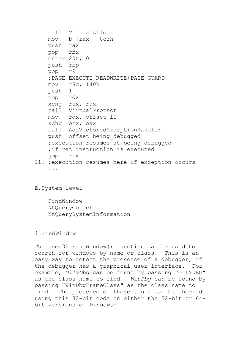```
 call VirtualAlloc
    mov b [rax], 0c3h
    push rax
    pop rbx
     enter 20h, 0
    push rbp
    pop r9
     ;PAGE_EXECUTE_READWRITE+PAGE_GUARD
    mov r8d, 140h
    push 1
    pop rdx
    xchg rcx, rax
    call VirtualProtect
    mov rdx, offset l1
    xchg ecx, eax
    call AddVectoredExceptionHandler
    push offset being_debugged
     ;execution resumes at being_debugged
     ;if ret instruction is executed
    jmp rbx
l1: ;execution resumes here if exception occurs
     ...
```
## E.System-level

 FindWindow NtQueryObject NtQuerySystemInformation

## i.FindWindow

The user32 FindWindow() function can be used to search for windows by name or class. This is an easy way to detect the presence of a debugger, if the debugger has a graphical user interface. For example, *OllyDbg* can be found by passing "OLLYDBG" as the class name to find. *WinDbg* can be found by passing "WinDbgFrameClass" as the class name to find. The presence of these tools can be checked using this 32-bit code on either the 32-bit or 64 bit versions of *Windows*: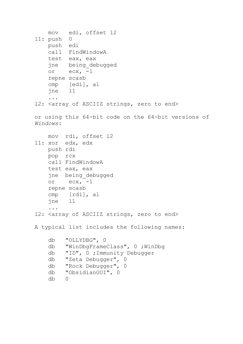```
 mov edi, offset l2
l1: push 0
    push edi
    call FindWindowA
     test eax, eax
     jne being_debugged
   or ex, -1 repne scasb
     cmp [edi], al
     jne l1
     ...
12: < array of ASCIIZ strings, zero to end>
or using this 64-bit code on the 64-bit versions of 
Windows:
    mov rdi, offset l2
l1: xor edx, edx
    push rdi
    pop rcx
    call FindWindowA
    test eax, eax
     jne being_debugged
    or ecx, -1
     repne scasb
     cmp [rdi], al
     jne l1
     ...
l2: <array of ASCIIZ strings, zero to end>
A typical list includes the following names:
     db "OLLYDBG", 0
     db "WinDbgFrameClass", 0 ;WinDbg
     db "ID", 0 ;Immunity Debugger
     db "Zeta Debugger", 0
     db "Rock Debugger", 0
     db "ObsidianGUI", 0
     db 0
```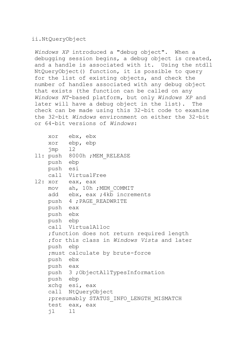# ii.NtQueryObject

*Windows XP* introduced a "debug object". When a debugging session begins, a debug object is created, and a handle is associated with it. Using the ntdll NtQueryObject() function, it is possible to query for the list of existing objects, and check the number of handles associated with any debug object that exists (the function can be called on any *Windows NT*-based platform, but only *Windows XP* and later will have a debug object in the list). The check can be made using this 32-bit code to examine the 32-bit *Windows* environment on either the 32-bit or 64-bit versions of *Windows*:

```
 xor ebx, ebx
    xor ebp, ebp
    jmp l2
11: push 8000h ; MEM RELEASE
    push ebp
    push esi
    call VirtualFree
l2: xor eax, eax
   mov ah, 10h ; MEM COMMIT
   add ebx, eax ; 4kb increments
    push 4 ;PAGE_READWRITE
    push eax
    push ebx
    push ebp
    call VirtualAlloc
     ;function does not return required length
     ;for this class in Windows Vista and later
    push ebp
     ;must calculate by brute-force
    push ebx
    push eax
    push 3 ;ObjectAllTypesInformation
    push ebp
    xchg esi, eax
    call NtQueryObject
     ;presumably STATUS_INFO_LENGTH_MISMATCH
     test eax, eax
     jl l1
```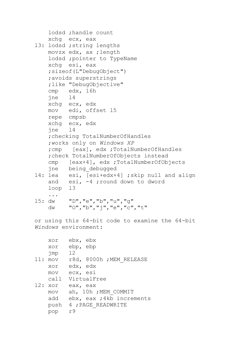```
 lodsd ;handle count
    xchg ecx, eax
l3: lodsd ;string lengths
    movzx edx, ax ;length
     lodsd ;pointer to TypeName
     xchg esi, eax
     ;sizeof(L"DebugObject")
     ;avoids superstrings
     ;like "DebugObjective"
     cmp edx, 16h 
     jne l4
    xchg ecx, edx
    mov edi, offset l5
    repe cmpsb
    xchg ecx, edx
     jne l4
     ;checking TotalNumberOfHandles
     ;works only on Windows XP
     ;cmp [eax], edx ;TotalNumberOfHandles
     ;check TotalNumberOfObjects instead
     cmp [eax+4], edx ;TotalNumberOfObjects
    jne being_debugged
l4: lea esi, [esi+edx+4] ;skip null and align
     and esi, -4 ;round down to dword
     loop l3
     ...
l5: dw "D","e","b","u","g"
     dw "O","b","j","e","c","t"
or using this 64-bit code to examine the 64-bit 
Windows environment:
```

| xor       | ebx, ebx                  |
|-----------|---------------------------|
| XOY       | ebp, ebp                  |
| jmp       | 12                        |
| $11:$ mov | r8d, 8000h ; MEM RELEASE  |
| XOY       | edx, edx                  |
| MOV       | ecx, esi                  |
|           | call VirtualFree          |
| 12: xor   | eax, eax                  |
| MOV       | ah, 10h ; MEM COMMIT      |
| add       | ebx, eax ; 4kb increments |
|           | push 4 ; PAGE READWRITE   |
| pop       | r9                        |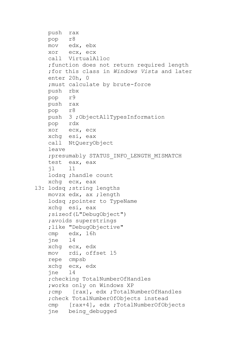```
 push rax
     pop r8
     mov edx, ebx
     xor ecx, ecx
     call VirtualAlloc
     ;function does not return required length
     ;for this class in Windows Vista and later
     enter 20h, 0
     ;must calculate by brute-force
     push rbx
    pop r9
    push rax
    pop r8
    push 3 ;ObjectAllTypesInformation
    pop rdx
    xor ecx, ecx
     xchg esi, eax
     call NtQueryObject
     leave
     ;presumably STATUS_INFO_LENGTH_MISMATCH
     test eax, eax
     jl l1
     lodsq ;handle count
    xchg ecx, eax
l3: lodsq ;string lengths
    movzx edx, ax ;length
     lodsq ;pointer to TypeName
     xchg esi, eax
     ;sizeof(L"DebugObject")
     ;avoids superstrings
     ;like "DebugObjective"
     cmp edx, 16h 
     jne l4
     xchg ecx, edx
    mov rdi, offset l5
     repe cmpsb
     xchg ecx, edx
     jne l4
     ;checking TotalNumberOfHandles
     ;works only on Windows XP
     ;cmp [rax], edx ;TotalNumberOfHandles
     ;check TotalNumberOfObjects instead
     cmp [rax+4], edx ;TotalNumberOfObjects
     jne being_debugged
```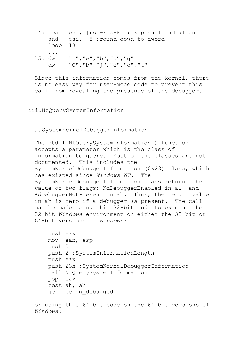l4: lea esi, [rsi+rdx+8] ;skip null and align and esi, -8 ; round down to dword loop l3 ... l5: dw "D","e","b","u","g" dw "O","b","j","e","c","t"

Since this information comes from the kernel, there is no easy way for user-mode code to prevent this call from revealing the presence of the debugger.

## iii.NtQuerySystemInformation

a.SystemKernelDebuggerInformation

The ntdll NtQuerySystemInformation() function accepts a parameter which is the class of information to query. Most of the classes are not documented. This includes the SystemKernelDebuggerInformation (0x23) class, which has existed since *Windows NT*. The SystemKernelDebuggerInformation class returns the value of two flags: KdDebuggerEnabled in al, and KdDebuggerNotPresent in ah. Thus, the return value in ah is zero if a debugger *is* present. The call can be made using this 32-bit code to examine the 32-bit *Windows* environment on either the 32-bit or 64-bit versions of *Windows*:

```
 push eax
 mov eax, esp
 push 0
 push 2 ;SystemInformationLength
 push eax
 push 23h ;SystemKernelDebuggerInformation
 call NtQuerySystemInformation
 pop eax
 test ah, ah
 je being_debugged
```
or using this 64-bit code on the 64-bit versions of *Windows*: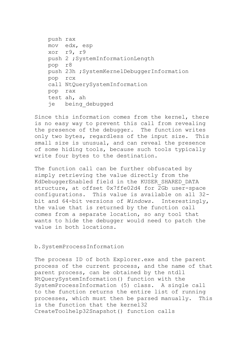```
 push rax
 mov edx, esp
 xor r9, r9
 push 2 ;SystemInformationLength
 pop r8
 push 23h ;SystemKernelDebuggerInformation
 pop rcx
 call NtQuerySystemInformation
 pop rax
 test ah, ah
 je being_debugged
```
Since this information comes from the kernel, there is no easy way to prevent this call from revealing the presence of the debugger. The function writes only two bytes, regardless of the input size. This small size is unusual, and can reveal the presence of some hiding tools, because such tools typically write four bytes to the destination.

The function call can be further obfuscated by simply retrieving the value directly from the KdDebuggerEnabled field in the KUSER\_SHARED\_DATA structure, at offset 0x7ffe02d4 for 2Gb user-space configurations. This value is available on all 32 bit and 64-bit versions of *Windows*. Interestingly, the value that is returned by the function call comes from a separate location, so any tool that wants to hide the debugger would need to patch the value in both locations.

b.SystemProcessInformation

The process ID of both Explorer.exe and the parent process of the current process, and the name of that parent process, can be obtained by the ntdll NtQuerySystemInformation() function with the SystemProcessInformation (5) class. A single call to the function returns the entire list of running processes, which must then be parsed manually. This is the function that the kernel32 CreateToolhelp32Snapshot() function calls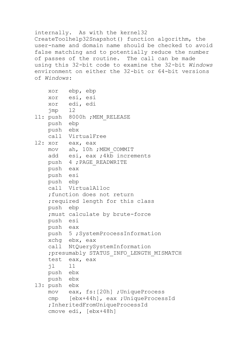internally. As with the kernel32 CreateToolhelp32Snapshot() function algorithm, the user-name and domain name should be checked to avoid false matching and to potentially reduce the number of passes of the routine. The call can be made using this 32-bit code to examine the 32-bit *Windows* environment on either the 32-bit or 64-bit versions of *Windows*:

```
 xor ebp, ebp
    xor esi, esi
    xor edi, edi
    jmp l2
11: push 8000h ; MEM RELEASE
    push ebp
    push ebx
    call VirtualFree
l2: xor eax, eax
   mov ah, 10h ; MEM COMMIT
   add esi, eax ;4k\overline{b} increments
    push 4 ;PAGE_READWRITE
    push eax
    push esi
    push ebp
     call VirtualAlloc
     ;function does not return
     ;required length for this class
    push ebp
     ;must calculate by brute-force
    push esi
    push eax
    push 5 ;SystemProcessInformation
     xchg ebx, eax
     call NtQuerySystemInformation
     ;presumably STATUS_INFO_LENGTH_MISMATCH
     test eax, eax
     jl l1
    push ebx
    push ebx
l3: push ebx
    mov eax, fs:[20h] ;UniqueProcess
     cmp [ebx+44h], eax ;UniqueProcessId
     ;InheritedFromUniqueProcessId
     cmove edi, [ebx+48h]
```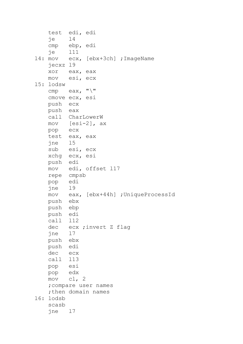```
 test edi, edi
    je l4
    cmp ebp, edi
     je l11
l4: mov ecx, [ebx+3ch] ;ImageName
    jecxz l9
    xor eax, eax
    mov esi, ecx
l5: lodsw
   cmp eax, "\n\ cmove ecx, esi
    push ecx
    push eax
    call CharLowerW
    mov [esi-2], ax
    pop ecx
    test eax, eax
    jne l5
    sub esi, ecx
    xchg ecx, esi
    push edi
    mov edi, offset l17
    repe cmpsb
    pop edi
    jne l9
    mov eax, [ebx+44h] ;UniqueProcessId
    push ebx
    push ebp
    push edi
    call l12
    dec ecx ;invert Z flag
    jne l7
    push ebx
    push edi
    dec ecx
    call l13
    pop esi
    pop edx
    mov cl, 2
     ;compare user names
    ;then domain names
l6: lodsb
     scasb
     jne l7
```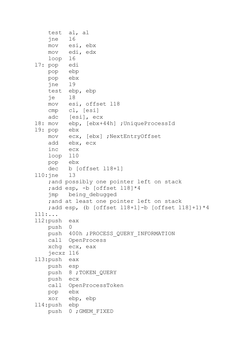```
 test al, al
    jne l6
    mov esi, ebx
    mov edi, edx
    loop l6
l7: pop edi
    pop ebp
    pop ebx
    jne l9
    test ebp, ebp
    je l8
    mov esi, offset l18
    cmp cl, [esi]
    adc [esi], ecx
l8: mov ebp, [ebx+44h] ;UniqueProcessId
l9: pop ebx
    mov ecx, [ebx] ;NextEntryOffset
    add ebx, ecx
    inc ecx
    loop l10
    pop ebx
    dec b [offset l18+1]
l10:jne l3
     ;and possibly one pointer left on stack
     ;add esp, -b [offset l18]*4
     jmp being_debugged
     ;and at least one pointer left on stack
    ;add esp, (b [offset 118+1]-b [offset 118]+1) *4
l11:...
l12:push eax
    push 0
    push 400h ;PROCESS_QUERY_INFORMATION
    call OpenProcess
    xchg ecx, eax
    jecxz l16
l13:push eax
    push esp
    push 8 ;TOKEN_QUERY
    push ecx
    call OpenProcessToken
    pop ebx
    xor ebp, ebp
l14:push ebp
    push 0 ;GMEM_FIXED
```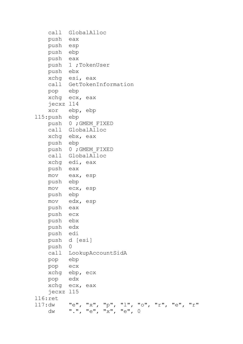```
 call GlobalAlloc
    push eax
    push esp
    push ebp
    push eax
    push 1 ;TokenUser
    push ebx
    xchg esi, eax
    call GetTokenInformation
    pop ebp
    xchg ecx, eax
    jecxz l14
    xor ebp, ebp
l15:push ebp
    push 0 ;GMEM_FIXED
    call GlobalAlloc
    xchg ebx, eax
    push ebp
    push 0 ;GMEM_FIXED
    call GlobalAlloc
    xchg edi, eax
    push eax
    mov eax, esp
    push ebp
    mov ecx, esp
    push ebp
    mov edx, esp
    push eax
    push ecx
    push ebx
    push edx
    push edi
    push d [esi]
    push 0
    call LookupAccountSidA
    pop ebp
    pop ecx
    xchg ebp, ecx
    pop edx
    xchg ecx, eax
    jecxz l15
l16:ret
l17:dw "e", "x", "p", "l", "o", "r", "e", "r"
    dw ".", "e", "x", "e", 0
```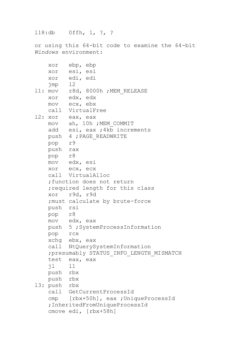l18:db 0ffh, 1, ?, ?

or using this 64-bit code to examine the 64-bit *Windows* environment:

```
 xor ebp, ebp
    xor esi, esi
   xor edi, edi<br>jmp 12
   jmp
11: mov r8d, 8000h ; MEM RELEASE
    xor edx, edx
    mov ecx, ebx
    call VirtualFree
l2: xor eax, eax
   mov ah, 10h ; MEM COMMIT
   add esi, eax ; 4kb increments
    push 4 ;PAGE_READWRITE
    pop r9
    push rax
    pop r8
    mov edx, esi
    xor ecx, ecx
    call VirtualAlloc
     ;function does not return
    ;required length for this class
    xor r9d, r9d
     ;must calculate by brute-force
    push rsi
    pop r8
    mov edx, eax
    push 5 ;SystemProcessInformation
    pop rcx
    xchg ebx, eax
    call NtQuerySystemInformation
     ;presumably STATUS_INFO_LENGTH_MISMATCH
    test eax, eax
    jl l1
    push rbx
    push rbx
l3: push rbx
    call GetCurrentProcessId
     cmp [rbx+50h], eax ;UniqueProcessId
     ;InheritedFromUniqueProcessId
     cmove edi, [rbx+58h]
```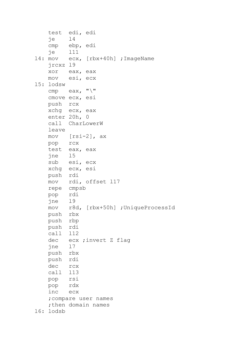```
 test edi, edi
    je l4
    cmp ebp, edi
     je l11
14: mov ecx, [rbx+40h] ; ImageName
    jrcxz l9
    xor eax, eax
    mov esi, ecx
l5: lodsw
   cmp eax, "\n\ cmove ecx, esi
    push rcx
    xchg ecx, eax
    enter 20h, 0
    call CharLowerW
    leave
    mov [rsi-2], ax
    pop rcx
    test eax, eax
    jne l5
    sub esi, ecx
    xchg ecx, esi
    push rdi
    mov rdi, offset l17
    repe cmpsb
    pop rdi
    jne l9
    mov r8d, [rbx+50h] ;UniqueProcessId
    push rbx
    push rbp
    push rdi
    call l12
    dec ecx ;invert Z flag
    jne l7
    push rbx
    push rdi
    dec rcx
    call l13
    pop rsi
    pop rdx
    inc ecx
     ;compare user names
    ; then domain names
l6: lodsb
```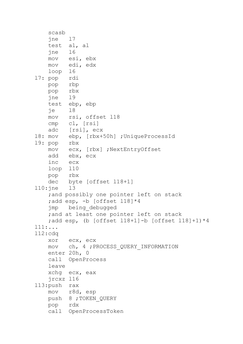```
 scasb
     jne l7
    test al, al
    jne l6
    mov esi, ebx
    mov edi, edx
    loop l6
l7: pop rdi
    pop rbp
    pop rbx
    jne l9
    test ebp, ebp
    je l8
    mov rsi, offset l18
    cmp cl, [rsi]
    adc [rsi], ecx
l8: mov ebp, [rbx+50h] ;UniqueProcessId
l9: pop rbx
    mov ecx, [rbx] ;NextEntryOffset
    add ebx, ecx
    inc ecx
    loop l10
    pop rbx
    dec byte [offset l18+1]
l10:jne l3
     ;and possibly one pointer left on stack
    ;add esp, -b [offset 118]*4
     jmp being_debugged
     ;and at least one pointer left on stack
    ;add esp, (b [offset 118+1]-b [offset 118]+1)*4
l11:...
l12:cdq
    xor ecx, ecx
    mov ch, 4 ;PROCESS_QUERY_INFORMATION
    enter 20h, 0
    call OpenProcess
     leave
    xchg ecx, eax
    jrcxz l16
l13:push rax
    mov r8d, esp
    push 8 ;TOKEN_QUERY
    pop rdx
    call OpenProcessToken
```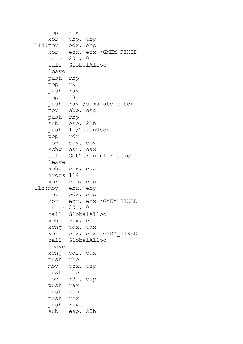```
 pop rbx
    xor ebp, ebp
l14:mov edx, ebp
    xor ecx, ecx ;GMEM_FIXED
    enter 20h, 0
    call GlobalAlloc
    leave
    push rbp
    pop r9
    push rax
    pop r8
    push rax ;simulate enter
    mov ebp, esp
    push rbp
    sub esp, 20h
    push 1 ;TokenUser
    pop rdx
    mov ecx, ebx
    xchg esi, eax
    call GetTokenInformation
    leave
    xchg ecx, eax
    jrcxz l14
    xor ebp, ebp
l15:mov ebx, ebp
    mov edx, ebp
    xor ecx, ecx ;GMEM_FIXED
    enter 20h, 0
    call GlobalAlloc
    xchg ebx, eax
    xchg edx, eax
    xor ecx, ecx ;GMEM_FIXED
    call GlobalAlloc
    leave
    xchg edi, eax
    push rbp
    mov ecx, esp
    push rbp
    mov r9d, esp
    push rax
    push rsp
    push rcx
    push rbx
    sub esp, 20h
```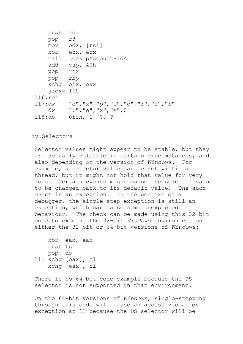```
 push rdi
    pop r8
    mov edx, [rsi]
    xor ecx, ecx
    call LookupAccountSidA
    add esp, 40h
    pop rcx
    pop rbp
    xchg ecx, eax
    jrcxz l15
l16:ret
l17:dw "e","x","p","l","o","r","e","r"
    dw ".","e","x","e",0
l18:db 0ffh, 1, ?, ?
```
## iv.Selectors

Selector values might appear to be stable, but they are actually volatile in certain circumstances, and also depending on the version of *Windows*. For example, a selector value can be set within a thread, but it might not hold that value for very long. Certain events might cause the selector value to be changed back to its default value. One such event is an exception. In the context of a debugger, the single-step exception is still an exception, which can cause some unexpected behaviour. The check can be made using this 32-bit code to examine the 32-bit *Windows* environment on either the 32-bit or 64-bit versions of *Windows*:

```
 xor eax, eax
     push fs
     pop ds
l1: xchg [eax], cl
     xchg [eax], cl
```
There is no 64-bit code example because the DS selector is not supported in that environment.

On the 64-bit versions of *Windows*, single-stepping through this code will cause an access violation exception at l1 because the DS selector will be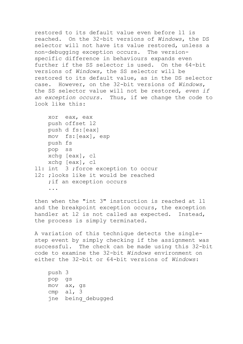restored to its default value even before l1 is reached. On the 32-bit versions of *Windows*, the DS selector will not have its value restored, unless a non-debugging exception occurs. The versionspecific difference in behaviours expands even further if the SS selector is used. On the 64-bit versions of *Windows*, the SS selector will be restored to its default value, as in the DS selector case. However, on the 32-bit versions of *Windows*, the SS selector value will not be restored, *even if an exception occurs*. Thus, if we change the code to look like this:

```
 xor eax, eax
     push offset l2
     push d fs:[eax]
     mov fs:[eax], esp
     push fs
    pop ss
     xchg [eax], cl
     xchg [eax], cl
l1: int 3 ;force exception to occur
l2: ;looks like it would be reached
    ; if an exception occurs
     ...
```
then when the "int 3" instruction is reached at l1 and the breakpoint exception occurs, the exception handler at l2 is not called as expected. Instead, the process is simply terminated.

A variation of this technique detects the singlestep event by simply checking if the assignment was successful. The check can be made using this 32-bit code to examine the 32-bit *Windows* environment on either the 32-bit or 64-bit versions of *Windows*:

 push 3 pop gs mov ax, gs cmp al, 3 jne being\_debugged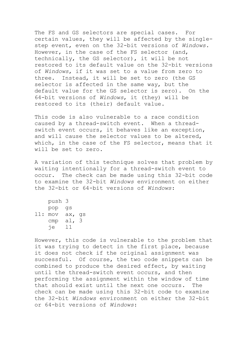The FS and GS selectors are special cases. For certain values, they will be affected by the singlestep event, even on the 32-bit versions of *Windows*. However, in the case of the FS selector (and, technically, the GS selector), it will be not restored to its default value on the 32-bit versions of *Windows*, if it was set to a value from zero to three. Instead, it will be set to zero (the GS selector is affected in the same way, but the default value for the GS selector is zero). On the 64-bit versions of *Windows*, it (they) will be restored to its (their) default value.

This code is also vulnerable to a race condition caused by a thread-switch event. When a threadswitch event occurs, it behaves like an exception, and will cause the selector values to be altered, which, in the case of the FS selector, means that it will be set to zero.

A variation of this technique solves that problem by waiting intentionally for a thread-switch event to occur. The check can be made using this 32-bit code to examine the 32-bit *Windows* environment on either the 32-bit or 64-bit versions of *Windows*:

 push 3 pop gs l1: mov ax, gs cmp al, 3 je l1

However, this code is vulnerable to the problem that it was trying to detect in the first place, because it does not check if the original assignment was successful. Of course, the two code snippets can be combined to produce the desired effect, by waiting until the thread-switch event occurs, and then performing the assignment within the window of time that should exist until the next one occurs. The check can be made using this 32-bit code to examine the 32-bit *Windows* environment on either the 32-bit or 64-bit versions of *Windows*: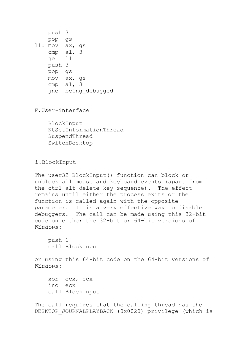push 3 pop gs l1: mov ax, gs cmp al, 3 je l1 push 3 pop gs mov ax, gs cmp al, 3 jne being\_debugged

F.User-interface

 BlockInput NtSetInformationThread SuspendThread SwitchDesktop

i.BlockInput

The user32 BlockInput() function can block or unblock all mouse and keyboard events (apart from the ctrl-alt-delete key sequence). The effect remains until either the process exits or the function is called again with the opposite parameter. It is a very effective way to disable debuggers. The call can be made using this 32-bit code on either the 32-bit or 64-bit versions of *Windows*:

 push 1 call BlockInput

or using this 64-bit code on the 64-bit versions of *Windows*:

 xor ecx, ecx inc ecx call BlockInput

The call requires that the calling thread has the DESKTOP JOURNALPLAYBACK (0x0020) privilege (which is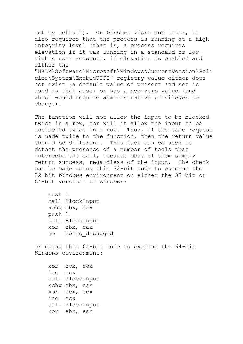set by default). On *Windows Vista* and later, it also requires that the process is running at a high integrity level (that is, a process requires elevation if it was running in a standard or lowrights user account), if elevation is enabled and either the "HKLM\Software\Microsoft\Windows\CurrentVersion\Poli cies\System\EnableUIPI" registry value either does not exist (a default value of present and set is used in that case) or has a non-zero value (and which would require administrative privileges to change).

The function will not allow the input to be blocked twice in a row, nor will it allow the input to be unblocked twice in a row. Thus, if the same request is made twice to the function, then the return value should be different. This fact can be used to detect the presence of a number of tools that intercept the call, because most of them simply return success, regardless of the input. The check can be made using this 32-bit code to examine the 32-bit *Windows* environment on either the 32-bit or 64-bit versions of *Windows*:

 push 1 call BlockInput xchg ebx, eax push 1 call BlockInput xor ebx, eax je being\_debugged

or using this 64-bit code to examine the 64-bit *Windows* environment:

 xor ecx, ecx inc ecx call BlockInput xchg ebx, eax xor ecx, ecx inc ecx call BlockInput xor ebx, eax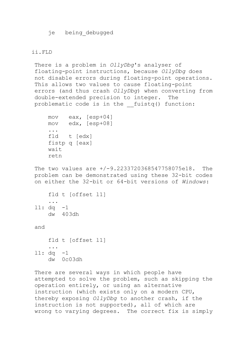je being\_debugged

#### ii.FLD

There is a problem in *OllyDbg*'s analyser of floating-point instructions, because *OllyDbg* does not disable errors during floating-point operations. This allows two values to cause floating-point errors (and thus crash *OllyDbg*) when converting from double-extended precision to integer. The problematic code is in the fuistq() function:

```
 mov eax, [esp+04]
 mov edx, [esp+08]
 ...
 fld t [edx]
 fistp q [eax]
 wait
 retn
```
The two values are +/-9.2233720368547758075e18. The problem can be demonstrated using these 32-bit codes on either the 32-bit or 64-bit versions of *Windows*:

```
 fld t [offset l1]
     ...
l1: dq -1 
     dw 403dh
```
and

```
 fld t [offset l1]
     ...
l1: dq -1 
     dw 0c03dh
```
There are several ways in which people have attempted to solve the problem, such as skipping the operation entirely, or using an alternative instruction (which exists only on a modern CPU, thereby exposing *OllyDbg* to another crash, if the instruction is not supported), all of which are wrong to varying degrees. The correct fix is simply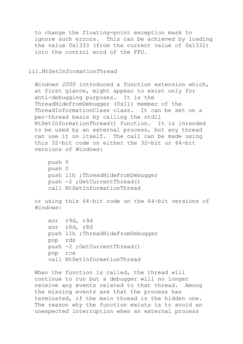to change the floating-point exception mask to ignore such errors. This can be achieved by loading the value 0x1333 (from the current value of 0x1332) into the control word of the FPU.

### iii.NtSetInformationThread

*Windows 2000* introduced a function extension which, at first glance, might appear to exist only for anti-debugging purposes. It is the ThreadHideFromDebugger (0x11) member of the ThreadInformationClass class. It can be set on a per-thread basis by calling the ntdll NtSetInformationThread() function. It is intended to be used by an external process, but any thread can use it on itself. The call can be made using this 32-bit code on either the 32-bit or 64-bit versions of *Windows*:

```
 push 0
 push 0
 push 11h ;ThreadHideFromDebugger
 push -2 ;GetCurrentThread()
 call NtSetInformationThread
```
or using this 64-bit code on the 64-bit versions of *Windows*:

```
 xor r9d, r9d
 xor r8d, r8d
 push 11h ;ThreadHideFromDebugger
 pop rdx
 push -2 ;GetCurrentThread()
 pop rcx
 call NtSetInformationThread
```
When the function is called, the thread will continue to run but a debugger will no longer receive any events related to that thread. Among the missing events are that the process has terminated, if the main thread is the hidden one. The reason why the function exists is to avoid an unexpected interruption when an external process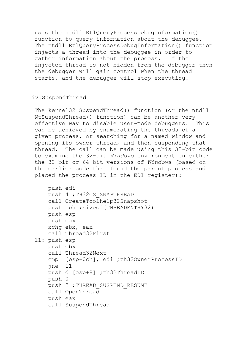uses the ntdll RtlQueryProcessDebugInformation() function to query information about the debuggee. The ntdll RtlQueryProcessDebugInformation() function injects a thread into the debuggee in order to gather information about the process. If the injected thread is not hidden from the debugger then the debugger will gain control when the thread starts, and the debuggee will stop executing.

# iv.SuspendThread

The kernel32 SuspendThread() function (or the ntdll NtSuspendThread() function) can be another very effective way to disable user-mode debuggers. This can be achieved by enumerating the threads of a given process, or searching for a named window and opening its owner thread, and then suspending that thread. The call can be made using this 32-bit code to examine the 32-bit *Windows* environment on either the 32-bit or 64-bit versions of *Windows* (based on the earlier code that found the parent process and placed the process ID in the EDI register):

```
 push edi
     push 4 ;TH32CS_SNAPTHREAD
     call CreateToolhelp32Snapshot
    push 1ch ; sizeof(THREADENTRY32)
     push esp
     push eax
     xchg ebx, eax
     call Thread32First
l1: push esp
     push ebx
     call Thread32Next
     cmp [esp+0ch], edi ;th32OwnerProcessID
     jne l1
    push d [esp+8] ; th32ThreadID
     push 0
    push 2 ; THREAD SUSPEND RESUME
     call OpenThread
     push eax
     call SuspendThread
```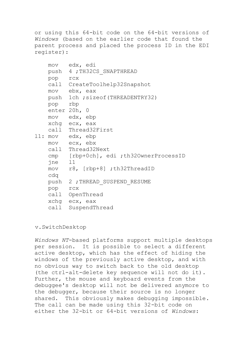or using this 64-bit code on the 64-bit versions of *Windows* (based on the earlier code that found the parent process and placed the process ID in the EDI register):

```
 mov edx, edi
    push 4 ;TH32CS_SNAPTHREAD
    pop rcx
    call CreateToolhelp32Snapshot
    mov ebx, eax
    push 1ch ;sizeof(THREADENTRY32)
    pop rbp
    enter 20h, 0
    mov edx, ebp
    xchg ecx, eax
    call Thread32First
l1: mov edx, ebp
    mov ecx, ebx
    call Thread32Next
     cmp [rbp+0ch], edi ;th32OwnerProcessID
     jne l1
    mov r8, [rbp+8] ;th32ThreadID
    cdq
   push 2 ; THREAD SUSPEND RESUME
    pop rcx
    call OpenThread
    xchg ecx, eax
     call SuspendThread
```
#### v.SwitchDesktop

*Windows NT*-based platforms support multiple desktops per session. It is possible to select a different active desktop, which has the effect of hiding the windows of the previously active desktop, and with no obvious way to switch back to the old desktop (the ctrl-alt-delete key sequence will not do it). Further, the mouse and keyboard events from the debuggee's desktop will not be delivered anymore to the debugger, because their source is no longer shared. This obviously makes debugging impossible. The call can be made using this 32-bit code on either the 32-bit or 64-bit versions of *Windows*: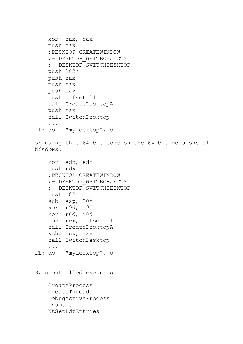```
 xor eax, eax
     push eax
     ;DESKTOP_CREATEWINDOW
     ;+ DESKTOP_WRITEOBJECTS
     ;+ DESKTOP_SWITCHDESKTOP
     push 182h
     push eax
     push eax
     push eax
     push offset l1
     call CreateDesktopA
     push eax
     call SwitchDesktop
     ...
l1: db "mydesktop", 0
or using this 64-bit code on the 64-bit versions of 
Windows:
     xor edx, edx
     push rdx
     ;DESKTOP_CREATEWINDOW
     ;+ DESKTOP_WRITEOBJECTS
     ;+ DESKTOP_SWITCHDESKTOP
     push 182h
     sub esp, 20h
     xor r9d, r9d
     xor r8d, r8d
     mov rcx, offset l1
     call CreateDesktopA
     xchg ecx, eax
     call SwitchDesktop
     ...
l1: db "mydesktop", 0
G.Uncontrolled execution
     CreateProcess
```
 CreateThread DebugActiveProcess Enum... NtSetLdtEntries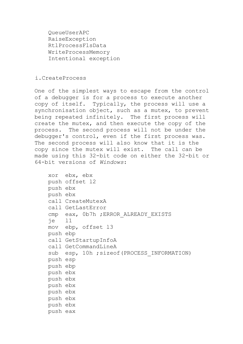QueueUserAPC RaiseException RtlProcessFlsData WriteProcessMemory Intentional exception

### i.CreateProcess

One of the simplest ways to escape from the control of a debugger is for a process to execute another copy of itself. Typically, the process will use a synchronisation object, such as a mutex, to prevent being repeated infinitely. The first process will create the mutex, and then execute the copy of the process. The second process will not be under the debugger's control, even if the first process was. The second process will also know that it is the copy since the mutex will exist. The call can be made using this 32-bit code on either the 32-bit or 64-bit versions of *Windows*:

```
 xor ebx, ebx
 push offset l2
 push ebx
 push ebx
 call CreateMutexA
 call GetLastError
 cmp eax, 0b7h ;ERROR_ALREADY_EXISTS
 je l1
 mov ebp, offset l3
 push ebp
 call GetStartupInfoA
 call GetCommandLineA
sub esp, 10h ; sizeof(PROCESS INFORMATION)
 push esp
 push ebp
 push ebx
 push ebx
 push ebx
 push ebx
 push ebx
 push ebx
 push eax
```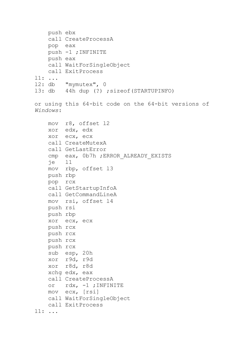```
 push ebx
     call CreateProcessA
     pop eax
     push -1 ;INFINITE
     push eax
     call WaitForSingleObject
     call ExitProcess
l1: ...
l2: db "mymutex", 0
l3: db 44h dup (?) ;sizeof(STARTUPINFO)
or using this 64-bit code on the 64-bit versions of 
Windows:
     mov r8, offset l2
     xor edx, edx
     xor ecx, ecx
     call CreateMutexA
     call GetLastError
     cmp eax, 0b7h ;ERROR_ALREADY_EXISTS
     je l1
     mov rbp, offset l3
     push rbp
     pop rcx
     call GetStartupInfoA
     call GetCommandLineA
     mov rsi, offset l4
     push rsi
     push rbp
     xor ecx, ecx
     push rcx
     push rcx
     push rcx
     push rcx
     sub esp, 20h
     xor r9d, r9d
     xor r8d, r8d
     xchg edx, eax
     call CreateProcessA
     or rdx, -1 ;INFINITE
     mov ecx, [rsi]
     call WaitForSingleObject
    call ExitProcess
l1: ...
```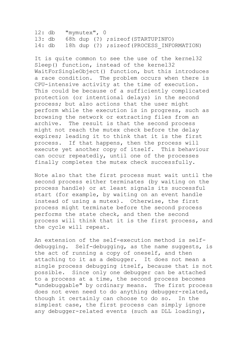l2: db "mymutex", 0 l3: db 68h dup (?) ;sizeof(STARTUPINFO) 14: db 18h dup (?) ; sizeof(PROCESS INFORMATION)

It is quite common to see the use of the kernel32 Sleep() function, instead of the kernel32 WaitForSingleObject() function, but this introduces a race condition. The problem occurs when there is CPU-intensive activity at the time of execution. This could be because of a sufficiently complicated protection (or intentional delays) in the second process; but also actions that the user might perform while the execution is in progress, such as browsing the network or extracting files from an archive. The result is that the second process might not reach the mutex check before the delay expires; leading it to think that it is the first process. If that happens, then the process will execute yet another copy of itself. This behaviour can occur repeatedly, until one of the processes finally completes the mutex check successfully.

Note also that the first process must wait until the second process either terminates (by waiting on the process handle) or at least signals its successful start (for example, by waiting on an event handle instead of using a mutex). Otherwise, the first process might terminate before the second process performs the state check, and then the second process will think that it is the first process, and the cycle will repeat.

An extension of the self-execution method is selfdebugging. Self-debugging, as the name suggests, is the act of running a copy of oneself, and then attaching to it as a debugger. It does not mean a single process debugging itself, because that is not possible. Since only one debugger can be attached to a process at a time, the second process becomes "undebuggable" by ordinary means. The first process does not even need to do anything debugger-related, though it certainly can choose to do so. In the simplest case, the first process can simply ignore any debugger-related events (such as DLL loading),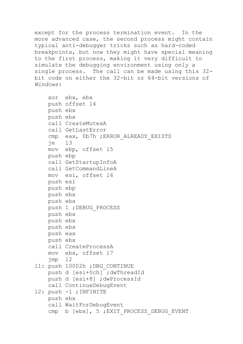except for the process termination event. In the more advanced case, the second process might contain typical anti-debugger tricks such as hard-coded breakpoints, but now they might have special meaning to the first process, making it very difficult to simulate the debugging environment using only a single process. The call can be made using this 32 bit code on either the 32-bit or 64-bit versions of *Windows*:

```
 xor ebx, ebx
     push offset l4
     push ebx
     push ebx
     call CreateMutexA
     call GetLastError
    cmp eax, 0b7h ; ERROR ALREADY EXISTS
     je l3
     mov ebp, offset l5
     push ebp
     call GetStartupInfoA
     call GetCommandLineA
     mov esi, offset l6
     push esi
     push ebp
     push ebx
     push ebx
     push 1 ;DEBUG_PROCESS
     push ebx
     push ebx
     push ebx
     push eax
     push ebx
     call CreateProcessA
     mov ebx, offset l7
     jmp l2
l1: push 10002h ;DBG_CONTINUE
     push d [esi+0ch] ;dwThreadId
     push d [esi+8] ;dwProcessId
     call ContinueDebugEvent
l2: push -1 ;INFINITE
     push ebx
     call WaitForDebugEvent
    cmp b [ebx], 5 ; EXIT PROCESS DEBUG EVENT
```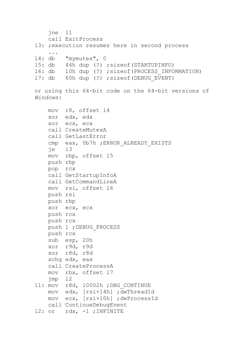```
 jne l1
    call ExitProcess
13: ; execution resumes here in second process
     ...
l4: db "mymutex", 0
l5: db 44h dup (?) ;sizeof(STARTUPINFO)
l6: db 10h dup (?) ;sizeof(PROCESS_INFORMATION)
17: db 60h dup (?) ; sizeof(DEBUG EVENT)
or using this 64-bit code on the 64-bit versions of 
Windows:
    mov r8, offset l4
     xor edx, edx
     xor ecx, ecx
     call CreateMutexA
     call GetLastError
     cmp eax, 0b7h ;ERROR_ALREADY_EXISTS
     je l3
     mov rbp, offset l5
    push rbp
    pop rcx
     call GetStartupInfoA
     call GetCommandLineA
    mov rsi, offset l6
    push rsi
    push rbp
    xor ecx, ecx
    push rcx
    push rcx
    push 1 ;DEBUG_PROCESS
    push rcx
    sub esp, 20h
    xor r9d, r9d
    xor r8d, r8d
    xchg edx, eax
     call CreateProcessA
    mov rbx, offset l7
    jmp l2
l1: mov r8d, 10002h ;DBG_CONTINUE
    mov edx, [rsi+14h] ;dwThreadId
    mov ecx, [rsi+10h] ;dwProcessId
    call ContinueDebugEvent
l2: or rdx, -1 ;INFINITE
```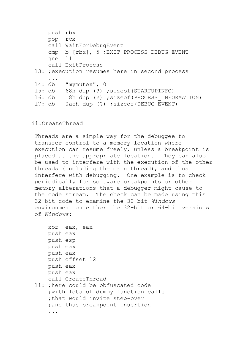```
 push rbx
    pop rcx
     call WaitForDebugEvent
    cmp b [rbx], 5; EXIT_PROCESS_DEBUG_EVENT
     jne l1
    call ExitProcess
13: ; execution resumes here in second process
     ...
l4: db "mymutex", 0
l5: db 68h dup (?) ;sizeof(STARTUPINFO)
l6: db 18h dup (?) ;sizeof(PROCESS_INFORMATION)
17: db 0ach dup (?) ; sizeof(DEBUG EVENT)
```
# ii.CreateThread

Threads are a simple way for the debuggee to transfer control to a memory location where execution can resume freely, unless a breakpoint is placed at the appropriate location. They can also be used to interfere with the execution of the other threads (including the main thread), and thus interfere with debugging. One example is to check periodically for software breakpoints or other memory alterations that a debugger might cause to the code stream. The check can be made using this 32-bit code to examine the 32-bit *Windows* environment on either the 32-bit or 64-bit versions of *Windows*:

```
 xor eax, eax
 push eax
 push esp
 push eax
 push eax
 push offset l2
 push eax
 push eax
 call CreateThread
```
l1: ;here could be obfuscated code ;with lots of dummy function calls ;that would invite step-over ;and thus breakpoint insertion ...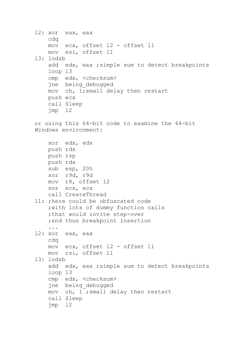```
l2: xor eax, eax
     cdq
     mov ecx, offset l2 - offset l1
     mov esi, offset l1
l3: lodsb
    add edx, eax ; simple sum to detect breakpoints
     loop l3
     cmp edx, <checksum>
     jne being_debugged
     mov ch, 1;small delay then restart
     push ecx
     call Sleep
     jmp l2
or using this 64-bit code to examine the 64-bit 
Windows environment:
     xor edx, edx
     push rdx
     push rsp
     push rdx
     sub esp, 20h
     xor r9d, r9d
     mov r8, offset l2
     xor ecx, ecx
     call CreateThread
l1: ;here could be obfuscated code
     ;with lots of dummy function calls
     ;that would invite step-over
     ;and thus breakpoint insertion
     ...
l2: xor eax, eax
     cdq
     mov ecx, offset l2 - offset l1
    mov rsi, offset l1
l3: lodsb
    add edx, eax ; simple sum to detect breakpoints
     loop l3
     cmp edx, <checksum>
     jne being_debugged
     mov ch, 1 ;small delay then restart
     call Sleep
     jmp l2
```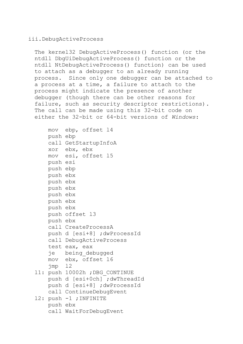## iii.DebugActiveProcess

The kernel32 DebugActiveProcess() function (or the ntdll DbgUiDebugActiveProcess() function or the ntdll NtDebugActiveProcess() function) can be used to attach as a debugger to an already running process. Since only one debugger can be attached to a process at a time, a failure to attach to the process might indicate the presence of another debugger (though there can be other reasons for failure, such as security descriptor restrictions). The call can be made using this 32-bit code on either the 32-bit or 64-bit versions of *Windows*:

|                 | mov ebp, offset 14             |
|-----------------|--------------------------------|
| push ebp        |                                |
|                 | call GetStartupInfoA           |
|                 | xor ebx, ebx                   |
|                 | mov esi, offset 15             |
| push esi        |                                |
| push ebp        |                                |
| push ebx        |                                |
| push ebx        |                                |
| push ebx        |                                |
| push ebx        |                                |
| push ebx        |                                |
| push ebx        |                                |
|                 | push offset 13                 |
| push ebx        |                                |
|                 | call CreateProcessA            |
|                 | push d [esi+8] ;dwProcessId    |
|                 | call DebugActiveProcess        |
|                 | test eax, eax                  |
|                 | je being debugged              |
|                 | mov ebx, offset 16             |
| $\text{imp}$ 12 |                                |
|                 | 11: push 10002h ; DBG CONTINUE |
|                 | push d [esi+0ch] ; dwThreadId  |
|                 | push d [esi+8] ;dwProcessId    |
|                 | call ContinueDebugEvent        |
|                 | 12: push -1 ; INFINITE         |
| push ebx        |                                |
|                 | call WaitForDebugEvent         |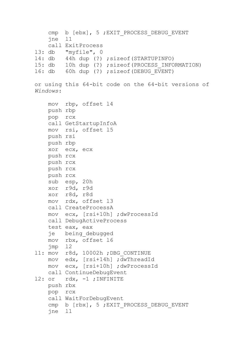```
cmp b [ebx], 5 ; EXIT PROCESS DEBUG EVENT
     jne l1
     call ExitProcess
l3: db "myfile", 0
l4: db 44h dup (?) ;sizeof(STARTUPINFO)
15: db 10h dup (?) ; sizeof(PROCESS_INFORMATION)<br>16: db 60h dup (?) ; sizeof(DEBUG EVENT)
         60h dup (?) ; sizeof(DEBUG EVENT)
or using this 64-bit code on the 64-bit versions of 
Windows:
     mov rbp, offset l4
     push rbp
     pop rcx
     call GetStartupInfoA
     mov rsi, offset l5
     push rsi
     push rbp
     xor ecx, ecx
     push rcx
     push rcx
     push rcx
     push rcx
     sub esp, 20h
     xor r9d, r9d
     xor r8d, r8d
     mov rdx, offset l3
     call CreateProcessA
     mov ecx, [rsi+10h] ;dwProcessId
     call DebugActiveProcess
     test eax, eax
     je being_debugged
     mov rbx, offset l6
     jmp l2
l1: mov r8d, 10002h ;DBG_CONTINUE
     mov edx, [rsi+14h] ;dwThreadId
     mov ecx, [rsi+10h] ;dwProcessId
     call ContinueDebugEvent
l2: or rdx, -1 ;INFINITE
     push rbx
     pop rcx
     call WaitForDebugEvent
    cmp b [rbx], 5; EXIT PROCESS DEBUG EVENT
     jne l1
```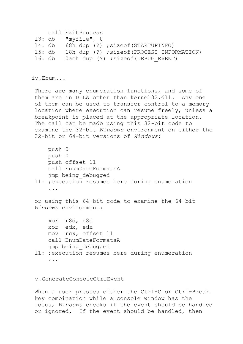```
 call ExitProcess
l3: db "myfile", 0
l4: db 68h dup (?) ;sizeof(STARTUPINFO)
15: db 18h dup (?) ; sizeof(PROCESS INFORMATION)
16: db 0ach dup (?) ; sizeof(DEBUG EVENT)
```
iv.Enum...

There are many enumeration functions, and some of them are in DLLs other than kernel32.dll. Any one of them can be used to transfer control to a memory location where execution can resume freely, unless a breakpoint is placed at the appropriate location. The call can be made using this 32-bit code to examine the 32-bit *Windows* environment on either the 32-bit or 64-bit versions of *Windows*:

```
 push 0
     push 0
     push offset l1
     call EnumDateFormatsA
     jmp being_debugged
l1: ;execution resumes here during enumeration
     ...
or using this 64-bit code to examine the 64-bit 
Windows environment:
     xor r8d, r8d
     xor edx, edx
     mov rcx, offset l1
     call EnumDateFormatsA
    jmp being_debugged
l1: ;execution resumes here during enumeration
```

```
 ...
```
v.GenerateConsoleCtrlEvent

When a user presses either the Ctrl-C or Ctrl-Break key combination while a console window has the focus, *Windows* checks if the event should be handled or ignored. If the event should be handled, then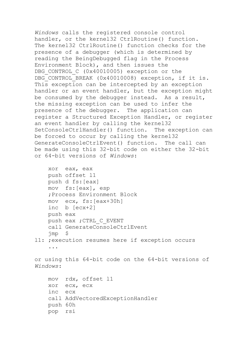*Windows* calls the registered console control handler, or the kernel32 CtrlRoutine() function. The kernel32 CtrlRoutine() function checks for the presence of a debugger (which is determined by reading the BeingDebugged flag in the Process Environment Block), and then issues the DBG CONTROL C (0x40010005) exception or the DBG CONTROL BREAK (0x40010008) exception, if it is. This exception can be intercepted by an exception handler or an event handler, but the exception might be consumed by the debugger instead. As a result, the missing exception can be used to infer the presence of the debugger. The application can register a Structured Exception Handler, or register an event handler by calling the kernel32 SetConsoleCtrlHandler() function. The exception can be forced to occur by calling the kernel32 GenerateConsoleCtrlEvent() function. The call can be made using this 32-bit code on either the 32-bit or 64-bit versions of *Windows*:

```
 xor eax, eax
 push offset l1
 push d fs:[eax]
 mov fs:[eax], esp
 ;Process Environment Block
 mov ecx, fs:[eax+30h]
 inc b [ecx+2]
 push eax
push eax ; CTRL C EVENT
 call GenerateConsoleCtrlEvent
 jmp $
```
l1: ;execution resumes here if exception occurs ...

or using this 64-bit code on the 64-bit versions of *Windows*:

```
 mov rdx, offset l1
 xor ecx, ecx
 inc ecx
 call AddVectoredExceptionHandler
 push 60h
 pop rsi
```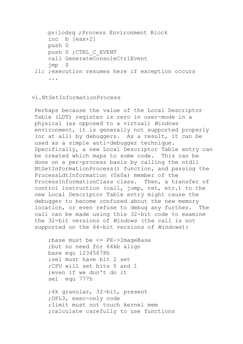```
 gs:lodsq ;Process Environment Block
     inc b [eax+2]
    push 0
    push 0 ;CTRL_C_EVENT
     call GenerateConsoleCtrlEvent
    jmp $
l1: ;execution resumes here if exception occurs
```
...

## vi.NtSetInformationProcess

Perhaps because the value of the Local Descriptor Table (LDT) register is zero in user-mode in a physical (as opposed to a virtual) *Windows* environment, it is generally not supported properly (or at all) by debuggers. As a result, it can be used as a simple anti-debugger technique. Specifically, a new Local Descriptor Table entry can be created which maps to some code. This can be done on a per-process basis by calling the ntdll NtSetInformationProcess() function, and passing the ProcessLdtInformation (0x0a) member of the ProcessInformationClass class. Then, a transfer of control instruction (call, jump, ret, etc.) to the new Local Descriptor Table entry might cause the debugger to become confused about the new memory location, or even refuse to debug any further. The call can be made using this 32-bit code to examine the 32-bit versions of *Windows* (the call is not supported on the 64-bit versions of *Windows*):

 ;base must be <= PE->ImageBase ;but no need for 64kb align base equ 12345678h ;sel must have bit 2 set ;CPU will set bits 0 and 1 ;even if we don't do it sel equ 777h

 ;4k granular, 32-bit, present ;DPL3, exec-only code ;limit must not touch kernel mem ;calculate carefully to use functions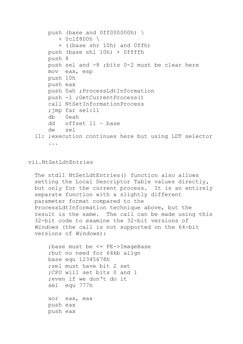```
 push (base and 0ff000000h) \
        + 0c1f800h \
        + ((base shr 10h) and 0ffh)
     push (base shl 10h) + 0ffffh
     push 8
     push sel and -8 ;bits 0-2 must be clear here
     mov eax, esp
     push 10h
     push eax
     push 0ah ;ProcessLdtInformation
     push -1 ;GetCurrentProcess()
     call NtSetInformationProcess
     ;jmp far sel:l1
     db 0eah
     dd offset l1 – base
     dw sel
l1: ;execution continues here but using LDT selector
```

```
 ...
```
vii.NtSetLdtEntries

The ntdll NtSetLdtEntries() function also allows setting the Local Descriptor Table values directly, but only for the current process. It is an entirely separate function with a slightly different parameter format compared to the ProcessLdtInformation technique above, but the result is the same. The call can be made using this 32-bit code to examine the 32-bit versions of *Windows* (the call is not supported on the 64-bit versions of *Windows*):

 ;base must be <= PE->ImageBase ;but no need for 64kb align base equ 12345678h ;sel must have bit 2 set ;CPU will set bits 0 and 1 ;even if we don't do it sel equ 777h

 xor eax, eax push eax push eax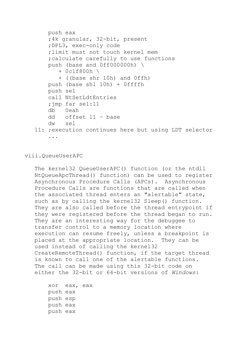```
 push eax
     ;4k granular, 32-bit, present
     ;DPL3, exec-only code
     ;limit must not touch kernel mem
     ;calculate carefully to use functions
     push (base and 0ff000000h) \
        + 0c1f800h \
        + ((base shr 10h) and 0ffh)
     push (base shl 10h) + 0ffffh
     push sel
     call NtSetLdtEntries
     ;jmp far sel:l1
     db 0eah
     dd offset l1 – base
     dw sel
l1: ;execution continues here but using LDT selector
```
...

#### viii.QueueUserAPC

The kernel32 QueueUserAPC() function (or the ntdll NtQueueApcThread() function) can be used to register Asynchronous Procedure Calls (APCs). Asynchronous Procedure Calls are functions that are called when the associated thread enters an "alertable" state, such as by calling the kernel32 Sleep() function. They are also called before the thread entrypoint if they were registered before the thread began to run. They are an interesting way for the debuggee to transfer control to a memory location where execution can resume freely, unless a breakpoint is placed at the appropriate location. They can be used instead of calling the kernel32 CreateRemoteThread() function, if the target thread is known to call one of the alertable functions. The call can be made using this 32-bit code on either the 32-bit or 64-bit versions of *Windows*:

```
 xor eax, eax
 push eax
 push esp
 push eax
 push eax
```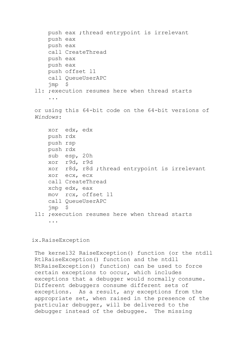```
 push eax ;thread entrypoint is irrelevant
     push eax
     push eax
     call CreateThread
     push eax
     push eax
     push offset l1
     call QueueUserAPC
     jmp $
l1: ;execution resumes here when thread starts
     ...
or using this 64-bit code on the 64-bit versions of 
Windows:
     xor edx, edx
     push rdx
     push rsp
     push rdx
     sub esp, 20h
     xor r9d, r9d
     xor r8d, r8d ;thread entrypoint is irrelevant
     xor ecx, ecx
     call CreateThread
     xchg edx, eax
     mov rcx, offset l1
     call QueueUserAPC
     jmp $
l1: ;execution resumes here when thread starts
     ...
```
## ix.RaiseException

The kernel32 RaiseException() function (or the ntdll RtlRaiseException() function and the ntdll NtRaiseException() function) can be used to force certain exceptions to occur, which includes exceptions that a debugger would normally consume. Different debuggers consume different sets of exceptions. As a result, any exceptions from the appropriate set, when raised in the presence of the particular debugger, will be delivered to the debugger instead of the debuggee. The missing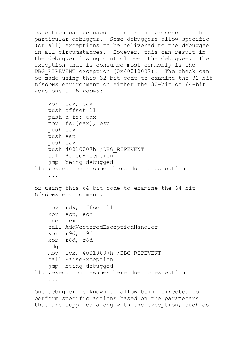exception can be used to infer the presence of the particular debugger. Some debuggers allow specific (or all) exceptions to be delivered to the debuggee in all circumstances. However, this can result in the debugger losing control over the debuggee. The exception that is consumed most commonly is the DBG RIPEVENT exception (0x40010007). The check can be made using this 32-bit code to examine the 32-bit *Windows* environment on either the 32-bit or 64-bit versions of *Windows*:

```
 xor eax, eax
     push offset l1
     push d fs:[eax]
     mov fs:[eax], esp
     push eax
     push eax
     push eax
     push 40010007h ;DBG_RIPEVENT
     call RaiseException
     jmp being_debugged
l1: ;execution resumes here due to execption
```

```
 ...
```
or using this 64-bit code to examine the 64-bit *Windows* environment:

```
 mov rdx, offset l1
     xor ecx, ecx
     inc ecx
     call AddVectoredExceptionHandler
     xor r9d, r9d
    xor r8d, r8d
     cdq
    mov ecx, 40010007h ;DBG_RIPEVENT
     call RaiseException
     jmp being_debugged
l1: ;execution resumes here due to exception
     ...
```
One debugger is known to allow being directed to perform specific actions based on the parameters that are supplied along with the exception, such as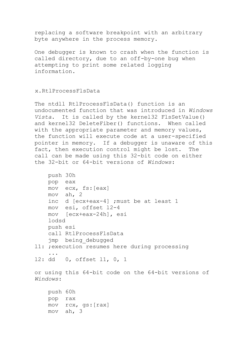replacing a software breakpoint with an arbitrary byte anywhere in the process memory.

One debugger is known to crash when the function is called directory, due to an off-by-one bug when attempting to print some related logging information.

#### x.RtlProcessFlsData

The ntdll RtlProcessFlsData() function is an undocumented function that was introduced in *Windows Vista*. It is called by the kernel32 FlsSetValue() and kernel32 DeleteFiber() functions. When called with the appropriate parameter and memory values, the function will execute code at a user-specified pointer in memory. If a debugger is unaware of this fact, then execution control might be lost. The call can be made using this 32-bit code on either the 32-bit or 64-bit versions of *Windows*:

```
 push 30h
    pop eax
    mov ecx, fs:[eax]
    mov ah, 2
     inc d [ecx+eax-4] ;must be at least 1
    mov esi, offset l2-4
     mov [ecx+eax-24h], esi
     lodsd
    push esi
     call RtlProcessFlsData
     jmp being_debugged
l1: ;execution resumes here during processing
 ...
l2: dd 0, offset l1, 0, 1
or using this 64-bit code on the 64-bit versions of 
Windows:
    push 60h
    pop rax
     mov rcx, gs:[rax]
    mov ah, 3
```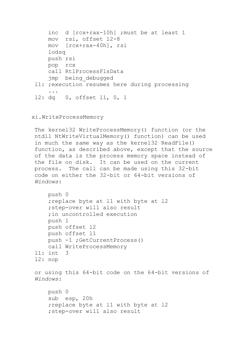```
 inc d [rcx+rax-10h] ;must be at least 1
     mov rsi, offset l2-8
     mov [rcx+rax-40h], rsi
     lodsq
    push rsi
     pop rcx
     call RtlProcessFlsData
     jmp being_debugged
l1: ;execution resumes here during processing
     ...
l2: dq 0, offset l1, 0, 1
```
# xi.WriteProcessMemory

The kernel32 WriteProcessMemory() function (or the ntdll NtWriteVirtualMemory() function) can be used in much the same way as the kernel32 ReadFile() function, as described above, except that the source of the data is the process memory space instead of the file on disk. It can be used on the current process. The call can be made using this 32-bit code on either the 32-bit or 64-bit versions of *Windows*:

```
 push 0
     ;replace byte at l1 with byte at l2
     ;step-over will also result
     ;in uncontrolled execution
     push 1
     push offset l2
     push offset l1
     push -1 ;GetCurrentProcess()
     call WriteProcessMemory
l1: int 3
l2: nop
or using this 64-bit code on the 64-bit versions of 
Windows:
     push 0
     sub esp, 20h
     ;replace byte at l1 with byte at l2
     ;step-over will also result
```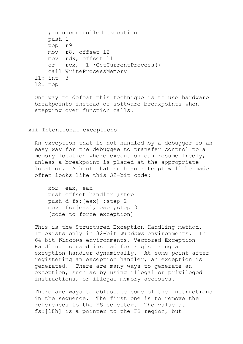```
 ;in uncontrolled execution
     push 1
     pop r9
     mov r8, offset l2
     mov rdx, offset l1
     or rcx, -1 ;GetCurrentProcess()
     call WriteProcessMemory
l1: int 3
l2: nop
```
One way to defeat this technique is to use hardware breakpoints instead of software breakpoints when stepping over function calls.

#### xii.Intentional exceptions

An exception that is not handled by a debugger is an easy way for the debuggee to transfer control to a memory location where execution can resume freely, unless a breakpoint is placed at the appropriate location. A hint that such an attempt will be made often looks like this 32-bit code:

 xor eax, eax push offset handler ; step 1 push d fs:[eax] ;step 2 mov fs:[eax], esp ;step 3 [code to force exception]

This is the Structured Exception Handling method. It exists only in 32-bit *Windows* environments. In 64-bit *Windows* environments, Vectored Exception Handling is used instead for registering an exception handler dynamically. At some point after registering an exception handler, an exception is generated. There are many ways to generate an exception, such as by using illegal or privileged instructions, or illegal memory accesses.

There are ways to obfuscate some of the instructions in the sequence. The first one is to remove the references to the FS selector. The value at fs:[18h] is a pointer to the FS region, but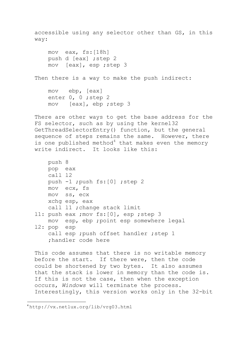accessible using any selector other than GS, in this way: mov eax, fs:[18h] push d [eax] ;step 2 mov [eax], esp ;step 3 Then there is a way to make the push indirect: mov ebp, [eax] enter 0, 0 ; step 2 mov [eax], ebp ;step 3 There are other ways to get the base address for the FS selector, such as by using the kernel32 GetThreadSelectorEntry() function, but the general sequence of steps remains the same. However, there is one published method $4$  that makes even the memory write indirect. It looks like this: push 8 pop eax call l2 push -1 ;push fs:[0] ;step 2 mov ecx, fs mov ss, ecx xchg esp, eax call l1 ;change stack limit l1: push eax ;mov fs:[0], esp ;step 3 mov esp, ebp ;point esp somewhere legal l2: pop esp call esp ; push offset handler ; step 1 ;handler code here This code assumes that there is no writable memory before the start. If there were, then the code could be shortened by two bytes. It also assumes that the stack is lower in memory than the code is. If this is not the case, then when the exception occurs, *Windows* will terminate the process.

 $\ddot{\phantom{a}}$ 

Interestingly, this version works only in the 32-bit

<sup>4</sup> http://vx.netlux.org/lib/vrg03.html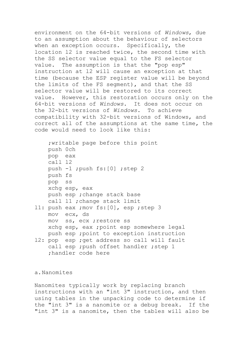environment on the 64-bit versions of *Windows*, due to an assumption about the behaviour of selectors when an exception occurs. Specifically, the location l2 is reached twice, the second time with the SS selector value equal to the FS selector value. The assumption is that the "pop esp" instruction at l2 will cause an exception at that time (because the ESP register value will be beyond the limits of the FS segment), and that the SS selector value will be restored to its correct value. However, this restoration occurs only on the 64-bit versions of *Windows*. It does not occur on the 32-bit versions of *Windows*. To achieve compatibility with 32-bit versions of Windows, and correct all of the assumptions at the same time, the code would need to look like this:

 ;writable page before this point push 0ch pop eax call l2 push -1 ;push fs:[0] ;step 2 push fs pop ss xchg esp, eax push esp ;change stack base call l1 ;change stack limit l1: push eax ;mov fs:[0], esp ;step 3 mov ecx, ds mov ss, ecx ;restore ss xchg esp, eax ;point esp somewhere legal push esp ;point to exception instruction 12: pop esp ; get address so call will fault call esp ; push offset handler ; step 1

```
 ;handler code here
```
## a.Nanomites

Nanomites typically work by replacing branch instructions with an "int 3" instruction, and then using tables in the unpacking code to determine if the "int 3" is a nanomite or a debug break. If the "int 3" is a nanomite, then the tables will also be